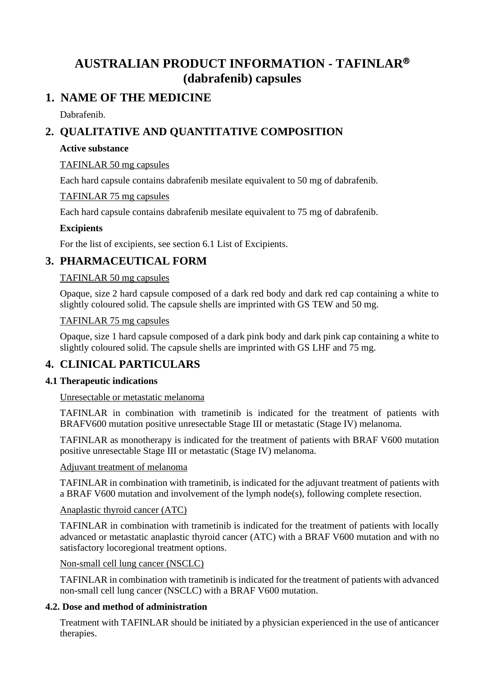# **AUSTRALIAN PRODUCT INFORMATION - TAFINLAR (dabrafenib) capsules**

# **1. NAME OF THE MEDICINE**

Dabrafenib.

# **2. QUALITATIVE AND QUANTITATIVE COMPOSITION**

## **Active substance**

## TAFINLAR 50 mg capsules

Each hard capsule contains dabrafenib mesilate equivalent to 50 mg of dabrafenib.

TAFINLAR 75 mg capsules

Each hard capsule contains dabrafenib mesilate equivalent to 75 mg of dabrafenib.

# **Excipients**

For the list of excipients, see section 6.1 List of Excipients.

# **3. PHARMACEUTICAL FORM**

# TAFINLAR 50 mg capsules

Opaque, size 2 hard capsule composed of a dark red body and dark red cap containing a white to slightly coloured solid. The capsule shells are imprinted with GS TEW and 50 mg.

## TAFINLAR 75 mg capsules

Opaque, size 1 hard capsule composed of a dark pink body and dark pink cap containing a white to slightly coloured solid. The capsule shells are imprinted with GS LHF and 75 mg.

# **4. CLINICAL PARTICULARS**

# **4.1 Therapeutic indications**

Unresectable or metastatic melanoma

TAFINLAR in combination with trametinib is indicated for the treatment of patients with BRAFV600 mutation positive unresectable Stage III or metastatic (Stage IV) melanoma.

TAFINLAR as monotherapy is indicated for the treatment of patients with BRAF V600 mutation positive unresectable Stage III or metastatic (Stage IV) melanoma.

## Adjuvant treatment of melanoma

TAFINLAR in combination with trametinib, is indicated for the adjuvant treatment of patients with a BRAF V600 mutation and involvement of the lymph node(s), following complete resection.

## Anaplastic thyroid cancer (ATC)

TAFINLAR in combination with trametinib is indicated for the treatment of patients with locally advanced or metastatic anaplastic thyroid cancer (ATC) with a BRAF V600 mutation and with no satisfactory locoregional treatment options.

## Non-small cell lung cancer (NSCLC)

TAFINLAR in combination with trametinib is indicated for the treatment of patients with advanced non-small cell lung cancer (NSCLC) with a BRAF V600 mutation.

# **4.2. Dose and method of administration**

Treatment with TAFINLAR should be initiated by a physician experienced in the use of anticancer therapies.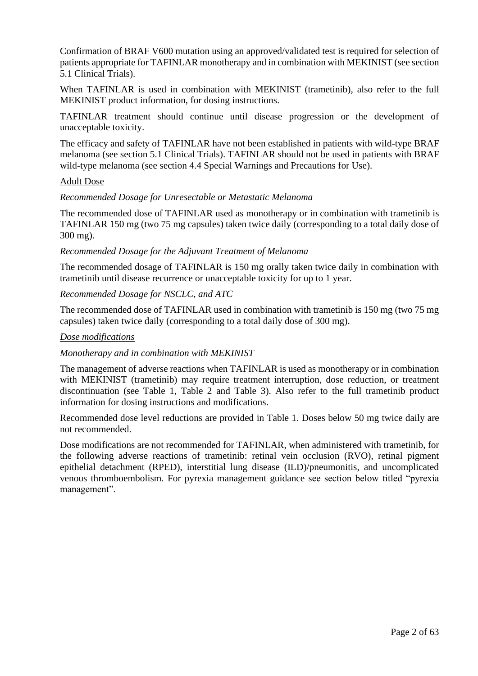Confirmation of BRAF V600 mutation using an approved/validated test is required for selection of patients appropriate for TAFINLAR monotherapy and in combination with MEKINIST (see section 5.1 Clinical Trials).

When TAFINLAR is used in combination with MEKINIST (trametinib), also refer to the full MEKINIST product information, for dosing instructions.

TAFINLAR treatment should continue until disease progression or the development of unacceptable toxicity.

The efficacy and safety of TAFINLAR have not been established in patients with wild-type BRAF melanoma (see section 5.1 Clinical Trials). TAFINLAR should not be used in patients with BRAF wild-type melanoma (see section 4.4 Special Warnings and Precautions for Use).

#### Adult Dose

#### *Recommended Dosage for Unresectable or Metastatic Melanoma*

The recommended dose of TAFINLAR used as monotherapy or in combination with trametinib is TAFINLAR 150 mg (two 75 mg capsules) taken twice daily (corresponding to a total daily dose of 300 mg).

#### *Recommended Dosage for the Adjuvant Treatment of Melanoma*

The recommended dosage of TAFINLAR is 150 mg orally taken twice daily in combination with trametinib until disease recurrence or unacceptable toxicity for up to 1 year.

#### *Recommended Dosage for NSCLC, and ATC*

The recommended dose of TAFINLAR used in combination with trametinib is 150 mg (two 75 mg capsules) taken twice daily (corresponding to a total daily dose of 300 mg).

#### *Dose modifications*

#### *Monotherapy and in combination with MEKINIST*

The management of adverse reactions when TAFINLAR is used as monotherapy or in combination with MEKINIST (trametinib) may require treatment interruption, dose reduction, or treatment discontinuation (see Table 1, Table 2 and Table 3). Also refer to the full trametinib product information for dosing instructions and modifications.

Recommended dose level reductions are provided in Table 1. Doses below 50 mg twice daily are not recommended.

Dose modifications are not recommended for TAFINLAR, when administered with trametinib, for the following adverse reactions of trametinib: retinal vein occlusion (RVO), retinal pigment epithelial detachment (RPED), interstitial lung disease (ILD)/pneumonitis, and uncomplicated venous thromboembolism. For pyrexia management guidance see section below titled "pyrexia management".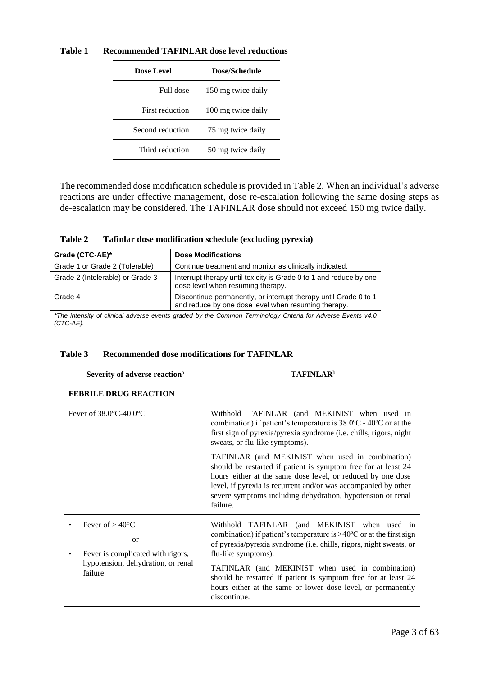| Dose Level       | Dose/Schedule      |
|------------------|--------------------|
| Full dose        | 150 mg twice daily |
| First reduction  | 100 mg twice daily |
| Second reduction | 75 mg twice daily  |
| Third reduction  | 50 mg twice daily  |

**Table 1 Recommended TAFINLAR dose level reductions**

The recommended dose modification schedule is provided in Table 2. When an individual's adverse reactions are under effective management, dose re-escalation following the same dosing steps as de-escalation may be considered. The TAFINLAR dose should not exceed 150 mg twice daily.

**Table 2 Tafinlar dose modification schedule (excluding pyrexia)**

| Grade (CTC-AE)*                                                                                                          | <b>Dose Modifications</b>                                                                                               |  |
|--------------------------------------------------------------------------------------------------------------------------|-------------------------------------------------------------------------------------------------------------------------|--|
| Grade 1 or Grade 2 (Tolerable)                                                                                           | Continue treatment and monitor as clinically indicated.                                                                 |  |
| Grade 2 (Intolerable) or Grade 3                                                                                         | Interrupt therapy until toxicity is Grade 0 to 1 and reduce by one<br>dose level when resuming therapy.                 |  |
| Grade 4                                                                                                                  | Discontinue permanently, or interrupt therapy until Grade 0 to 1<br>and reduce by one dose level when resuming therapy. |  |
| *The intensity of clinical adverse events graded by the Common Terminology Criteria for Adverse Events v4.0<br>(CTC-AE). |                                                                                                                         |  |

## **Table 3 Recommended dose modifications for TAFINLAR**

| Severity of adverse reaction <sup>a</sup>                                                                                                     | <b>TAFINLAR</b> <sup>b</sup>                                                                                                                                                                                                                                                                                                                                                                                                     |
|-----------------------------------------------------------------------------------------------------------------------------------------------|----------------------------------------------------------------------------------------------------------------------------------------------------------------------------------------------------------------------------------------------------------------------------------------------------------------------------------------------------------------------------------------------------------------------------------|
| <b>FEBRILE DRUG REACTION</b>                                                                                                                  |                                                                                                                                                                                                                                                                                                                                                                                                                                  |
| Fever of $38.0^{\circ}$ C-40.0 $^{\circ}$ C                                                                                                   | Withhold TAFINLAR (and MEKINIST when used in<br>combination) if patient's temperature is $38.0^{\circ}$ C - $40^{\circ}$ C or at the<br>first sign of pyrexia/pyrexia syndrome (i.e. chills, rigors, night<br>sweats, or flu-like symptoms).                                                                                                                                                                                     |
|                                                                                                                                               | TAFINLAR (and MEKINIST when used in combination)<br>should be restarted if patient is symptom free for at least 24<br>hours either at the same dose level, or reduced by one dose<br>level, if pyrexia is recurrent and/or was accompanied by other<br>severe symptoms including dehydration, hypotension or renal<br>failure.                                                                                                   |
| Fever of $> 40^{\circ}$ C<br><sub>or</sub><br>Fever is complicated with rigors,<br>$\bullet$<br>hypotension, dehydration, or renal<br>failure | Withhold TAFINLAR (and MEKINIST when used in<br>combination) if patient's temperature is $>40^{\circ}$ C or at the first sign<br>of pyrexia/pyrexia syndrome (i.e. chills, rigors, night sweats, or<br>flu-like symptoms).<br>TAFINLAR (and MEKINIST when used in combination)<br>should be restarted if patient is symptom free for at least 24<br>hours either at the same or lower dose level, or permanently<br>discontinue. |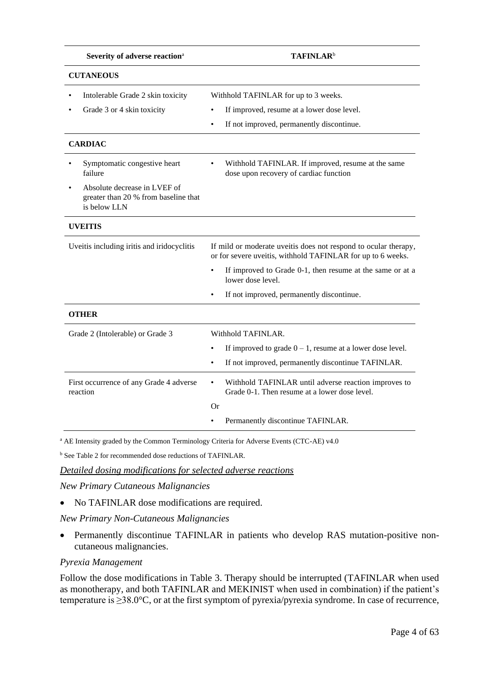| Severity of adverse reaction <sup>a</sup>                                            | <b>TAFINLAR</b> <sup>b</sup>                                                                                                   |
|--------------------------------------------------------------------------------------|--------------------------------------------------------------------------------------------------------------------------------|
| <b>CUTANEOUS</b>                                                                     |                                                                                                                                |
| Intolerable Grade 2 skin toxicity<br>Grade 3 or 4 skin toxicity                      | Withhold TAFINLAR for up to 3 weeks.<br>If improved, resume at a lower dose level.                                             |
|                                                                                      | If not improved, permanently discontinue.                                                                                      |
| <b>CARDIAC</b>                                                                       |                                                                                                                                |
| Symptomatic congestive heart<br>failure                                              | Withhold TAFINLAR. If improved, resume at the same<br>dose upon recovery of cardiac function                                   |
| Absolute decrease in LVEF of<br>greater than 20 % from baseline that<br>is below LLN |                                                                                                                                |
| <b>UVEITIS</b>                                                                       |                                                                                                                                |
| Uveitis including iritis and iridocyclitis                                           | If mild or moderate uveitis does not respond to ocular therapy,<br>or for severe uveitis, withhold TAFINLAR for up to 6 weeks. |
|                                                                                      | If improved to Grade 0-1, then resume at the same or at a<br>lower dose level.                                                 |
|                                                                                      | If not improved, permanently discontinue.                                                                                      |
| <b>OTHER</b>                                                                         |                                                                                                                                |
| Grade 2 (Intolerable) or Grade 3                                                     | Withhold TAFINLAR.                                                                                                             |
|                                                                                      | If improved to grade $0 - 1$ , resume at a lower dose level.                                                                   |
|                                                                                      | If not improved, permanently discontinue TAFINLAR.                                                                             |
| First occurrence of any Grade 4 adverse<br>reaction                                  | Withhold TAFINLAR until adverse reaction improves to<br>Grade 0-1. Then resume at a lower dose level.                          |
|                                                                                      | Or                                                                                                                             |
|                                                                                      | Permanently discontinue TAFINLAR.                                                                                              |

<sup>a</sup> AE Intensity graded by the Common Terminology Criteria for Adverse Events (CTC-AE) v4.0

<sup>b</sup> See Table 2 for recommended dose reductions of TAFINLAR.

*Detailed dosing modifications for selected adverse reactions*

*New Primary Cutaneous Malignancies* 

• No TAFINLAR dose modifications are required.

*New Primary Non-Cutaneous Malignancies*

• Permanently discontinue TAFINLAR in patients who develop RAS mutation-positive noncutaneous malignancies.

#### *Pyrexia Management*

Follow the dose modifications in Table 3. Therapy should be interrupted (TAFINLAR when used as monotherapy, and both TAFINLAR and MEKINIST when used in combination) if the patient's temperature is ≥38.0°C, or at the first symptom of pyrexia/pyrexia syndrome. In case of recurrence,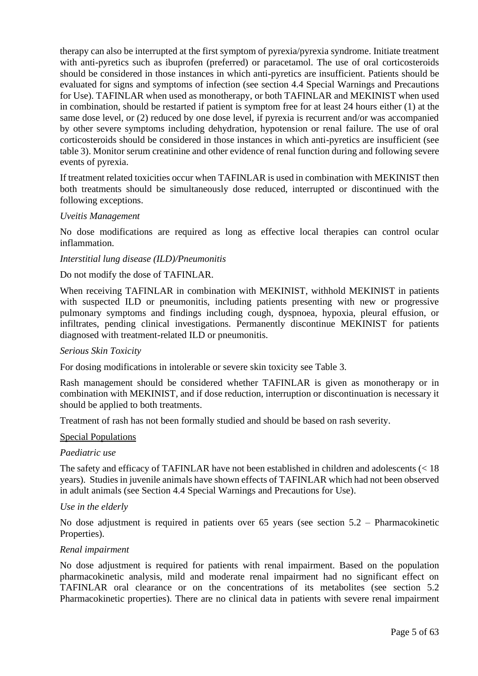therapy can also be interrupted at the first symptom of pyrexia/pyrexia syndrome. Initiate treatment with anti-pyretics such as ibuprofen (preferred) or paracetamol. The use of oral corticosteroids should be considered in those instances in which anti-pyretics are insufficient. Patients should be evaluated for signs and symptoms of infection (see section 4.4 Special Warnings and Precautions for Use). TAFINLAR when used as monotherapy, or both TAFINLAR and MEKINIST when used in combination, should be restarted if patient is symptom free for at least 24 hours either (1) at the same dose level, or (2) reduced by one dose level, if pyrexia is recurrent and/or was accompanied by other severe symptoms including dehydration, hypotension or renal failure. The use of oral corticosteroids should be considered in those instances in which anti-pyretics are insufficient (see table 3). Monitor serum creatinine and other evidence of renal function during and following severe events of pyrexia.

If treatment related toxicities occur when TAFINLAR is used in combination with MEKINIST then both treatments should be simultaneously dose reduced, interrupted or discontinued with the following exceptions.

#### *Uveitis Management*

No dose modifications are required as long as effective local therapies can control ocular inflammation.

#### *Interstitial lung disease (ILD)/Pneumonitis*

#### Do not modify the dose of TAFINLAR.

When receiving TAFINLAR in combination with MEKINIST, withhold MEKINIST in patients with suspected ILD or pneumonitis, including patients presenting with new or progressive pulmonary symptoms and findings including cough, dyspnoea, hypoxia, pleural effusion, or infiltrates, pending clinical investigations. Permanently discontinue MEKINIST for patients diagnosed with treatment-related ILD or pneumonitis.

#### *Serious Skin Toxicity*

For dosing modifications in intolerable or severe skin toxicity see Table 3.

Rash management should be considered whether TAFINLAR is given as monotherapy or in combination with MEKINIST, and if dose reduction, interruption or discontinuation is necessary it should be applied to both treatments.

Treatment of rash has not been formally studied and should be based on rash severity.

#### Special Populations

#### *Paediatric use*

The safety and efficacy of TAFINLAR have not been established in children and adolescents (< 18 years). Studies in juvenile animals have shown effects of TAFINLAR which had not been observed in adult animals (see Section 4.4 Special Warnings and Precautions for Use).

#### *Use in the elderly*

No dose adjustment is required in patients over 65 years (see section 5.2 – Pharmacokinetic Properties).

#### *Renal impairment*

No dose adjustment is required for patients with renal impairment. Based on the population pharmacokinetic analysis, mild and moderate renal impairment had no significant effect on TAFINLAR oral clearance or on the concentrations of its metabolites (see section 5.2 Pharmacokinetic properties). There are no clinical data in patients with severe renal impairment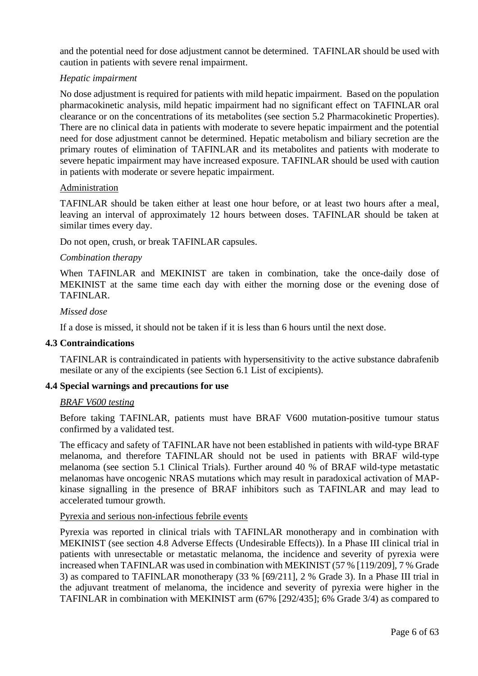and the potential need for dose adjustment cannot be determined. TAFINLAR should be used with caution in patients with severe renal impairment.

## *Hepatic impairment*

No dose adjustment is required for patients with mild hepatic impairment. Based on the population pharmacokinetic analysis, mild hepatic impairment had no significant effect on TAFINLAR oral clearance or on the concentrations of its metabolites (see section 5.2 Pharmacokinetic Properties). There are no clinical data in patients with moderate to severe hepatic impairment and the potential need for dose adjustment cannot be determined. Hepatic metabolism and biliary secretion are the primary routes of elimination of TAFINLAR and its metabolites and patients with moderate to severe hepatic impairment may have increased exposure. TAFINLAR should be used with caution in patients with moderate or severe hepatic impairment.

## Administration

TAFINLAR should be taken either at least one hour before, or at least two hours after a meal, leaving an interval of approximately 12 hours between doses. TAFINLAR should be taken at similar times every day.

Do not open, crush, or break TAFINLAR capsules.

#### *Combination therapy*

When TAFINLAR and MEKINIST are taken in combination, take the once-daily dose of MEKINIST at the same time each day with either the morning dose or the evening dose of TAFINLAR.

## *Missed dose*

If a dose is missed, it should not be taken if it is less than 6 hours until the next dose.

#### **4.3 Contraindications**

TAFINLAR is contraindicated in patients with hypersensitivity to the active substance dabrafenib mesilate or any of the excipients (see Section 6.1 List of excipients).

## **4.4 Special warnings and precautions for use**

#### *BRAF V600 testing*

Before taking TAFINLAR, patients must have BRAF V600 mutation-positive tumour status confirmed by a validated test.

The efficacy and safety of TAFINLAR have not been established in patients with wild-type BRAF melanoma, and therefore TAFINLAR should not be used in patients with BRAF wild-type melanoma (see section 5.1 Clinical Trials). Further around 40 % of BRAF wild-type metastatic melanomas have oncogenic NRAS mutations which may result in paradoxical activation of MAPkinase signalling in the presence of BRAF inhibitors such as TAFINLAR and may lead to accelerated tumour growth.

#### Pyrexia and serious non-infectious febrile events

Pyrexia was reported in clinical trials with TAFINLAR monotherapy and in combination with MEKINIST (see section 4.8 Adverse Effects (Undesirable Effects)). In a Phase III clinical trial in patients with unresectable or metastatic melanoma, the incidence and severity of pyrexia were increased when TAFINLAR was used in combination with MEKINIST (57 % [119/209], 7 % Grade 3) as compared to TAFINLAR monotherapy (33 % [69/211], 2 % Grade 3). In a Phase III trial in the adjuvant treatment of melanoma, the incidence and severity of pyrexia were higher in the TAFINLAR in combination with MEKINIST arm (67% [292/435]; 6% Grade 3/4) as compared to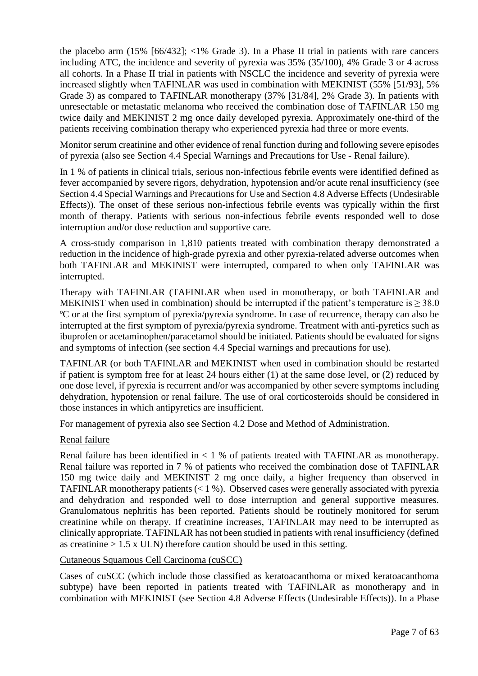the placebo arm (15% [66/432]; <1% Grade 3). In a Phase II trial in patients with rare cancers including ATC, the incidence and severity of pyrexia was 35% (35/100), 4% Grade 3 or 4 across all cohorts. In a Phase II trial in patients with NSCLC the incidence and severity of pyrexia were increased slightly when TAFINLAR was used in combination with MEKINIST (55% [51/93], 5% Grade 3) as compared to TAFINLAR monotherapy (37% [31/84], 2% Grade 3). In patients with unresectable or metastatic melanoma who received the combination dose of TAFINLAR 150 mg twice daily and MEKINIST 2 mg once daily developed pyrexia. Approximately one-third of the patients receiving combination therapy who experienced pyrexia had three or more events.

Monitor serum creatinine and other evidence of renal function during and following severe episodes of pyrexia (also see Section 4.4 Special Warnings and Precautions for Use - Renal failure).

In 1 % of patients in clinical trials, serious non-infectious febrile events were identified defined as fever accompanied by severe rigors, dehydration, hypotension and/or acute renal insufficiency (see Section 4.4 Special Warnings and Precautions for Use and Section 4.8 Adverse Effects (Undesirable Effects)). The onset of these serious non-infectious febrile events was typically within the first month of therapy. Patients with serious non-infectious febrile events responded well to dose interruption and/or dose reduction and supportive care.

A cross-study comparison in 1,810 patients treated with combination therapy demonstrated a reduction in the incidence of high-grade pyrexia and other pyrexia-related adverse outcomes when both TAFINLAR and MEKINIST were interrupted, compared to when only TAFINLAR was interrupted.

Therapy with TAFINLAR (TAFINLAR when used in monotherapy, or both TAFINLAR and MEKINIST when used in combination) should be interrupted if the patient's temperature is  $> 38.0$ ºC or at the first symptom of pyrexia/pyrexia syndrome. In case of recurrence, therapy can also be interrupted at the first symptom of pyrexia/pyrexia syndrome. Treatment with anti-pyretics such as ibuprofen or acetaminophen/paracetamol should be initiated. Patients should be evaluated for signs and symptoms of infection (see section 4.4 Special warnings and precautions for use).

TAFINLAR (or both TAFINLAR and MEKINIST when used in combination should be restarted if patient is symptom free for at least 24 hours either (1) at the same dose level, or (2) reduced by one dose level, if pyrexia is recurrent and/or was accompanied by other severe symptoms including dehydration, hypotension or renal failure. The use of oral corticosteroids should be considered in those instances in which antipyretics are insufficient.

For management of pyrexia also see Section 4.2 Dose and Method of Administration.

## Renal failure

Renal failure has been identified in  $\lt 1$  % of patients treated with TAFINLAR as monotherapy. Renal failure was reported in 7 % of patients who received the combination dose of TAFINLAR 150 mg twice daily and MEKINIST 2 mg once daily, a higher frequency than observed in TAFINLAR monotherapy patients  $(< 1 %)$ . Observed cases were generally associated with pyrexia and dehydration and responded well to dose interruption and general supportive measures. Granulomatous nephritis has been reported. Patients should be routinely monitored for serum creatinine while on therapy. If creatinine increases, TAFINLAR may need to be interrupted as clinically appropriate. TAFINLAR has not been studied in patients with renal insufficiency (defined as creatinine  $> 1.5$  x ULN) therefore caution should be used in this setting.

Cutaneous Squamous Cell Carcinoma (cuSCC)

Cases of cuSCC (which include those classified as keratoacanthoma or mixed keratoacanthoma subtype) have been reported in patients treated with TAFINLAR as monotherapy and in combination with MEKINIST (see Section 4.8 Adverse Effects (Undesirable Effects)). In a Phase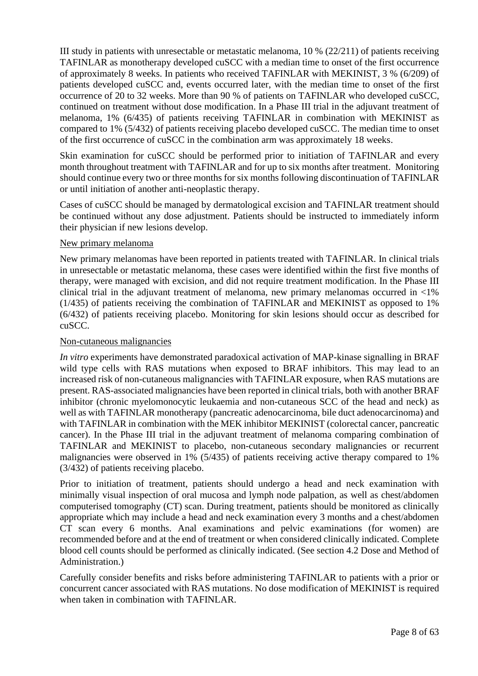III study in patients with unresectable or metastatic melanoma, 10 % (22/211) of patients receiving TAFINLAR as monotherapy developed cuSCC with a median time to onset of the first occurrence of approximately 8 weeks. In patients who received TAFINLAR with MEKINIST, 3 % (6/209) of patients developed cuSCC and, events occurred later, with the median time to onset of the first occurrence of 20 to 32 weeks. More than 90 % of patients on TAFINLAR who developed cuSCC, continued on treatment without dose modification. In a Phase III trial in the adjuvant treatment of melanoma, 1% (6/435) of patients receiving TAFINLAR in combination with MEKINIST as compared to 1% (5/432) of patients receiving placebo developed cuSCC. The median time to onset of the first occurrence of cuSCC in the combination arm was approximately 18 weeks.

Skin examination for cuSCC should be performed prior to initiation of TAFINLAR and every month throughout treatment with TAFINLAR and for up to six months after treatment. Monitoring should continue every two or three months for six months following discontinuation of TAFINLAR or until initiation of another anti-neoplastic therapy.

Cases of cuSCC should be managed by dermatological excision and TAFINLAR treatment should be continued without any dose adjustment. Patients should be instructed to immediately inform their physician if new lesions develop.

## New primary melanoma

New primary melanomas have been reported in patients treated with TAFINLAR. In clinical trials in unresectable or metastatic melanoma, these cases were identified within the first five months of therapy, were managed with excision, and did not require treatment modification. In the Phase III clinical trial in the adjuvant treatment of melanoma, new primary melanomas occurred in <1% (1/435) of patients receiving the combination of TAFINLAR and MEKINIST as opposed to 1% (6/432) of patients receiving placebo. Monitoring for skin lesions should occur as described for cuSCC.

## Non-cutaneous malignancies

*In vitro* experiments have demonstrated paradoxical activation of MAP-kinase signalling in BRAF wild type cells with RAS mutations when exposed to BRAF inhibitors. This may lead to an increased risk of non-cutaneous malignancies with TAFINLAR exposure, when RAS mutations are present. RAS-associated malignancies have been reported in clinical trials, both with another BRAF inhibitor (chronic myelomonocytic leukaemia and non-cutaneous SCC of the head and neck) as well as with TAFINLAR monotherapy (pancreatic adenocarcinoma, bile duct adenocarcinoma) and with TAFINLAR in combination with the MEK inhibitor MEKINIST (colorectal cancer, pancreatic cancer). In the Phase III trial in the adjuvant treatment of melanoma comparing combination of TAFINLAR and MEKINIST to placebo, non-cutaneous secondary malignancies or recurrent malignancies were observed in 1% (5/435) of patients receiving active therapy compared to 1% (3/432) of patients receiving placebo.

Prior to initiation of treatment, patients should undergo a head and neck examination with minimally visual inspection of oral mucosa and lymph node palpation, as well as chest/abdomen computerised tomography (CT) scan. During treatment, patients should be monitored as clinically appropriate which may include a head and neck examination every 3 months and a chest/abdomen CT scan every 6 months. Anal examinations and pelvic examinations (for women) are recommended before and at the end of treatment or when considered clinically indicated. Complete blood cell counts should be performed as clinically indicated. (See section 4.2 Dose and Method of Administration.)

Carefully consider benefits and risks before administering TAFINLAR to patients with a prior or concurrent cancer associated with RAS mutations. No dose modification of MEKINIST is required when taken in combination with TAFINLAR.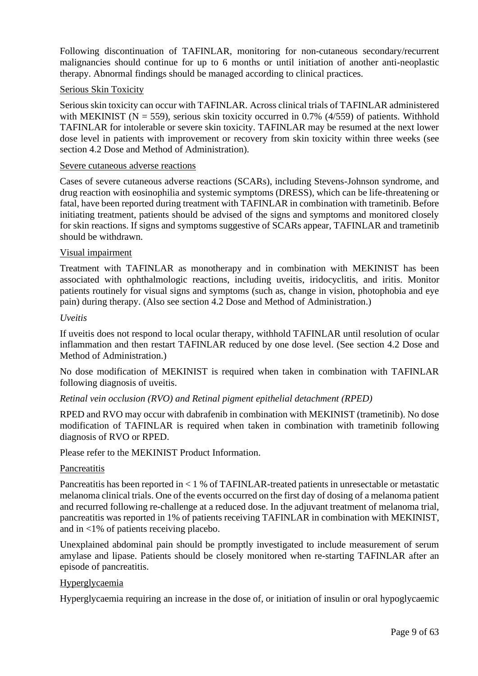Following discontinuation of TAFINLAR, monitoring for non-cutaneous secondary/recurrent malignancies should continue for up to 6 months or until initiation of another anti-neoplastic therapy. Abnormal findings should be managed according to clinical practices.

## Serious Skin Toxicity

Serious skin toxicity can occur with TAFINLAR. Across clinical trials of TAFINLAR administered with MEKINIST ( $N = 559$ ), serious skin toxicity occurred in 0.7% (4/559) of patients. Withhold TAFINLAR for intolerable or severe skin toxicity. TAFINLAR may be resumed at the next lower dose level in patients with improvement or recovery from skin toxicity within three weeks (see section 4.2 Dose and Method of Administration).

#### Severe cutaneous adverse reactions

Cases of severe cutaneous adverse reactions (SCARs), including Stevens-Johnson syndrome, and drug reaction with eosinophilia and systemic symptoms (DRESS), which can be life-threatening or fatal, have been reported during treatment with TAFINLAR in combination with trametinib. Before initiating treatment, patients should be advised of the signs and symptoms and monitored closely for skin reactions. If signs and symptoms suggestive of SCARs appear, TAFINLAR and trametinib should be withdrawn.

## Visual impairment

Treatment with TAFINLAR as monotherapy and in combination with MEKINIST has been associated with ophthalmologic reactions, including uveitis, iridocyclitis, and iritis. Monitor patients routinely for visual signs and symptoms (such as, change in vision, photophobia and eye pain) during therapy. (Also see section 4.2 Dose and Method of Administration.)

#### *Uveitis*

If uveitis does not respond to local ocular therapy, withhold TAFINLAR until resolution of ocular inflammation and then restart TAFINLAR reduced by one dose level. (See section 4.2 Dose and Method of Administration.)

No dose modification of MEKINIST is required when taken in combination with TAFINLAR following diagnosis of uveitis.

## *Retinal vein occlusion (RVO) and Retinal pigment epithelial detachment (RPED)*

RPED and RVO may occur with dabrafenib in combination with MEKINIST (trametinib). No dose modification of TAFINLAR is required when taken in combination with trametinib following diagnosis of RVO or RPED.

Please refer to the MEKINIST Product Information.

#### **Pancreatitis**

Pancreatitis has been reported in < 1 % of TAFINLAR-treated patients in unresectable or metastatic melanoma clinical trials. One of the events occurred on the first day of dosing of a melanoma patient and recurred following re-challenge at a reduced dose. In the adjuvant treatment of melanoma trial, pancreatitis was reported in 1% of patients receiving TAFINLAR in combination with MEKINIST, and in <1% of patients receiving placebo.

Unexplained abdominal pain should be promptly investigated to include measurement of serum amylase and lipase. Patients should be closely monitored when re-starting TAFINLAR after an episode of pancreatitis.

## Hyperglycaemia

Hyperglycaemia requiring an increase in the dose of, or initiation of insulin or oral hypoglycaemic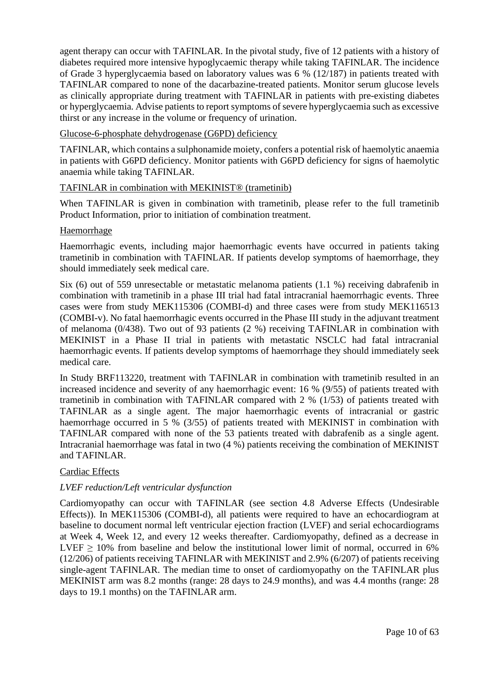agent therapy can occur with TAFINLAR. In the pivotal study, five of 12 patients with a history of diabetes required more intensive hypoglycaemic therapy while taking TAFINLAR. The incidence of Grade 3 hyperglycaemia based on laboratory values was 6 % (12/187) in patients treated with TAFINLAR compared to none of the dacarbazine-treated patients. Monitor serum glucose levels as clinically appropriate during treatment with TAFINLAR in patients with pre-existing diabetes or hyperglycaemia. Advise patients to report symptoms of severe hyperglycaemia such as excessive thirst or any increase in the volume or frequency of urination.

Glucose-6-phosphate dehydrogenase (G6PD) deficiency

TAFINLAR, which contains a sulphonamide moiety, confers a potential risk of haemolytic anaemia in patients with G6PD deficiency. Monitor patients with G6PD deficiency for signs of haemolytic anaemia while taking TAFINLAR.

## TAFINLAR in combination with MEKINIST® (trametinib)

When TAFINLAR is given in combination with trametinib, please refer to the full trametinib Product Information, prior to initiation of combination treatment.

#### Haemorrhage

Haemorrhagic events, including major haemorrhagic events have occurred in patients taking trametinib in combination with TAFINLAR. If patients develop symptoms of haemorrhage, they should immediately seek medical care.

Six (6) out of 559 unresectable or metastatic melanoma patients (1.1 %) receiving dabrafenib in combination with trametinib in a phase III trial had fatal intracranial haemorrhagic events. Three cases were from study MEK115306 (COMBI-d) and three cases were from study MEK116513 (COMBI-v). No fatal haemorrhagic events occurred in the Phase III study in the adjuvant treatment of melanoma (0/438). Two out of 93 patients (2 %) receiving TAFINLAR in combination with MEKINIST in a Phase II trial in patients with metastatic NSCLC had fatal intracranial haemorrhagic events. If patients develop symptoms of haemorrhage they should immediately seek medical care.

In Study BRF113220, treatment with TAFINLAR in combination with trametinib resulted in an increased incidence and severity of any haemorrhagic event: 16 % (9/55) of patients treated with trametinib in combination with TAFINLAR compared with 2 % (1/53) of patients treated with TAFINLAR as a single agent. The major haemorrhagic events of intracranial or gastric haemorrhage occurred in 5 % (3/55) of patients treated with MEKINIST in combination with TAFINLAR compared with none of the 53 patients treated with dabrafenib as a single agent. Intracranial haemorrhage was fatal in two (4 %) patients receiving the combination of MEKINIST and TAFINLAR.

## Cardiac Effects

## *LVEF reduction/Left ventricular dysfunction*

Cardiomyopathy can occur with TAFINLAR (see section 4.8 Adverse Effects (Undesirable Effects)). In MEK115306 (COMBI-d), all patients were required to have an echocardiogram at baseline to document normal left ventricular ejection fraction (LVEF) and serial echocardiograms at Week 4, Week 12, and every 12 weeks thereafter. Cardiomyopathy, defined as a decrease in LVEF  $\geq$  10% from baseline and below the institutional lower limit of normal, occurred in 6% (12/206) of patients receiving TAFINLAR with MEKINIST and 2.9% (6/207) of patients receiving single-agent TAFINLAR. The median time to onset of cardiomyopathy on the TAFINLAR plus MEKINIST arm was 8.2 months (range: 28 days to 24.9 months), and was 4.4 months (range: 28 days to 19.1 months) on the TAFINLAR arm.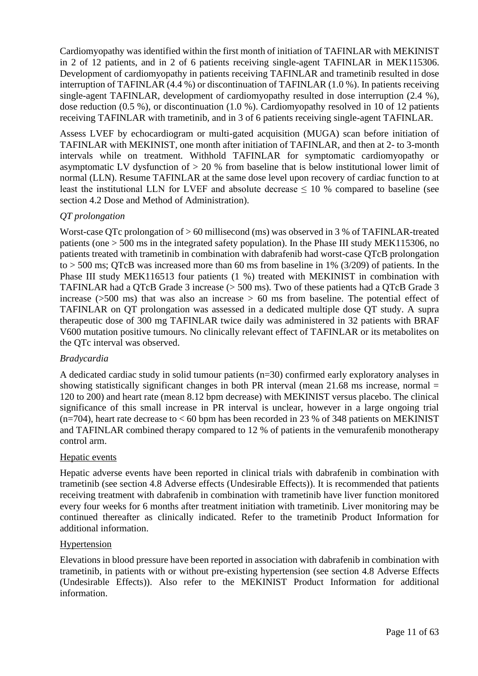Cardiomyopathy was identified within the first month of initiation of TAFINLAR with MEKINIST in 2 of 12 patients, and in 2 of 6 patients receiving single-agent TAFINLAR in MEK115306. Development of cardiomyopathy in patients receiving TAFINLAR and trametinib resulted in dose interruption of TAFINLAR (4.4 %) or discontinuation of TAFINLAR (1.0 %). In patients receiving single-agent TAFINLAR, development of cardiomyopathy resulted in dose interruption (2.4 %), dose reduction (0.5 %), or discontinuation (1.0 %). Cardiomyopathy resolved in 10 of 12 patients receiving TAFINLAR with trametinib, and in 3 of 6 patients receiving single-agent TAFINLAR.

Assess LVEF by echocardiogram or multi-gated acquisition (MUGA) scan before initiation of TAFINLAR with MEKINIST, one month after initiation of TAFINLAR, and then at 2- to 3-month intervals while on treatment. Withhold TAFINLAR for symptomatic cardiomyopathy or asymptomatic LV dysfunction of > 20 % from baseline that is below institutional lower limit of normal (LLN). Resume TAFINLAR at the same dose level upon recovery of cardiac function to at least the institutional LLN for LVEF and absolute decrease  $\leq 10$  % compared to baseline (see section 4.2 Dose and Method of Administration).

## *QT prolongation*

Worst-case QTc prolongation of > 60 millisecond (ms) was observed in 3 % of TAFINLAR-treated patients (one > 500 ms in the integrated safety population). In the Phase III study MEK115306, no patients treated with trametinib in combination with dabrafenib had worst-case QTcB prolongation to  $>$  500 ms; OTcB was increased more than 60 ms from baseline in 1% (3/209) of patients. In the Phase III study MEK116513 four patients (1 %) treated with MEKINIST in combination with TAFINLAR had a QTcB Grade 3 increase (> 500 ms). Two of these patients had a QTcB Grade 3 increase ( $>500$  ms) that was also an increase  $> 60$  ms from baseline. The potential effect of TAFINLAR on QT prolongation was assessed in a dedicated multiple dose QT study. A supra therapeutic dose of 300 mg TAFINLAR twice daily was administered in 32 patients with BRAF V600 mutation positive tumours. No clinically relevant effect of TAFINLAR or its metabolites on the QTc interval was observed.

## *Bradycardia*

A dedicated cardiac study in solid tumour patients (n=30) confirmed early exploratory analyses in showing statistically significant changes in both PR interval (mean 21.68 ms increase, normal = 120 to 200) and heart rate (mean 8.12 bpm decrease) with MEKINIST versus placebo. The clinical significance of this small increase in PR interval is unclear, however in a large ongoing trial  $(n=704)$ , heart rate decrease to  $< 60$  bpm has been recorded in 23 % of 348 patients on MEKINIST and TAFINLAR combined therapy compared to 12 % of patients in the vemurafenib monotherapy control arm.

## Hepatic events

Hepatic adverse events have been reported in clinical trials with dabrafenib in combination with trametinib (see section 4.8 Adverse effects (Undesirable Effects)). It is recommended that patients receiving treatment with dabrafenib in combination with trametinib have liver function monitored every four weeks for 6 months after treatment initiation with trametinib. Liver monitoring may be continued thereafter as clinically indicated. Refer to the trametinib Product Information for additional information.

## Hypertension

Elevations in blood pressure have been reported in association with dabrafenib in combination with trametinib, in patients with or without pre-existing hypertension (see section 4.8 Adverse Effects (Undesirable Effects)). Also refer to the MEKINIST Product Information for additional information.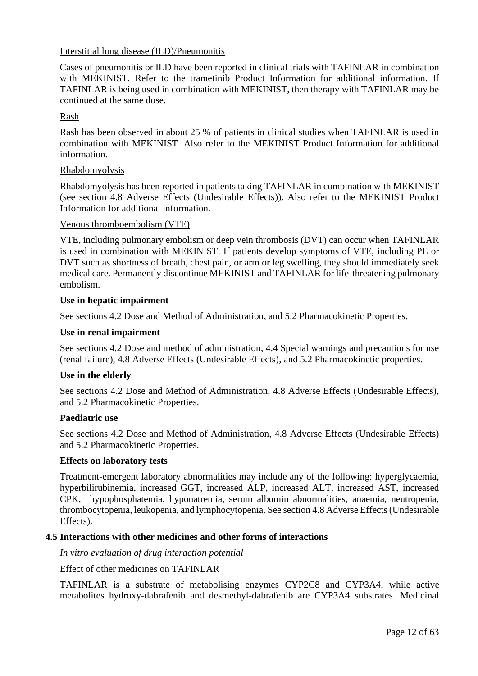## Interstitial lung disease (ILD)/Pneumonitis

Cases of pneumonitis or ILD have been reported in clinical trials with TAFINLAR in combination with MEKINIST. Refer to the trametinib Product Information for additional information. If TAFINLAR is being used in combination with MEKINIST, then therapy with TAFINLAR may be continued at the same dose.

## Rash

Rash has been observed in about 25 % of patients in clinical studies when TAFINLAR is used in combination with MEKINIST. Also refer to the MEKINIST Product Information for additional information.

## Rhabdomyolysis

Rhabdomyolysis has been reported in patients taking TAFINLAR in combination with MEKINIST (see section 4.8 Adverse Effects (Undesirable Effects)). Also refer to the MEKINIST Product Information for additional information.

## Venous thromboembolism (VTE)

VTE, including pulmonary embolism or deep vein thrombosis (DVT) can occur when TAFINLAR is used in combination with MEKINIST. If patients develop symptoms of VTE, including PE or DVT such as shortness of breath, chest pain, or arm or leg swelling, they should immediately seek medical care. Permanently discontinue MEKINIST and TAFINLAR for life-threatening pulmonary embolism.

## **Use in hepatic impairment**

See sections 4.2 Dose and Method of Administration, and 5.2 Pharmacokinetic Properties.

## **Use in renal impairment**

See sections 4.2 Dose and method of administration, 4.4 Special warnings and precautions for use (renal failure), 4.8 Adverse Effects (Undesirable Effects), and 5.2 Pharmacokinetic properties.

## **Use in the elderly**

See sections 4.2 Dose and Method of Administration, 4.8 Adverse Effects (Undesirable Effects), and 5.2 Pharmacokinetic Properties.

## **Paediatric use**

See sections 4.2 Dose and Method of Administration, 4.8 Adverse Effects (Undesirable Effects) and 5.2 Pharmacokinetic Properties.

## **Effects on laboratory tests**

Treatment-emergent laboratory abnormalities may include any of the following: hyperglycaemia, hyperbilirubinemia, increased GGT, increased ALP, increased ALT, increased AST, increased CPK, hypophosphatemia, hyponatremia, serum albumin abnormalities, anaemia, neutropenia, thrombocytopenia, leukopenia, and lymphocytopenia. See section 4.8 Adverse Effects (Undesirable Effects).

## **4.5 Interactions with other medicines and other forms of interactions**

*In vitro evaluation of drug interaction potential*

## Effect of other medicines on TAFINLAR

TAFINLAR is a substrate of metabolising enzymes CYP2C8 and CYP3A4, while active metabolites hydroxy-dabrafenib and desmethyl-dabrafenib are CYP3A4 substrates. Medicinal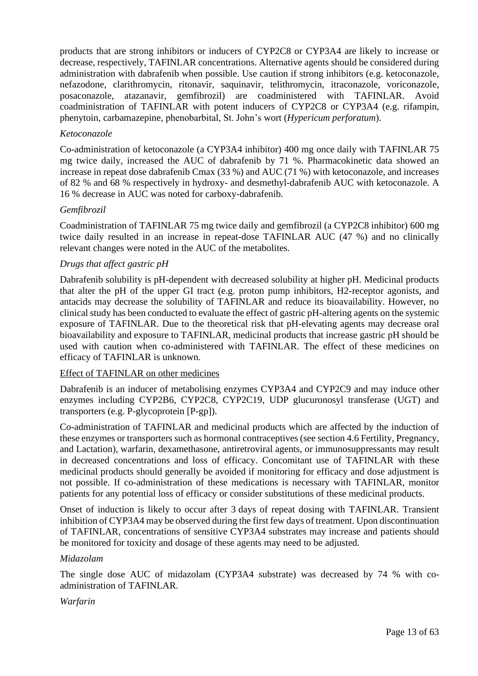products that are strong inhibitors or inducers of CYP2C8 or CYP3A4 are likely to increase or decrease, respectively, TAFINLAR concentrations. Alternative agents should be considered during administration with dabrafenib when possible. Use caution if strong inhibitors (e.g. ketoconazole, nefazodone, clarithromycin, ritonavir, saquinavir, telithromycin, itraconazole, voriconazole, posaconazole, atazanavir, gemfibrozil) are coadministered with TAFINLAR. Avoid coadministration of TAFINLAR with potent inducers of CYP2C8 or CYP3A4 (e.g. rifampin, phenytoin, carbamazepine, phenobarbital, St. John's wort (*Hypericum perforatum*).

## *Ketoconazole*

Co-administration of ketoconazole (a CYP3A4 inhibitor) 400 mg once daily with TAFINLAR 75 mg twice daily, increased the AUC of dabrafenib by 71 %. Pharmacokinetic data showed an increase in repeat dose dabrafenib Cmax (33 %) and AUC (71 %) with ketoconazole, and increases of 82 % and 68 % respectively in hydroxy- and desmethyl-dabrafenib AUC with ketoconazole. A 16 % decrease in AUC was noted for carboxy-dabrafenib.

## *Gemfibrozil*

Coadministration of TAFINLAR 75 mg twice daily and gemfibrozil (a CYP2C8 inhibitor) 600 mg twice daily resulted in an increase in repeat-dose TAFINLAR AUC (47 %) and no clinically relevant changes were noted in the AUC of the metabolites.

## *Drugs that affect gastric pH*

Dabrafenib solubility is pH-dependent with decreased solubility at higher pH. Medicinal products that alter the pH of the upper GI tract (e.g. proton pump inhibitors, H2-receptor agonists, and antacids may decrease the solubility of TAFINLAR and reduce its bioavailability. However, no clinical study has been conducted to evaluate the effect of gastric pH-altering agents on the systemic exposure of TAFINLAR. Due to the theoretical risk that pH-elevating agents may decrease oral bioavailability and exposure to TAFINLAR, medicinal products that increase gastric pH should be used with caution when co-administered with TAFINLAR. The effect of these medicines on efficacy of TAFINLAR is unknown.

## Effect of TAFINLAR on other medicines

Dabrafenib is an inducer of metabolising enzymes CYP3A4 and CYP2C9 and may induce other enzymes including CYP2B6, CYP2C8, CYP2C19, UDP glucuronosyl transferase (UGT) and transporters (e.g. P-glycoprotein [P-gp]).

Co-administration of TAFINLAR and medicinal products which are affected by the induction of these enzymes or transporters such as hormonal contraceptives (see section 4.6 Fertility, Pregnancy, and Lactation), warfarin, dexamethasone, antiretroviral agents, or immunosuppressants may result in decreased concentrations and loss of efficacy. Concomitant use of TAFINLAR with these medicinal products should generally be avoided if monitoring for efficacy and dose adjustment is not possible. If co-administration of these medications is necessary with TAFINLAR, monitor patients for any potential loss of efficacy or consider substitutions of these medicinal products.

Onset of induction is likely to occur after 3 days of repeat dosing with TAFINLAR. Transient inhibition of CYP3A4 may be observed during the first few days of treatment. Upon discontinuation of TAFINLAR, concentrations of sensitive CYP3A4 substrates may increase and patients should be monitored for toxicity and dosage of these agents may need to be adjusted.

## *Midazolam*

The single dose AUC of midazolam (CYP3A4 substrate) was decreased by 74 % with coadministration of TAFINLAR.

## *Warfarin*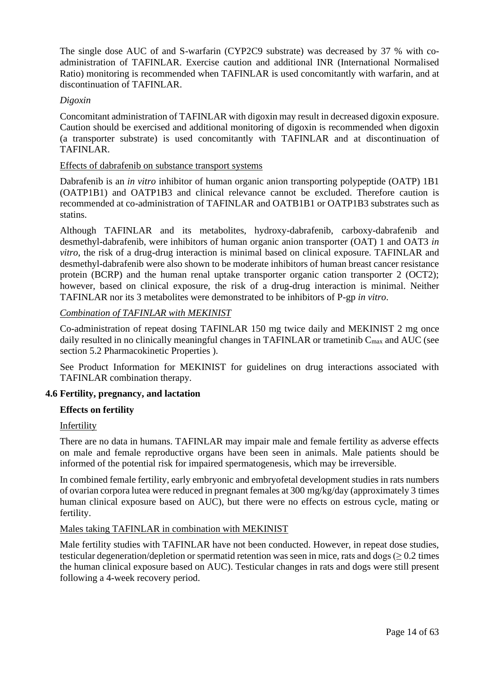The single dose AUC of and S-warfarin (CYP2C9 substrate) was decreased by 37 % with coadministration of TAFINLAR. Exercise caution and additional INR (International Normalised Ratio) monitoring is recommended when TAFINLAR is used concomitantly with warfarin, and at discontinuation of TAFINLAR.

## *Digoxin*

Concomitant administration of TAFINLAR with digoxin may result in decreased digoxin exposure. Caution should be exercised and additional monitoring of digoxin is recommended when digoxin (a transporter substrate) is used concomitantly with TAFINLAR and at discontinuation of TAFINLAR.

## Effects of dabrafenib on substance transport systems

Dabrafenib is an *in vitro* inhibitor of human organic anion transporting polypeptide (OATP) 1B1 (OATP1B1) and OATP1B3 and clinical relevance cannot be excluded. Therefore caution is recommended at co-administration of TAFINLAR and OATB1B1 or OATP1B3 substrates such as statins.

Although TAFINLAR and its metabolites, hydroxy-dabrafenib, carboxy-dabrafenib and desmethyl-dabrafenib, were inhibitors of human organic anion transporter (OAT) 1 and OAT3 *in vitro*, the risk of a drug-drug interaction is minimal based on clinical exposure. TAFINLAR and desmethyl-dabrafenib were also shown to be moderate inhibitors of human breast cancer resistance protein (BCRP) and the human renal uptake transporter organic cation transporter 2 (OCT2); however, based on clinical exposure, the risk of a drug-drug interaction is minimal. Neither TAFINLAR nor its 3 metabolites were demonstrated to be inhibitors of P-gp *in vitro*.

## *Combination of TAFINLAR with MEKINIST*

Co-administration of repeat dosing TAFINLAR 150 mg twice daily and MEKINIST 2 mg once daily resulted in no clinically meaningful changes in TAFINLAR or trametinib  $C_{\text{max}}$  and AUC (see section 5.2 Pharmacokinetic Properties ).

See Product Information for MEKINIST for guidelines on drug interactions associated with TAFINLAR combination therapy.

## **4.6 Fertility, pregnancy, and lactation**

## **Effects on fertility**

## Infertility

There are no data in humans. TAFINLAR may impair male and female fertility as adverse effects on male and female reproductive organs have been seen in animals. Male patients should be informed of the potential risk for impaired spermatogenesis, which may be irreversible.

In combined female fertility, early embryonic and embryofetal development studies in rats numbers of ovarian corpora lutea were reduced in pregnant females at 300 mg/kg/day (approximately 3 times human clinical exposure based on AUC), but there were no effects on estrous cycle, mating or fertility.

## Males taking TAFINLAR in combination with MEKINIST

Male fertility studies with TAFINLAR have not been conducted. However, in repeat dose studies, testicular degeneration/depletion or spermatid retention was seen in mice, rats and dogs  $(≥ 0.2$  times the human clinical exposure based on AUC). Testicular changes in rats and dogs were still present following a 4-week recovery period.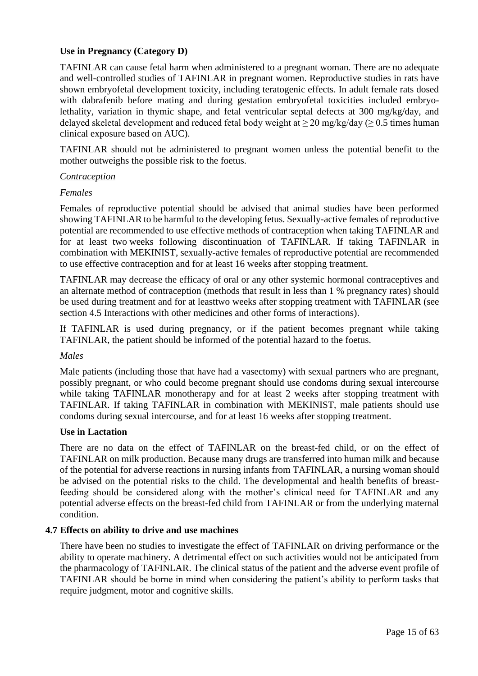## **Use in Pregnancy (Category D)**

TAFINLAR can cause fetal harm when administered to a pregnant woman. There are no adequate and well-controlled studies of TAFINLAR in pregnant women. Reproductive studies in rats have shown embryofetal development toxicity, including teratogenic effects. In adult female rats dosed with dabrafenib before mating and during gestation embryofetal toxicities included embryolethality, variation in thymic shape, and fetal ventricular septal defects at 300 mg/kg/day, and delayed skeletal development and reduced fetal body weight at  $\geq 20$  mg/kg/day ( $\geq 0.5$  times human clinical exposure based on AUC).

TAFINLAR should not be administered to pregnant women unless the potential benefit to the mother outweighs the possible risk to the foetus.

#### *Contraception*

#### *Females*

Females of reproductive potential should be advised that animal studies have been performed showing TAFINLAR to be harmful to the developing fetus. Sexually-active females of reproductive potential are recommended to use effective methods of contraception when taking TAFINLAR and for at least two weeks following discontinuation of TAFINLAR. If taking TAFINLAR in combination with MEKINIST, sexually-active females of reproductive potential are recommended to use effective contraception and for at least 16 weeks after stopping treatment.

TAFINLAR may decrease the efficacy of oral or any other systemic hormonal contraceptives and an alternate method of contraception (methods that result in less than 1 % pregnancy rates) should be used during treatment and for at leasttwo weeks after stopping treatment with TAFINLAR (see section 4.5 Interactions with other medicines and other forms of interactions).

If TAFINLAR is used during pregnancy, or if the patient becomes pregnant while taking TAFINLAR, the patient should be informed of the potential hazard to the foetus.

#### *Males*

Male patients (including those that have had a vasectomy) with sexual partners who are pregnant, possibly pregnant, or who could become pregnant should use condoms during sexual intercourse while taking TAFINLAR monotherapy and for at least 2 weeks after stopping treatment with TAFINLAR. If taking TAFINLAR in combination with MEKINIST, male patients should use condoms during sexual intercourse, and for at least 16 weeks after stopping treatment.

#### **Use in Lactation**

There are no data on the effect of TAFINLAR on the breast-fed child, or on the effect of TAFINLAR on milk production. Because many drugs are transferred into human milk and because of the potential for adverse reactions in nursing infants from TAFINLAR, a nursing woman should be advised on the potential risks to the child. The developmental and health benefits of breastfeeding should be considered along with the mother's clinical need for TAFINLAR and any potential adverse effects on the breast-fed child from TAFINLAR or from the underlying maternal condition.

#### **4.7 Effects on ability to drive and use machines**

There have been no studies to investigate the effect of TAFINLAR on driving performance or the ability to operate machinery. A detrimental effect on such activities would not be anticipated from the pharmacology of TAFINLAR. The clinical status of the patient and the adverse event profile of TAFINLAR should be borne in mind when considering the patient's ability to perform tasks that require judgment, motor and cognitive skills.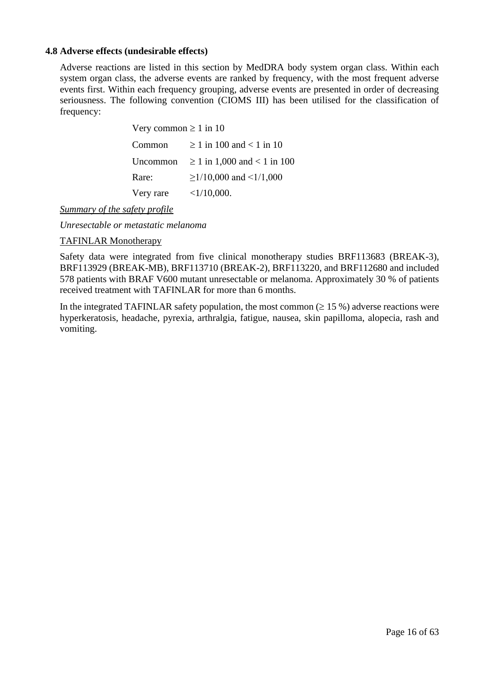## **4.8 Adverse effects (undesirable effects)**

Adverse reactions are listed in this section by MedDRA body system organ class. Within each system organ class, the adverse events are ranked by frequency, with the most frequent adverse events first. Within each frequency grouping, adverse events are presented in order of decreasing seriousness. The following convention (CIOMS III) has been utilised for the classification of frequency:

| Very common $\geq 1$ in 10 |                                  |  |  |  |
|----------------------------|----------------------------------|--|--|--|
| Common                     | $> 1$ in 100 and $< 1$ in 10     |  |  |  |
| Uncommon                   | $\geq 1$ in 1,000 and < 1 in 100 |  |  |  |
| Rare:                      | $\geq$ 1/10,000 and <1/1,000     |  |  |  |
| Very rare                  | $<1/10,000$ .                    |  |  |  |

*Summary of the safety profile*

*Unresectable or metastatic melanoma*

#### TAFINLAR Monotherapy

Safety data were integrated from five clinical monotherapy studies BRF113683 (BREAK-3), BRF113929 (BREAK-MB), BRF113710 (BREAK-2), BRF113220, and BRF112680 and included 578 patients with BRAF V600 mutant unresectable or melanoma. Approximately 30 % of patients received treatment with TAFINLAR for more than 6 months.

In the integrated TAFINLAR safety population, the most common  $(\geq 15\%)$  adverse reactions were hyperkeratosis, headache, pyrexia, arthralgia, fatigue, nausea, skin papilloma, alopecia, rash and vomiting.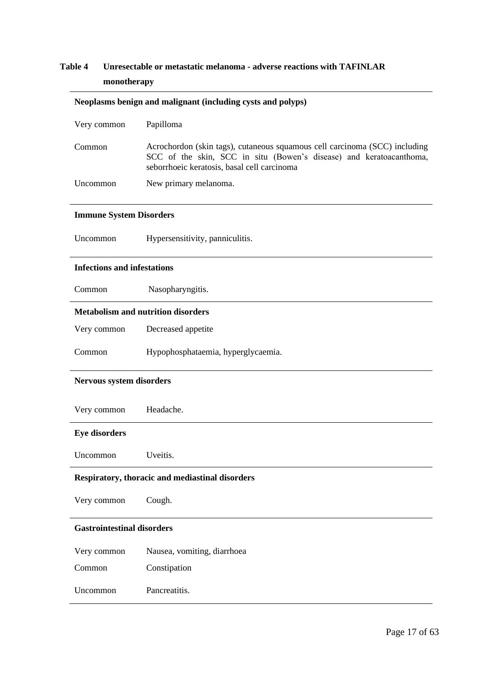# **Table 4 Unresectable or metastatic melanoma - adverse reactions with TAFINLAR monotherapy**

|                                    | Neoplasms benign and malignant (including cysts and polyps)                                                                                                                                      |
|------------------------------------|--------------------------------------------------------------------------------------------------------------------------------------------------------------------------------------------------|
| Very common                        | Papilloma                                                                                                                                                                                        |
| Common                             | Acrochordon (skin tags), cutaneous squamous cell carcinoma (SCC) including<br>SCC of the skin, SCC in situ (Bowen's disease) and keratoacanthoma,<br>seborrhoeic keratosis, basal cell carcinoma |
| Uncommon                           | New primary melanoma.                                                                                                                                                                            |
| <b>Immune System Disorders</b>     |                                                                                                                                                                                                  |
| Uncommon                           | Hypersensitivity, panniculitis.                                                                                                                                                                  |
| <b>Infections and infestations</b> |                                                                                                                                                                                                  |
| Common                             | Nasopharyngitis.                                                                                                                                                                                 |
|                                    | <b>Metabolism and nutrition disorders</b>                                                                                                                                                        |
| Very common                        | Decreased appetite                                                                                                                                                                               |
| Common                             | Hypophosphataemia, hyperglycaemia.                                                                                                                                                               |
| Nervous system disorders           |                                                                                                                                                                                                  |
| Very common                        | Headache.                                                                                                                                                                                        |
| <b>Eye disorders</b>               |                                                                                                                                                                                                  |
| Uncommon                           | Uveitis.                                                                                                                                                                                         |
|                                    | Respiratory, thoracic and mediastinal disorders                                                                                                                                                  |
| Very common                        | Cough.                                                                                                                                                                                           |
| <b>Gastrointestinal disorders</b>  |                                                                                                                                                                                                  |
| Very common                        | Nausea, vomiting, diarrhoea                                                                                                                                                                      |
| Common                             | Constipation                                                                                                                                                                                     |
| Uncommon                           | Pancreatitis.                                                                                                                                                                                    |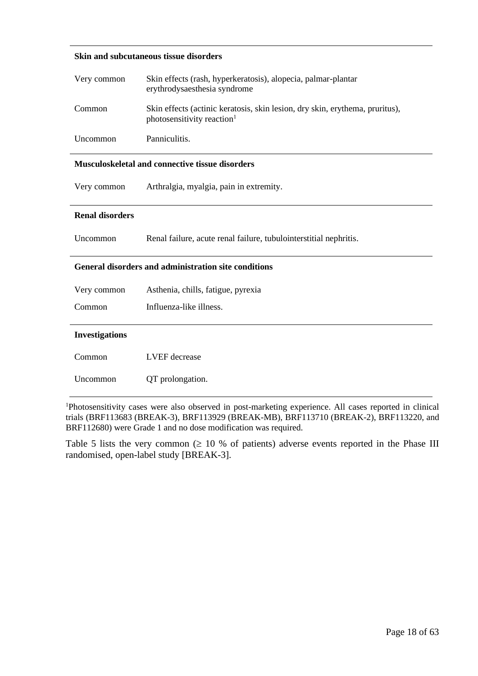#### **Skin and subcutaneous tissue disorders**

| Very common            | Skin effects (rash, hyperkeratosis), alopecia, palmar-plantar<br>erythrodysaesthesia syndrome                          |  |  |  |  |
|------------------------|------------------------------------------------------------------------------------------------------------------------|--|--|--|--|
| Common                 | Skin effects (actinic keratosis, skin lesion, dry skin, erythema, pruritus),<br>photosensitivity reaction <sup>1</sup> |  |  |  |  |
| Uncommon               | Panniculitis.                                                                                                          |  |  |  |  |
|                        | <b>Musculoskeletal and connective tissue disorders</b>                                                                 |  |  |  |  |
| Very common            | Arthralgia, myalgia, pain in extremity.                                                                                |  |  |  |  |
| <b>Renal disorders</b> |                                                                                                                        |  |  |  |  |
| Uncommon               | Renal failure, acute renal failure, tubulointerstitial nephritis.                                                      |  |  |  |  |
|                        | General disorders and administration site conditions                                                                   |  |  |  |  |
| Very common            | Asthenia, chills, fatigue, pyrexia                                                                                     |  |  |  |  |
| Common                 | Influenza-like illness.                                                                                                |  |  |  |  |
| <b>Investigations</b>  |                                                                                                                        |  |  |  |  |
| Common                 | LVEF decrease                                                                                                          |  |  |  |  |
| Uncommon               | QT prolongation.                                                                                                       |  |  |  |  |

<sup>1</sup>Photosensitivity cases were also observed in post-marketing experience. All cases reported in clinical trials (BRF113683 (BREAK-3), BRF113929 (BREAK-MB), BRF113710 (BREAK-2), BRF113220, and BRF112680) were Grade 1 and no dose modification was required.

Table 5 lists the very common  $( \geq 10 \% )$  of patients) adverse events reported in the Phase III randomised, open-label study [BREAK-3].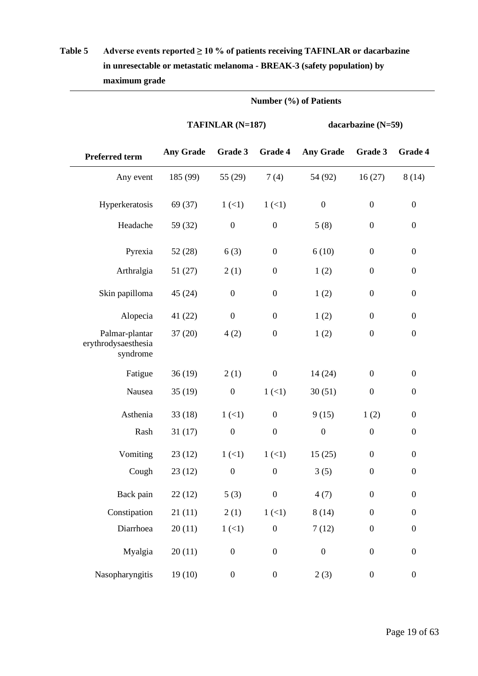|                                                   | Number (%) of Patients |                  |                  |                    |                  |                  |
|---------------------------------------------------|------------------------|------------------|------------------|--------------------|------------------|------------------|
|                                                   | TAFINLAR (N=187)       |                  |                  | dacarbazine (N=59) |                  |                  |
| <b>Preferred term</b>                             | <b>Any Grade</b>       | Grade 3          | <b>Grade 4</b>   | <b>Any Grade</b>   | Grade 3          | Grade 4          |
| Any event                                         | 185 (99)               | 55 (29)          | 7(4)             | 54 (92)            | 16(27)           | 8(14)            |
| Hyperkeratosis                                    | 69 (37)                | 1(1)             | 1(1)             | $\boldsymbol{0}$   | $\boldsymbol{0}$ | $\boldsymbol{0}$ |
| Headache                                          | 59 (32)                | $\boldsymbol{0}$ | $\boldsymbol{0}$ | 5(8)               | $\boldsymbol{0}$ | $\boldsymbol{0}$ |
| Pyrexia                                           | 52(28)                 | 6(3)             | $\boldsymbol{0}$ | 6(10)              | $\boldsymbol{0}$ | $\boldsymbol{0}$ |
| Arthralgia                                        | 51(27)                 | 2(1)             | $\boldsymbol{0}$ | 1(2)               | $\boldsymbol{0}$ | $\boldsymbol{0}$ |
| Skin papilloma                                    | 45(24)                 | $\boldsymbol{0}$ | $\boldsymbol{0}$ | 1(2)               | $\boldsymbol{0}$ | $\boldsymbol{0}$ |
| Alopecia                                          | 41(22)                 | $\boldsymbol{0}$ | $\boldsymbol{0}$ | 1(2)               | $\boldsymbol{0}$ | $\boldsymbol{0}$ |
| Palmar-plantar<br>erythrodysaesthesia<br>syndrome | 37(20)                 | 4(2)             | $\boldsymbol{0}$ | 1(2)               | $\boldsymbol{0}$ | $\boldsymbol{0}$ |
| Fatigue                                           | 36(19)                 | 2(1)             | $\boldsymbol{0}$ | 14 (24)            | $\boldsymbol{0}$ | $\boldsymbol{0}$ |
| Nausea                                            | 35(19)                 | $\boldsymbol{0}$ | 1(1)             | 30(51)             | $\boldsymbol{0}$ | $\boldsymbol{0}$ |
| Asthenia                                          | 33(18)                 | 1(1)             | $\boldsymbol{0}$ | 9(15)              | 1(2)             | $\boldsymbol{0}$ |
| Rash                                              | 31(17)                 | $\boldsymbol{0}$ | $\boldsymbol{0}$ | $\boldsymbol{0}$   | $\boldsymbol{0}$ | $\boldsymbol{0}$ |
| Vomiting                                          | 23(12)                 | 1(1)             | $1 (\lt 1)$      | 15(25)             | $\overline{0}$   | $\boldsymbol{0}$ |
| Cough                                             | 23(12)                 | $\boldsymbol{0}$ | $\boldsymbol{0}$ | 3(5)               | $\boldsymbol{0}$ | $\boldsymbol{0}$ |
| Back pain                                         | 22(12)                 | 5(3)             | $\boldsymbol{0}$ | 4(7)               | $\boldsymbol{0}$ | $\boldsymbol{0}$ |
| Constipation                                      | 21(11)                 | 2(1)             | 1(1)             | 8(14)              | $\boldsymbol{0}$ | $\boldsymbol{0}$ |
| Diarrhoea                                         | 20(11)                 | 1(1)             | $\boldsymbol{0}$ | 7(12)              | $\boldsymbol{0}$ | $\boldsymbol{0}$ |
| Myalgia                                           | 20(11)                 | $\boldsymbol{0}$ | $\boldsymbol{0}$ | $\boldsymbol{0}$   | $\boldsymbol{0}$ | $\boldsymbol{0}$ |
| Nasopharyngitis                                   | 19(10)                 | $\boldsymbol{0}$ | $\boldsymbol{0}$ | 2(3)               | $\boldsymbol{0}$ | $\boldsymbol{0}$ |

# **Table 5 Adverse events reported ≥ 10 % of patients receiving TAFINLAR or dacarbazine in unresectable or metastatic melanoma - BREAK-3 (safety population) by maximum grade**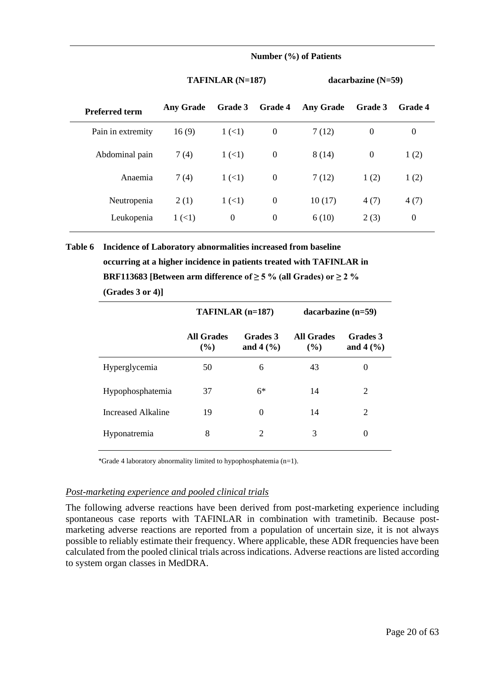#### **Number (%) of Patients**

#### **TAFINLAR (N=187) dacarbazine (N=59)**

| <b>Preferred term</b> | <b>Any Grade</b> | Grade 3      | <b>Grade 4</b> | <b>Any Grade</b> | <b>Grade 3</b> | <b>Grade 4</b>   |
|-----------------------|------------------|--------------|----------------|------------------|----------------|------------------|
| Pain in extremity     | 16(9)            | $1 (\leq 1)$ | $\theta$       | 7(12)            | $\theta$       | 0                |
| Abdominal pain        | 7(4)             | 1(1)         | $\theta$       | 8(14)            | $\theta$       | 1(2)             |
| Anaemia               | 7(4)             | 1(1)         | $\overline{0}$ | 7(12)            | 1(2)           | 1(2)             |
| Neutropenia           | 2(1)             | 1(1)         | $\mathbf{0}$   | 10(17)           | 4(7)           | 4(7)             |
| Leukopenia            | 1(1)             | $\theta$     | $\theta$       | 6(10)            | 2(3)           | $\boldsymbol{0}$ |

**Table 6 Incidence of Laboratory abnormalities increased from baseline occurring at a higher incidence in patients treated with TAFINLAR in BRF113683 [Between arm difference of**  $\geq$  **5 % (all Grades) or**  $\geq$  **2 % (Grades 3 or 4)]**

|                    | $TAFINLAR$ $(n=187)$     |                          | $dacarbazine (n=59)$     |                          |
|--------------------|--------------------------|--------------------------|--------------------------|--------------------------|
|                    | <b>All Grades</b><br>(%) | Grades 3<br>and $4\,(%)$ | <b>All Grades</b><br>(%) | Grades 3<br>and $4\,(%)$ |
| Hyperglycemia      | 50                       | 6                        | 43                       | 0                        |
| Hypophosphatemia   | 37                       | $6*$                     | 14                       | 2                        |
| Increased Alkaline | 19                       | $\theta$                 | 14                       | 2                        |
| Hyponatremia       | 8                        | $\overline{2}$           | 3                        | 0                        |

\*Grade 4 laboratory abnormality limited to hypophosphatemia (n=1).

#### *Post-marketing experience and pooled clinical trials*

The following adverse reactions have been derived from post-marketing experience including spontaneous case reports with TAFINLAR in combination with trametinib. Because postmarketing adverse reactions are reported from a population of uncertain size, it is not always possible to reliably estimate their frequency. Where applicable, these ADR frequencies have been calculated from the pooled clinical trials across indications. Adverse reactions are listed according to system organ classes in MedDRA.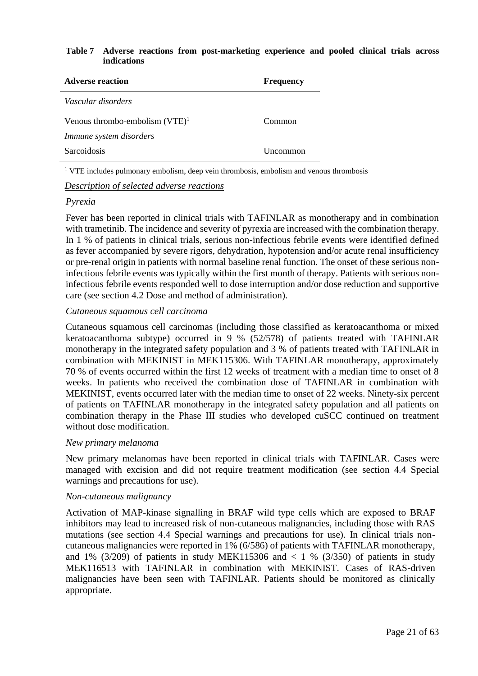#### **Table 7 Adverse reactions from post-marketing experience and pooled clinical trials across indications**

| <b>Adverse reaction</b>           | <b>Frequency</b> |
|-----------------------------------|------------------|
| Vascular disorders                |                  |
| Venous thrombo-embolism $(VTE)^1$ | Common           |
| Immune system disorders           |                  |
| <b>Sarcoidosis</b>                | Uncommon         |

<sup>1</sup> VTE includes pulmonary embolism, deep vein thrombosis, embolism and venous thrombosis

#### *Description of selected adverse reactions*

## *Pyrexia*

Fever has been reported in clinical trials with TAFINLAR as monotherapy and in combination with trametinib. The incidence and severity of pyrexia are increased with the combination therapy. In 1 % of patients in clinical trials, serious non-infectious febrile events were identified defined as fever accompanied by severe rigors, dehydration, hypotension and/or acute renal insufficiency or pre-renal origin in patients with normal baseline renal function. The onset of these serious noninfectious febrile events was typically within the first month of therapy. Patients with serious noninfectious febrile events responded well to dose interruption and/or dose reduction and supportive care (see section 4.2 Dose and method of administration).

## *Cutaneous squamous cell carcinoma*

Cutaneous squamous cell carcinomas (including those classified as keratoacanthoma or mixed keratoacanthoma subtype) occurred in 9 % (52/578) of patients treated with TAFINLAR monotherapy in the integrated safety population and 3 % of patients treated with TAFINLAR in combination with MEKINIST in MEK115306. With TAFINLAR monotherapy, approximately 70 % of events occurred within the first 12 weeks of treatment with a median time to onset of 8 weeks. In patients who received the combination dose of TAFINLAR in combination with MEKINIST, events occurred later with the median time to onset of 22 weeks. Ninety-six percent of patients on TAFINLAR monotherapy in the integrated safety population and all patients on combination therapy in the Phase III studies who developed cuSCC continued on treatment without dose modification.

## *New primary melanoma*

New primary melanomas have been reported in clinical trials with TAFINLAR. Cases were managed with excision and did not require treatment modification (see section 4.4 Special warnings and precautions for use).

## *Non-cutaneous malignancy*

Activation of MAP-kinase signalling in BRAF wild type cells which are exposed to BRAF inhibitors may lead to increased risk of non-cutaneous malignancies, including those with RAS mutations (see section 4.4 Special warnings and precautions for use). In clinical trials noncutaneous malignancies were reported in 1% (6/586) of patients with TAFINLAR monotherapy, and 1% (3/209) of patients in study MEK115306 and  $\lt$  1 % (3/350) of patients in study MEK116513 with TAFINLAR in combination with MEKINIST. Cases of RAS-driven malignancies have been seen with TAFINLAR. Patients should be monitored as clinically appropriate.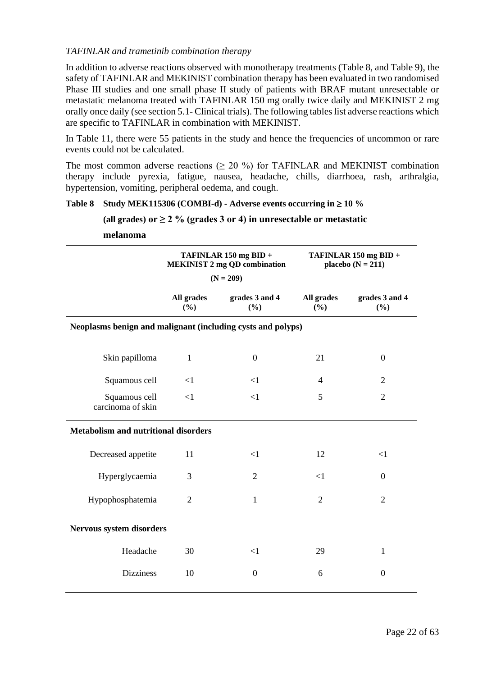## *TAFINLAR and trametinib combination therapy*

In addition to adverse reactions observed with monotherapy treatments (Table 8, and Table 9), the safety of TAFINLAR and MEKINIST combination therapy has been evaluated in two randomised Phase III studies and one small phase II study of patients with BRAF mutant unresectable or metastatic melanoma treated with TAFINLAR 150 mg orally twice daily and MEKINIST 2 mg orally once daily (see section 5.1- Clinical trials). The following tables list adverse reactions which are specific to TAFINLAR in combination with MEKINIST.

In Table 11, there were 55 patients in the study and hence the frequencies of uncommon or rare events could not be calculated.

The most common adverse reactions  $(≥ 20 %)$  for TAFINLAR and MEKINIST combination therapy include pyrexia, fatigue, nausea, headache, chills, diarrhoea, rash, arthralgia, hypertension, vomiting, peripheral oedema, and cough.

#### Table 8 **Study MEK115306 (COMBI-d) -** Adverse events occurring in  $\geq 10\%$

#### (all grades) or  $\geq 2$  % (grades 3 or 4) in unresectable or metastatic

**melanoma**

|                                                             | TAFINLAR 150 mg BID +<br><b>MEKINIST 2 mg QD combination</b> |                       | TAFINLAR 150 mg BID +<br>placebo $(N = 211)$ |                       |  |  |
|-------------------------------------------------------------|--------------------------------------------------------------|-----------------------|----------------------------------------------|-----------------------|--|--|
|                                                             | $(N = 209)$                                                  |                       |                                              |                       |  |  |
|                                                             | All grades<br>(%)                                            | grades 3 and 4<br>(%) | All grades<br>(%)                            | grades 3 and 4<br>(%) |  |  |
| Neoplasms benign and malignant (including cysts and polyps) |                                                              |                       |                                              |                       |  |  |
| Skin papilloma                                              | $\mathbf{1}$                                                 | $\mathbf{0}$          | 21                                           | $\boldsymbol{0}$      |  |  |
| Squamous cell                                               | $\leq$ 1                                                     | $\leq$ 1              | 4                                            | $\overline{2}$        |  |  |
| Squamous cell<br>carcinoma of skin                          | $\leq$ 1                                                     | $\leq$ 1              | 5                                            | $\overline{2}$        |  |  |
| <b>Metabolism and nutritional disorders</b>                 |                                                              |                       |                                              |                       |  |  |
| Decreased appetite                                          | 11                                                           | $\leq$ 1              | 12                                           | $<$ 1                 |  |  |
| Hyperglycaemia                                              | 3                                                            | $\overline{2}$        | $<$ 1                                        | $\boldsymbol{0}$      |  |  |
| Hypophosphatemia                                            | $\overline{2}$                                               | $\mathbf{1}$          | $\overline{2}$                               | $\overline{2}$        |  |  |
| Nervous system disorders                                    |                                                              |                       |                                              |                       |  |  |
| Headache                                                    | 30                                                           | <1                    | 29                                           | $\mathbf{1}$          |  |  |
| <b>Dizziness</b>                                            | 10                                                           | $\mathbf{0}$          | 6                                            | $\overline{0}$        |  |  |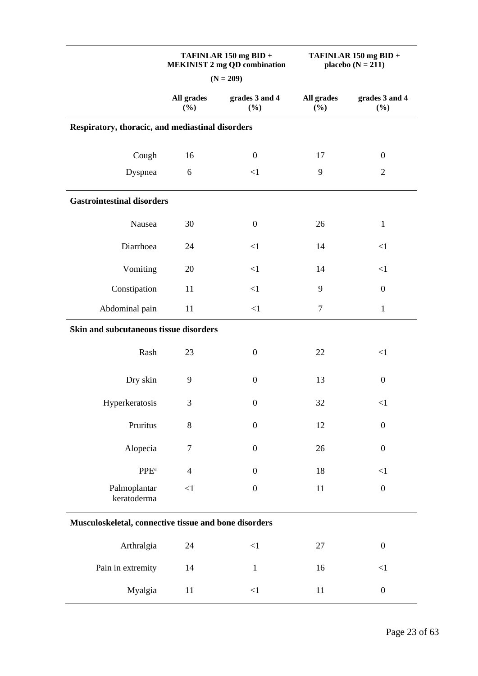|                                                       |                      | TAFINLAR 150 mg BID +<br><b>MEKINIST 2 mg QD combination</b><br>$(N = 209)$ | TAFINLAR 150 mg BID +<br>placebo $(N = 211)$ |                       |  |  |  |  |
|-------------------------------------------------------|----------------------|-----------------------------------------------------------------------------|----------------------------------------------|-----------------------|--|--|--|--|
|                                                       | All grades<br>$(\%)$ | grades 3 and 4<br>$(\%)$                                                    | All grades<br>(%)                            | grades 3 and 4<br>(%) |  |  |  |  |
| Respiratory, thoracic, and mediastinal disorders      |                      |                                                                             |                                              |                       |  |  |  |  |
| Cough                                                 | 16                   | $\boldsymbol{0}$                                                            | 17                                           | $\boldsymbol{0}$      |  |  |  |  |
| Dyspnea                                               | 6                    | <1                                                                          | 9                                            | $\overline{2}$        |  |  |  |  |
| <b>Gastrointestinal disorders</b>                     |                      |                                                                             |                                              |                       |  |  |  |  |
| Nausea                                                | 30                   | $\boldsymbol{0}$                                                            | 26                                           | $\mathbf{1}$          |  |  |  |  |
| Diarrhoea                                             | 24                   | $\leq$ 1                                                                    | 14                                           | <1                    |  |  |  |  |
| Vomiting                                              | 20                   | <1                                                                          | 14                                           | <1                    |  |  |  |  |
| Constipation                                          | 11                   | <1                                                                          | 9                                            | $\boldsymbol{0}$      |  |  |  |  |
| Abdominal pain                                        | 11                   | <1                                                                          | $\overline{7}$                               | $\mathbf{1}$          |  |  |  |  |
| Skin and subcutaneous tissue disorders                |                      |                                                                             |                                              |                       |  |  |  |  |
| Rash                                                  | 23                   | $\boldsymbol{0}$                                                            | 22                                           | $<$ 1                 |  |  |  |  |
| Dry skin                                              | 9                    | $\boldsymbol{0}$                                                            | 13                                           | $\boldsymbol{0}$      |  |  |  |  |
| Hyperkeratosis                                        | $\mathfrak{Z}$       | $\boldsymbol{0}$                                                            | 32                                           | <1                    |  |  |  |  |
| Pruritus                                              | 8                    | $\boldsymbol{0}$                                                            | 12                                           | $\boldsymbol{0}$      |  |  |  |  |
| Alopecia                                              | $\tau$               | $\boldsymbol{0}$                                                            | 26                                           | $\boldsymbol{0}$      |  |  |  |  |
| PPE <sup>a</sup>                                      | $\overline{4}$       | $\boldsymbol{0}$                                                            | 18                                           | $\leq$ 1              |  |  |  |  |
| Palmoplantar<br>keratoderma                           | <1                   | $\boldsymbol{0}$                                                            | 11                                           | $\boldsymbol{0}$      |  |  |  |  |
| Musculoskeletal, connective tissue and bone disorders |                      |                                                                             |                                              |                       |  |  |  |  |
| Arthralgia                                            | 24                   | $\leq$ 1                                                                    | 27                                           | $\boldsymbol{0}$      |  |  |  |  |
| Pain in extremity                                     | 14                   | $\mathbf{1}$                                                                | 16                                           | $\leq$ 1              |  |  |  |  |
| Myalgia                                               | 11                   | $<\!\!1$                                                                    | 11                                           | $\boldsymbol{0}$      |  |  |  |  |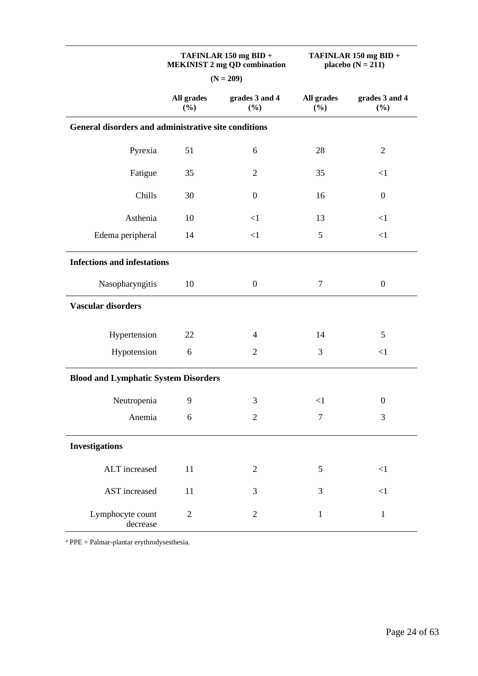|                                                      | TAFINLAR 150 mg BID +<br><b>MEKINIST 2 mg QD combination</b> |                          | TAFINLAR 150 mg BID +<br>placebo $(N = 211)$ |                       |  |  |  |  |
|------------------------------------------------------|--------------------------------------------------------------|--------------------------|----------------------------------------------|-----------------------|--|--|--|--|
|                                                      |                                                              | $(N = 209)$              |                                              |                       |  |  |  |  |
|                                                      | All grades<br>$(\%)$                                         | grades 3 and 4<br>$(\%)$ | All grades<br>(%)                            | grades 3 and 4<br>(%) |  |  |  |  |
| General disorders and administrative site conditions |                                                              |                          |                                              |                       |  |  |  |  |
| Pyrexia                                              | 51                                                           | 6                        | 28                                           | $\overline{2}$        |  |  |  |  |
| Fatigue                                              | 35                                                           | $\overline{2}$           | 35                                           | $\leq$ 1              |  |  |  |  |
| Chills                                               | 30                                                           | $\boldsymbol{0}$         | 16                                           | $\boldsymbol{0}$      |  |  |  |  |
| Asthenia                                             | 10                                                           | <1                       | 13                                           | <1                    |  |  |  |  |
| Edema peripheral                                     | 14                                                           | $\leq$ 1                 | $\mathfrak{S}$                               | $<1\,$                |  |  |  |  |
| <b>Infections and infestations</b>                   |                                                              |                          |                                              |                       |  |  |  |  |
| Nasopharyngitis                                      | 10                                                           | $\boldsymbol{0}$         | 7                                            | $\boldsymbol{0}$      |  |  |  |  |
| <b>Vascular disorders</b>                            |                                                              |                          |                                              |                       |  |  |  |  |
| Hypertension                                         | 22                                                           | $\overline{4}$           | 14                                           | 5                     |  |  |  |  |
| Hypotension                                          | 6                                                            | $\overline{2}$           | 3                                            | $\leq$ 1              |  |  |  |  |
| <b>Blood and Lymphatic System Disorders</b>          |                                                              |                          |                                              |                       |  |  |  |  |
| Neutropenia                                          | 9                                                            | 3                        | <1                                           | $\boldsymbol{0}$      |  |  |  |  |
| Anemia                                               | 6                                                            | $\overline{2}$           | 7                                            | 3                     |  |  |  |  |
| <b>Investigations</b>                                |                                                              |                          |                                              |                       |  |  |  |  |
| ALT increased                                        | 11                                                           | $\overline{2}$           | 5                                            | $<1\,$                |  |  |  |  |
| <b>AST</b> increased                                 | 11                                                           | 3                        | 3                                            | $\leq$ 1              |  |  |  |  |
| Lymphocyte count<br>decrease                         | $\sqrt{2}$                                                   | $\mathbf{2}$             | $\mathbf{1}$                                 | $\mathbf{1}$          |  |  |  |  |

 $a$  PPE = Palmar-plantar erythrodysesthesia.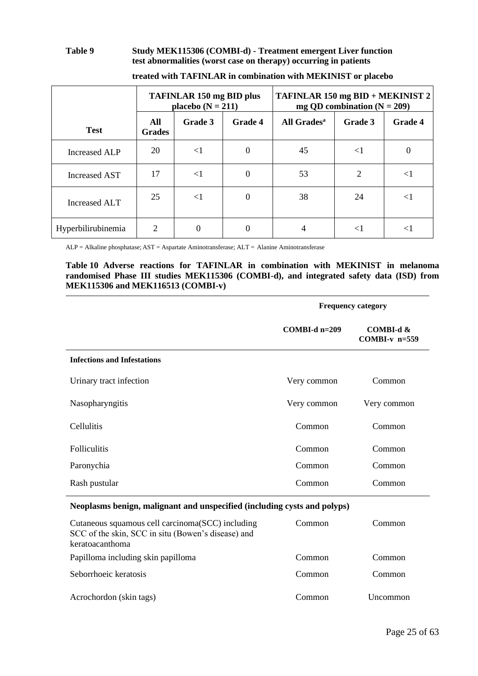#### **Table 9 Study MEK115306 (COMBI-d) - Treatment emergent Liver function test abnormalities (worst case on therapy) occurring in patients**

|                      | <b>TAFINLAR 150 mg BID plus</b><br>placebo $(N = 211)$ |          |                  | TAFINLAR 150 mg BID + MEKINIST 2<br>mg QD combination $(N = 209)$ |                |          |
|----------------------|--------------------------------------------------------|----------|------------------|-------------------------------------------------------------------|----------------|----------|
| <b>Test</b>          | All<br><b>Grades</b>                                   | Grade 3  | <b>Grade 4</b>   | All Grades <sup>a</sup>                                           | Grade 3        | Grade 4  |
| <b>Increased ALP</b> | 20                                                     | $<$ 1    | $\boldsymbol{0}$ | 45                                                                | $\leq$ 1       | 0        |
| Increased AST        | 17                                                     | $\leq$ 1 | $\boldsymbol{0}$ | 53                                                                | $\overline{2}$ | $<$ l    |
| Increased ALT        | 25                                                     | $\leq$ 1 | $\boldsymbol{0}$ | 38                                                                | 24             | $\leq$ 1 |
| Hyperbilirubinemia   | $\overline{2}$                                         | $\Omega$ | 0                | 4                                                                 | $\leq$ 1       | $\leq$ 1 |

**treated with TAFINLAR in combination with MEKINIST or placebo**

ALP = Alkaline phosphatase; AST = Aspartate Aminotransferase; ALT = Alanine Aminotransferase

#### **Table 10 Adverse reactions for TAFINLAR in combination with MEKINIST in melanoma randomised Phase III studies MEK115306 (COMBI-d), and integrated safety data (ISD) from MEK115306 and MEK116513 (COMBI-v)**

|                                                                                                                            | <b>Frequency category</b> |                                 |  |  |
|----------------------------------------------------------------------------------------------------------------------------|---------------------------|---------------------------------|--|--|
|                                                                                                                            | $COMBI-d$ n=209           | COMBI-d $&$<br>COMBI- $v$ n=559 |  |  |
| <b>Infections and Infestations</b>                                                                                         |                           |                                 |  |  |
| Urinary tract infection                                                                                                    | Very common               | Common                          |  |  |
| Nasopharyngitis                                                                                                            | Very common               | Very common                     |  |  |
| Cellulitis                                                                                                                 | Common                    | Common                          |  |  |
| <b>Folliculitis</b>                                                                                                        | Common                    | Common                          |  |  |
| Paronychia                                                                                                                 | Common                    | Common                          |  |  |
| Rash pustular                                                                                                              | Common                    | Common                          |  |  |
| Neoplasms benign, malignant and unspecified (including cysts and polyps)                                                   |                           |                                 |  |  |
| Cutaneous squamous cell carcinoma (SCC) including<br>SCC of the skin, SCC in situ (Bowen's disease) and<br>keratoacanthoma | Common                    | Common                          |  |  |
| Papilloma including skin papilloma                                                                                         | Common                    | Common                          |  |  |
| Seborrhoeic keratosis                                                                                                      | Common                    | Common                          |  |  |
| Acrochordon (skin tags)                                                                                                    | Common                    | Uncommon                        |  |  |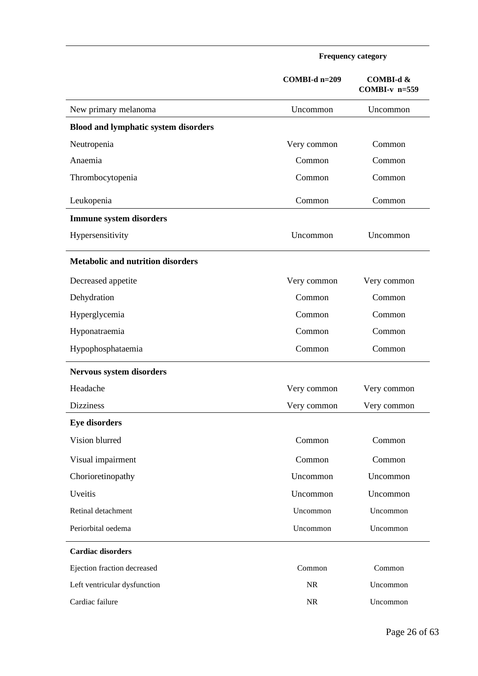|                                             | COMBI-d n=209 | COMBI-d &<br>COMBI- $v$ n=559 |
|---------------------------------------------|---------------|-------------------------------|
| New primary melanoma                        | Uncommon      | Uncommon                      |
| <b>Blood and lymphatic system disorders</b> |               |                               |
| Neutropenia                                 | Very common   | Common                        |
| Anaemia                                     | Common        | Common                        |
| Thrombocytopenia                            | Common        | Common                        |
| Leukopenia                                  | Common        | Common                        |
| <b>Immune system disorders</b>              |               |                               |
| Hypersensitivity                            | Uncommon      | Uncommon                      |
| <b>Metabolic and nutrition disorders</b>    |               |                               |
| Decreased appetite                          | Very common   | Very common                   |
| Dehydration                                 | Common        | Common                        |
| Hyperglycemia                               | Common        | Common                        |
| Hyponatraemia                               | Common        | Common                        |
| Hypophosphataemia                           | Common        | Common                        |
| <b>Nervous system disorders</b>             |               |                               |
| Headache                                    | Very common   | Very common                   |
| <b>Dizziness</b>                            | Very common   | Very common                   |
| <b>Eye disorders</b>                        |               |                               |
| Vision blurred                              | Common        | Common                        |
| Visual impairment                           | Common        | Common                        |
| Chorioretinopathy                           | Uncommon      | Uncommon                      |
| Uveitis                                     | Uncommon      | Uncommon                      |
| Retinal detachment                          | Uncommon      | Uncommon                      |
| Periorbital oedema                          | Uncommon      | Uncommon                      |
| <b>Cardiac disorders</b>                    |               |                               |
| Ejection fraction decreased                 | Common        | Common                        |
| Left ventricular dysfunction                | NR            | Uncommon                      |
| Cardiac failure                             | NR            | Uncommon                      |

**Frequency category**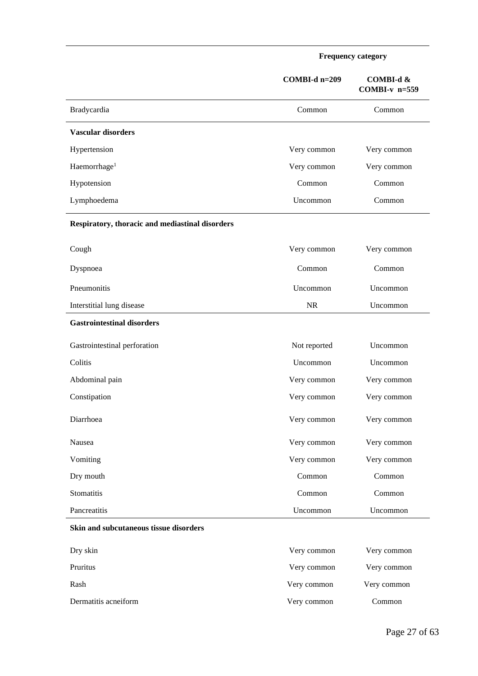|                                                 | <b>Frequency category</b> |                              |  |
|-------------------------------------------------|---------------------------|------------------------------|--|
|                                                 | COMBI-d n=209             | COMBI-d &<br>$COMBI-v$ n=559 |  |
| Bradycardia                                     | Common                    | Common                       |  |
| <b>Vascular disorders</b>                       |                           |                              |  |
| Hypertension                                    | Very common               | Very common                  |  |
| Haemorrhage <sup>1</sup>                        | Very common               | Very common                  |  |
| Hypotension                                     | Common                    | Common                       |  |
| Lymphoedema                                     | Uncommon                  | Common                       |  |
| Respiratory, thoracic and mediastinal disorders |                           |                              |  |
| Cough                                           | Very common               | Very common                  |  |
| Dyspnoea                                        | Common                    | Common                       |  |
| Pneumonitis                                     | Uncommon                  | Uncommon                     |  |
| Interstitial lung disease                       | <b>NR</b>                 | Uncommon                     |  |
| <b>Gastrointestinal disorders</b>               |                           |                              |  |
| Gastrointestinal perforation                    | Not reported              | Uncommon                     |  |
| Colitis                                         | Uncommon                  | Uncommon                     |  |
| Abdominal pain                                  | Very common               | Very common                  |  |
| Constipation                                    | Very common               | Very common                  |  |
| Diarrhoea                                       | Very common               | Very common                  |  |
| Nausea                                          | Very common               | Very common                  |  |
| Vomiting                                        | Very common               | Very common                  |  |
| Dry mouth                                       | Common                    | Common                       |  |
| Stomatitis                                      | Common                    | Common                       |  |
| Pancreatitis                                    | Uncommon                  | Uncommon                     |  |
| Skin and subcutaneous tissue disorders          |                           |                              |  |
| Dry skin                                        | Very common               | Very common                  |  |
| Pruritus                                        | Very common               | Very common                  |  |

Rash Very common Very common Very common Very common Very common very common very common very common very common very common very common very common very common very common very common very common very common very common v

Dermatitis acneiform Very common Common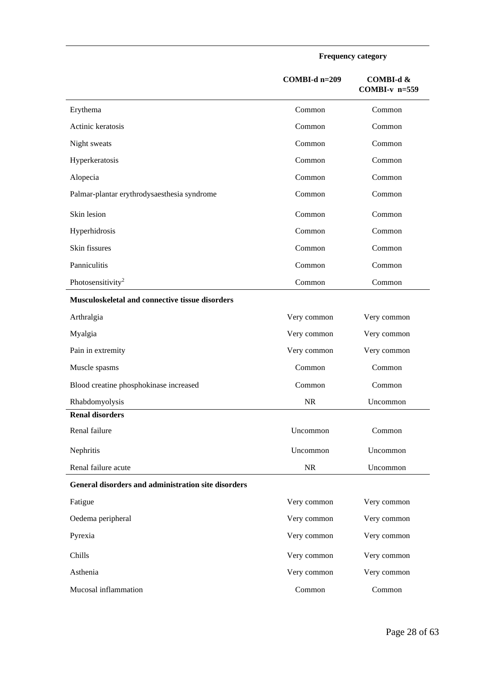**Frequency category**

|                                                     | COMBI-d n=209 | COMBI-d &<br>COMBI- $v$ n=559 |
|-----------------------------------------------------|---------------|-------------------------------|
| Erythema                                            | Common        | Common                        |
| Actinic keratosis                                   | Common        | Common                        |
| Night sweats                                        | Common        | Common                        |
| Hyperkeratosis                                      | Common        | Common                        |
| Alopecia                                            | Common        | Common                        |
| Palmar-plantar erythrodysaesthesia syndrome         | Common        | Common                        |
| Skin lesion                                         | Common        | Common                        |
| Hyperhidrosis                                       | Common        | Common                        |
| Skin fissures                                       | Common        | Common                        |
| Panniculitis                                        | Common        | Common                        |
| Photosensitivity <sup>2</sup>                       | Common        | Common                        |
| Musculoskeletal and connective tissue disorders     |               |                               |
| Arthralgia                                          | Very common   | Very common                   |
| Myalgia                                             | Very common   | Very common                   |
| Pain in extremity                                   | Very common   | Very common                   |
| Muscle spasms                                       | Common        | Common                        |
| Blood creatine phosphokinase increased              | Common        | Common                        |
| Rhabdomyolysis                                      | <b>NR</b>     | Uncommon                      |
| <b>Renal disorders</b>                              |               |                               |
| Renal failure                                       | Uncommon      | Common                        |
| Nephritis                                           | Uncommon      | Uncommon                      |
| Renal failure acute                                 | NR            | Uncommon                      |
| General disorders and administration site disorders |               |                               |
| Fatigue                                             | Very common   | Very common                   |
| Oedema peripheral                                   | Very common   | Very common                   |
| Pyrexia                                             | Very common   | Very common                   |
| Chills                                              | Very common   | Very common                   |
| Asthenia                                            | Very common   | Very common                   |
| Mucosal inflammation                                | Common        | Common                        |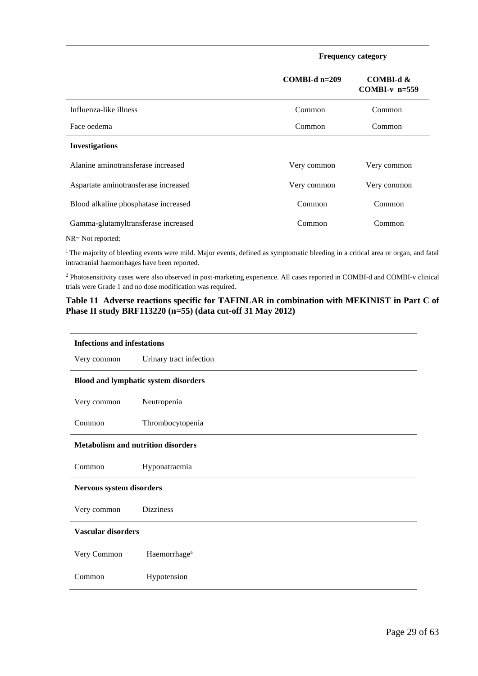**Frequency category**

|                                      | $COMBLd$ n=209 | COMBI-d &<br>COMBI- $v$ n=559 |
|--------------------------------------|----------------|-------------------------------|
| Influenza-like illness               | Common         | Common                        |
| Face oedema                          | Common         | Common                        |
| <b>Investigations</b>                |                |                               |
| Alanine aminotransferase increased   | Very common    | Very common                   |
| Aspartate aminotransferase increased | Very common    | Very common                   |
| Blood alkaline phosphatase increased | Common         | Common                        |
| Gamma-glutamyltransferase increased  | Common         | Common                        |

NR= Not reported;

<sup>1</sup> The majority of bleeding events were mild. Major events, defined as symptomatic bleeding in a critical area or organ, and fatal intracranial haemorrhages have been reported.

<sup>2</sup> Photosensitivity cases were also observed in post-marketing experience. All cases reported in COMBI-d and COMBI-v clinical trials were Grade 1 and no dose modification was required.

#### **Table 11 Adverse reactions specific for TAFINLAR in combination with MEKINIST in Part C of Phase II study BRF113220 (n=55) (data cut-off 31 May 2012)**

| <b>Infections and infestations</b>        |                                             |  |  |  |
|-------------------------------------------|---------------------------------------------|--|--|--|
| Very common                               | Urinary tract infection                     |  |  |  |
|                                           | <b>Blood and lymphatic system disorders</b> |  |  |  |
| Very common                               | Neutropenia                                 |  |  |  |
| Common                                    | Thrombocytopenia                            |  |  |  |
| <b>Metabolism and nutrition disorders</b> |                                             |  |  |  |
| Common                                    | Hyponatraemia                               |  |  |  |
| Nervous system disorders                  |                                             |  |  |  |
| Very common                               | <b>Dizziness</b>                            |  |  |  |
| <b>Vascular disorders</b>                 |                                             |  |  |  |
| Very Common                               | Haemorrhage <sup>a</sup>                    |  |  |  |
| Common                                    | Hypotension                                 |  |  |  |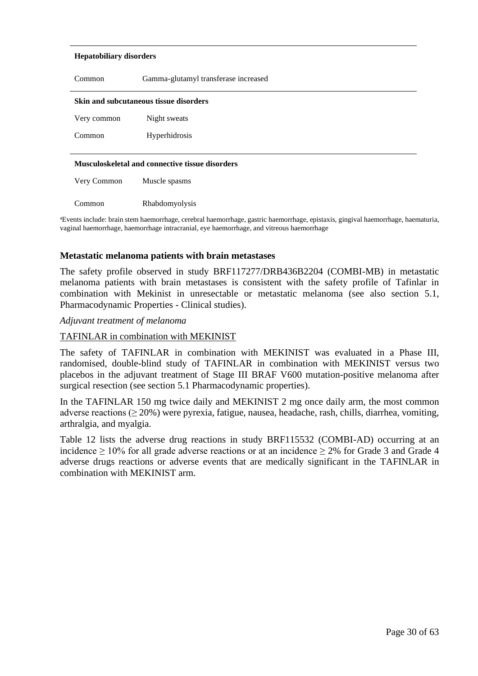#### **Hepatobiliary disorders**

| Common                                                                                 | Gamma-glutamyl transferase increased |  |  |  |
|----------------------------------------------------------------------------------------|--------------------------------------|--|--|--|
| <b>Skin and subcutaneous tissue disorders</b>                                          |                                      |  |  |  |
| Very common                                                                            | Night sweats                         |  |  |  |
| Common                                                                                 | Hyperhidrosis                        |  |  |  |
| <b>Musculoskeletal and connective tissue disorders</b><br>Very Common<br>Muscle spasms |                                      |  |  |  |
| Common                                                                                 | Rhabdomyolysis                       |  |  |  |

<sup>a</sup>Events include: brain stem haemorrhage, cerebral haemorrhage, gastric haemorrhage, epistaxis, gingival haemorrhage, haematuria, vaginal haemorrhage, haemorrhage intracranial, eye haemorrhage, and vitreous haemorrhage

#### **Metastatic melanoma patients with brain metastases**

The safety profile observed in study BRF117277/DRB436B2204 (COMBI-MB) in metastatic melanoma patients with brain metastases is consistent with the safety profile of Tafinlar in combination with Mekinist in unresectable or metastatic melanoma (see also section 5.1, Pharmacodynamic Properties - Clinical studies).

#### *Adjuvant treatment of melanoma*

#### TAFINLAR in combination with MEKINIST

The safety of TAFINLAR in combination with MEKINIST was evaluated in a Phase III, randomised, double-blind study of TAFINLAR in combination with MEKINIST versus two placebos in the adjuvant treatment of Stage III BRAF V600 mutation-positive melanoma after surgical resection (see section 5.1 Pharmacodynamic properties).

In the TAFINLAR 150 mg twice daily and MEKINIST 2 mg once daily arm, the most common adverse reactions ( $\geq$  20%) were pyrexia, fatigue, nausea, headache, rash, chills, diarrhea, vomiting, arthralgia, and myalgia.

Table 12 lists the adverse drug reactions in study BRF115532 (COMBI-AD) occurring at an incidence  $\geq 10\%$  for all grade adverse reactions or at an incidence  $\geq 2\%$  for Grade 3 and Grade 4 adverse drugs reactions or adverse events that are medically significant in the TAFINLAR in combination with MEKINIST arm.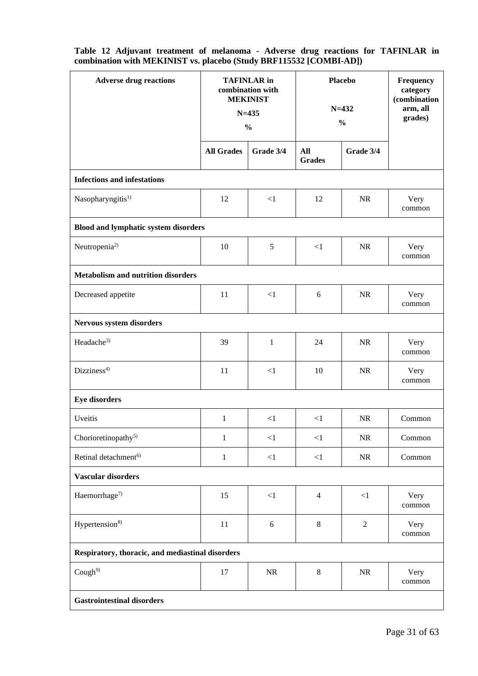| <b>Adverse drug reactions</b>                    | <b>TAFINLAR</b> in<br>combination with<br><b>MEKINIST</b><br>$N = 435$<br>$\frac{0}{0}$ |                  | <b>Placebo</b><br>$N = 432$<br>$\frac{0}{0}$ |                | Frequency<br>category<br>(combination<br>arm, all<br>grades) |  |  |
|--------------------------------------------------|-----------------------------------------------------------------------------------------|------------------|----------------------------------------------|----------------|--------------------------------------------------------------|--|--|
|                                                  | <b>All Grades</b>                                                                       | Grade 3/4        | All<br><b>Grades</b>                         | Grade 3/4      |                                                              |  |  |
| <b>Infections and infestations</b>               |                                                                                         |                  |                                              |                |                                                              |  |  |
| Nasopharyngitis <sup>1)</sup>                    | 12                                                                                      | $\leq$ 1         | 12                                           | <b>NR</b>      | Very<br>common                                               |  |  |
| <b>Blood and lymphatic system disorders</b>      |                                                                                         |                  |                                              |                |                                                              |  |  |
| Neutropenia <sup>2)</sup>                        | 10                                                                                      | 5                | $\leq$ 1                                     | <b>NR</b>      | Very<br>common                                               |  |  |
| <b>Metabolism and nutrition disorders</b>        |                                                                                         |                  |                                              |                |                                                              |  |  |
| Decreased appetite                               | 11                                                                                      | $\leq$ 1         | 6                                            | <b>NR</b>      | Very<br>common                                               |  |  |
| Nervous system disorders                         |                                                                                         |                  |                                              |                |                                                              |  |  |
| Headache <sup>3)</sup>                           | 39                                                                                      | 1                | 24                                           | <b>NR</b>      | Very<br>common                                               |  |  |
| Dizziness <sup>4)</sup>                          | 11                                                                                      | $\leq$ 1         | 10                                           | <b>NR</b>      | Very<br>common                                               |  |  |
| <b>Eye disorders</b>                             |                                                                                         |                  |                                              |                |                                                              |  |  |
| Uveitis                                          | 1                                                                                       | $\leq$ 1         | $<$ 1                                        | <b>NR</b>      | Common                                                       |  |  |
| Chorioretinopathy <sup>5)</sup>                  | $\,1$                                                                                   | $<\!\!1$         | $\leq$ 1                                     | $\rm NR$       | Common                                                       |  |  |
| Retinal detachment <sup>6)</sup>                 | $\mathbf{1}$                                                                            | $\leq$ 1         | $\leq$ 1                                     | NR             | Common                                                       |  |  |
| Vascular disorders                               |                                                                                         |                  |                                              |                |                                                              |  |  |
| Haemorrhage <sup>7)</sup>                        | 15                                                                                      | $<1\,$           | $\overline{4}$                               | <1             | Very<br>common                                               |  |  |
| Hypertension <sup>8)</sup>                       | 11                                                                                      | $\boldsymbol{6}$ | $\,8\,$                                      | $\overline{c}$ | Very<br>common                                               |  |  |
| Respiratory, thoracic, and mediastinal disorders |                                                                                         |                  |                                              |                |                                                              |  |  |
| Cough $9$                                        | 17                                                                                      | NR               | $\,8\,$                                      | NR             | Very<br>common                                               |  |  |
| <b>Gastrointestinal disorders</b>                |                                                                                         |                  |                                              |                |                                                              |  |  |

**Table 12 Adjuvant treatment of melanoma - Adverse drug reactions for TAFINLAR in combination with MEKINIST vs. placebo (Study BRF115532 [COMBI-AD])**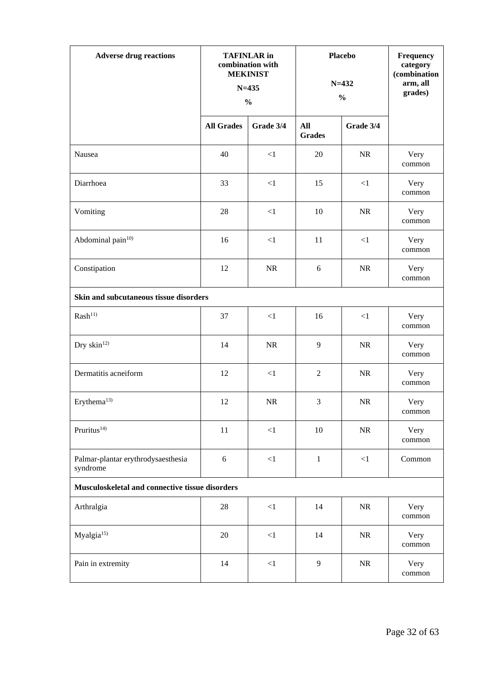| <b>Adverse drug reactions</b>                   | <b>TAFINLAR</b> in<br>combination with<br><b>MEKINIST</b><br>$N = 435$<br>$\frac{0}{0}$ |           | <b>Placebo</b><br>$N = 432$<br>$\frac{0}{0}$ |           | Frequency<br>category<br>(combination<br>arm, all<br>grades) |  |
|-------------------------------------------------|-----------------------------------------------------------------------------------------|-----------|----------------------------------------------|-----------|--------------------------------------------------------------|--|
|                                                 | <b>All Grades</b>                                                                       | Grade 3/4 | All<br><b>Grades</b>                         | Grade 3/4 |                                                              |  |
| Nausea                                          | 40                                                                                      | $<1\,$    | 20                                           | NR        | Very<br>common                                               |  |
| Diarrhoea                                       | 33                                                                                      | $<1\,$    | 15                                           | $\leq$ 1  | Very<br>common                                               |  |
| Vomiting                                        | 28                                                                                      | $<1\,$    | 10                                           | NR        | Very<br>common                                               |  |
| Abdominal pain <sup>10)</sup>                   | 16                                                                                      | $<1\,$    | 11                                           | $\leq$ 1  | Very<br>common                                               |  |
| Constipation                                    | 12                                                                                      | $\rm NR$  | 6                                            | NR        | Very<br>common                                               |  |
| Skin and subcutaneous tissue disorders          |                                                                                         |           |                                              |           |                                                              |  |
| Rash <sup>11</sup>                              | 37                                                                                      | $\leq$ 1  | 16                                           | <1        | Very<br>common                                               |  |
| Dry skin <sup>12)</sup>                         | 14                                                                                      | NR        | 9                                            | NR        | Very<br>common                                               |  |
| Dermatitis acneiform                            | 12                                                                                      | $<\!\!1$  | $\mathfrak{2}$                               | NR        | Very<br>common                                               |  |
| Erythema $^{13)}$                               | 12                                                                                      | <b>NR</b> | 3                                            | NR        | Very<br>common                                               |  |
| Pruritus <sup>14)</sup>                         | 11                                                                                      | <1        | 10                                           | NR        | Very<br>common                                               |  |
| Palmar-plantar erythrodysaesthesia<br>syndrome  | 6                                                                                       | ${<}1$    | $\mathbf{1}$                                 | ${<}1$    | Common                                                       |  |
| Musculoskeletal and connective tissue disorders |                                                                                         |           |                                              |           |                                                              |  |
| Arthralgia                                      | 28                                                                                      | $<1\,$    | 14                                           | NR        | Very<br>common                                               |  |
| Myalgia <sup>15)</sup>                          | 20                                                                                      | $<1\,$    | 14                                           | NR        | Very<br>common                                               |  |
| Pain in extremity                               | 14                                                                                      | $<\!\!1$  | 9                                            | NR        | Very<br>common                                               |  |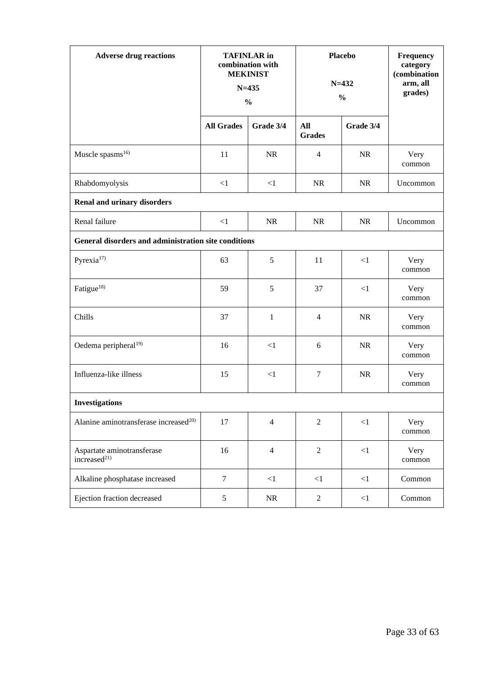| <b>Adverse drug reactions</b>                          | <b>TAFINLAR</b> in<br>combination with<br><b>MEKINIST</b><br>$N = 435$<br>$\frac{0}{0}$ |                | <b>Placebo</b><br>$N = 432$<br>$\frac{0}{0}$ |           | Frequency<br>category<br>(combination<br>arm, all<br>grades) |  |
|--------------------------------------------------------|-----------------------------------------------------------------------------------------|----------------|----------------------------------------------|-----------|--------------------------------------------------------------|--|
|                                                        | <b>All Grades</b>                                                                       | Grade 3/4      | All<br><b>Grades</b>                         | Grade 3/4 |                                                              |  |
| Muscle spasms <sup>16)</sup>                           | 11                                                                                      | <b>NR</b>      | $\overline{4}$                               | <b>NR</b> | Very<br>common                                               |  |
| Rhabdomyolysis                                         | $\leq$ 1                                                                                | $\leq$ 1       | <b>NR</b>                                    | <b>NR</b> | Uncommon                                                     |  |
| <b>Renal and urinary disorders</b>                     |                                                                                         |                |                                              |           |                                                              |  |
| Renal failure                                          | $\leq$ 1                                                                                | <b>NR</b>      | <b>NR</b>                                    | <b>NR</b> | Uncommon                                                     |  |
| General disorders and administration site conditions   |                                                                                         |                |                                              |           |                                                              |  |
| Pyrexia <sup>17)</sup>                                 | 63                                                                                      | 5              | 11                                           | <1        | Very<br>common                                               |  |
| Fatigue <sup>18)</sup>                                 | 59                                                                                      | 5              | 37                                           | <1        | Very<br>common                                               |  |
| Chills                                                 | 37                                                                                      | $\mathbf{1}$   | $\overline{4}$                               | <b>NR</b> | Very<br>common                                               |  |
| Oedema peripheral <sup>19)</sup>                       | 16                                                                                      | $\leq$ 1       | 6                                            | NR        | Very<br>common                                               |  |
| Influenza-like illness                                 | 15                                                                                      | <1             | $\tau$                                       | NR        | Very<br>common                                               |  |
| Investigations                                         |                                                                                         |                |                                              |           |                                                              |  |
| Alanine aminotransferase increased <sup>20)</sup>      | 17                                                                                      | $\overline{4}$ | $\mathbf{2}$                                 | $<\!\!1$  | Very<br>common                                               |  |
| Aspartate aminotransferase<br>increased <sup>21)</sup> | 16                                                                                      | $\overline{4}$ | $\overline{2}$                               | ${<}1$    | Very<br>common                                               |  |
| Alkaline phosphatase increased                         | $\tau$                                                                                  | $<\!\!1$       | ${<}1$                                       | $\leq$ 1  | Common                                                       |  |
| Ejection fraction decreased                            | $\mathfrak{S}$                                                                          | NR             | $\overline{2}$                               | <1        | Common                                                       |  |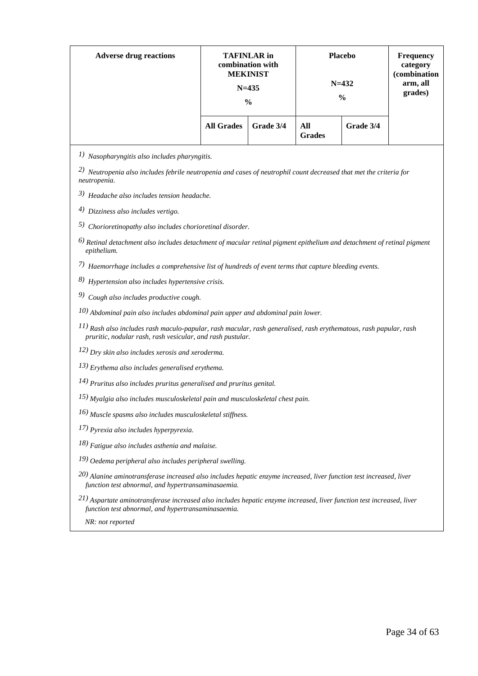| <b>Adverse drug reactions</b> | <b>TAFINLAR</b> in<br>combination with<br><b>MEKINIST</b><br>$N = 435$<br>$\frac{0}{0}$ |           |                      | <b>Placebo</b><br>$N = 432$<br>$\frac{6}{9}$ | <b>Frequency</b><br>category<br>(combination<br>arm, all<br>grades) |
|-------------------------------|-----------------------------------------------------------------------------------------|-----------|----------------------|----------------------------------------------|---------------------------------------------------------------------|
|                               | <b>All Grades</b>                                                                       | Grade 3/4 | All<br><b>Grades</b> | Grade 3/4                                    |                                                                     |

*1) Nasopharyngitis also includes pharyngitis.*

*2) Neutropenia also includes febrile neutropenia and cases of neutrophil count decreased that met the criteria for neutropenia.*

*3) Headache also includes tension headache.*

*4) Dizziness also includes vertigo.*

*5) Chorioretinopathy also includes chorioretinal disorder.*

*6) Retinal detachment also includes detachment of macular retinal pigment epithelium and detachment of retinal pigment epithelium.*

*7) Haemorrhage includes a comprehensive list of hundreds of event terms that capture bleeding events.*

*8) Hypertension also includes hypertensive crisis.*

*9) Cough also includes productive cough.*

*10) Abdominal pain also includes abdominal pain upper and abdominal pain lower.*

*11) Rash also includes rash maculo-papular, rash macular, rash generalised, rash erythematous, rash papular, rash pruritic, nodular rash, rash vesicular, and rash pustular.*

*12) Dry skin also includes xerosis and xeroderma.*

*13) Erythema also includes generalised erythema.*

*14) Pruritus also includes pruritus generalised and pruritus genital.*

*15) Myalgia also includes musculoskeletal pain and musculoskeletal chest pain.*

*16) Muscle spasms also includes musculoskeletal stiffness.*

*17) Pyrexia also includes hyperpyrexia.*

- *18) Fatigue also includes asthenia and malaise.*
- *19) Oedema peripheral also includes peripheral swelling.*
- *20) Alanine aminotransferase increased also includes hepatic enzyme increased, liver function test increased, liver function test abnormal, and hypertransaminasaemia.*
- *21) Aspartate aminotransferase increased also includes hepatic enzyme increased, liver function test increased, liver function test abnormal, and hypertransaminasaemia.*

 *NR: not reported*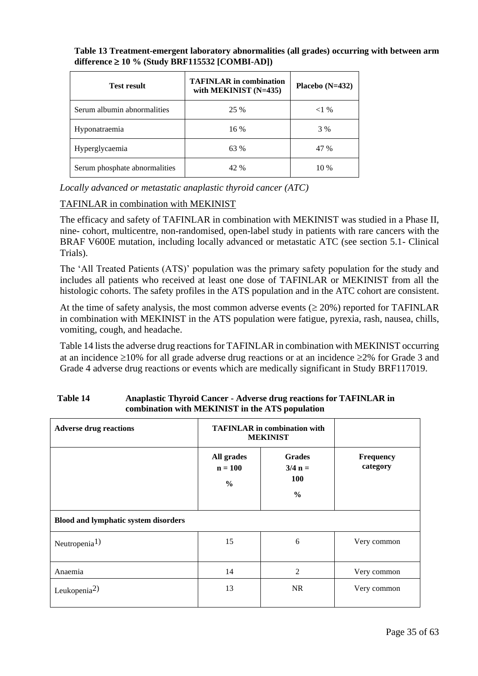| <b>Test result</b>            | <b>TAFINLAR</b> in combination<br>with MEKINIST (N=435) | Placebo $(N=432)$ |
|-------------------------------|---------------------------------------------------------|-------------------|
| Serum albumin abnormalities   | 25 %                                                    | $<1\%$            |
| Hyponatraemia                 | 16 %                                                    | 3 %               |
| Hyperglycaemia                | 63 %                                                    | 47 %              |
| Serum phosphate abnormalities | 42 %                                                    | 10 %              |

## **Table 13 Treatment-emergent laboratory abnormalities (all grades) occurring with between arm**  difference ≥ 10 % (Study BRF115532 [COMBI-AD])

*Locally advanced or metastatic anaplastic thyroid cancer (ATC)*

## TAFINLAR in combination with MEKINIST

The efficacy and safety of TAFINLAR in combination with MEKINIST was studied in a Phase II, nine- cohort, multicentre, non-randomised, open-label study in patients with rare cancers with the BRAF V600E mutation, including locally advanced or metastatic ATC (see section 5.1- Clinical Trials).

The 'All Treated Patients (ATS)' population was the primary safety population for the study and includes all patients who received at least one dose of TAFINLAR or MEKINIST from all the histologic cohorts. The safety profiles in the ATS population and in the ATC cohort are consistent.

At the time of safety analysis, the most common adverse events  $(\geq 20\%)$  reported for TAFINLAR in combination with MEKINIST in the ATS population were fatigue, pyrexia, rash, nausea, chills, vomiting, cough, and headache.

Table 14 lists the adverse drug reactions for TAFINLAR in combination with MEKINIST occurring at an incidence  $\geq 10\%$  for all grade adverse drug reactions or at an incidence  $\geq 2\%$  for Grade 3 and Grade 4 adverse drug reactions or events which are medically significant in Study BRF117019.

| <b>Adverse drug reactions</b>               | <b>TAFINLAR</b> in combination with<br><b>MEKINIST</b> |                                                           |                              |
|---------------------------------------------|--------------------------------------------------------|-----------------------------------------------------------|------------------------------|
|                                             | All grades<br>$n = 100$<br>$\frac{0}{0}$               | <b>Grades</b><br>$3/4 n =$<br><b>100</b><br>$\frac{0}{0}$ | <b>Frequency</b><br>category |
| <b>Blood and lymphatic system disorders</b> |                                                        |                                                           |                              |
| Neutropenia <sup>1)</sup>                   | 15                                                     | 6                                                         | Very common                  |
| Anaemia                                     | 14                                                     | 2                                                         | Very common                  |
| Leukopenia <sup>2)</sup>                    | 13                                                     | <b>NR</b>                                                 | Very common                  |

## **Table 14 Anaplastic Thyroid Cancer - Adverse drug reactions for TAFINLAR in combination with MEKINIST in the ATS population**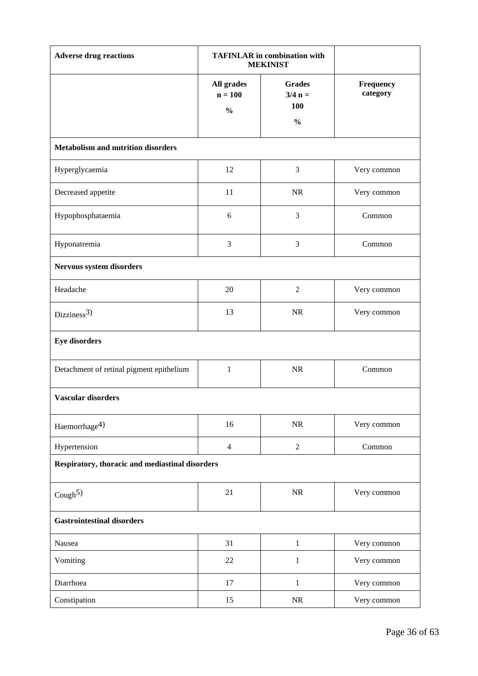| <b>Adverse drug reactions</b>                   | <b>TAFINLAR</b> in combination with<br><b>MEKINIST</b> |                                                    |                       |  |  |
|-------------------------------------------------|--------------------------------------------------------|----------------------------------------------------|-----------------------|--|--|
|                                                 | All grades<br>$n = 100$<br>$\frac{0}{0}$               | <b>Grades</b><br>$3/4 n =$<br>100<br>$\frac{0}{0}$ | Frequency<br>category |  |  |
| <b>Metabolism and nutrition disorders</b>       |                                                        |                                                    |                       |  |  |
| Hyperglycaemia                                  | 12                                                     | 3                                                  | Very common           |  |  |
| Decreased appetite                              | 11                                                     | <b>NR</b>                                          | Very common           |  |  |
| Hypophosphataemia                               | $\sqrt{6}$                                             | 3                                                  | Common                |  |  |
| Hyponatremia                                    | 3                                                      | 3                                                  | Common                |  |  |
| Nervous system disorders                        |                                                        |                                                    |                       |  |  |
| Headache                                        | 20                                                     | $\mathfrak{2}$                                     | Very common           |  |  |
| Dizziness <sup>3)</sup>                         | 13                                                     | <b>NR</b>                                          | Very common           |  |  |
| <b>Eye disorders</b>                            |                                                        |                                                    |                       |  |  |
| Detachment of retinal pigment epithelium        | $\mathbf{1}$                                           | $\rm NR$                                           | Common                |  |  |
| <b>Vascular disorders</b>                       |                                                        |                                                    |                       |  |  |
| Haemorrhage <sup>4)</sup>                       | 16                                                     | $\rm NR$                                           | Very common           |  |  |
| Hypertension                                    | $\overline{4}$                                         | $\sqrt{2}$                                         | Common                |  |  |
| Respiratory, thoracic and mediastinal disorders |                                                        |                                                    |                       |  |  |
| Cough <sup>5)</sup>                             | 21                                                     | $\rm NR$                                           | Very common           |  |  |
| <b>Gastrointestinal disorders</b>               |                                                        |                                                    |                       |  |  |
| Nausea                                          | 31                                                     | $\mathbf{1}$                                       | Very common           |  |  |
| Vomiting                                        | 22                                                     | $\mathbf{1}$                                       | Very common           |  |  |
| Diarrhoea                                       | 17                                                     | $\mathbf{1}$                                       | Very common           |  |  |
| Constipation                                    | 15                                                     | NR                                                 | Very common           |  |  |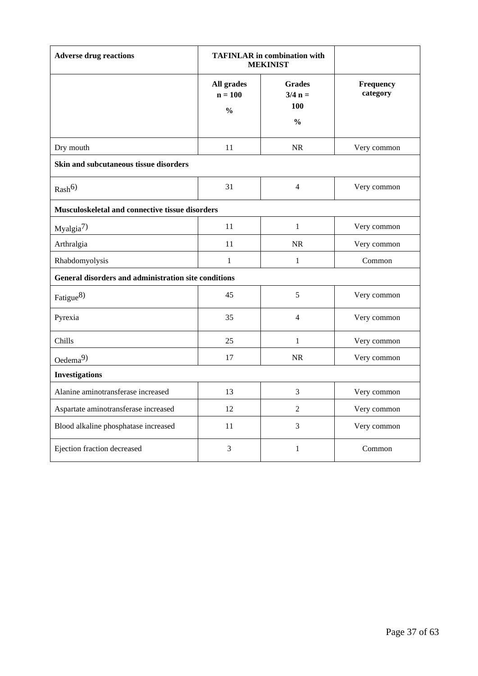| <b>Adverse drug reactions</b>                        | <b>TAFINLAR</b> in combination with<br><b>MEKINIST</b> |                                                    |                       |  |  |
|------------------------------------------------------|--------------------------------------------------------|----------------------------------------------------|-----------------------|--|--|
|                                                      | All grades<br>$n = 100$<br>$\frac{0}{0}$               | <b>Grades</b><br>$3/4 n =$<br>100<br>$\frac{0}{0}$ | Frequency<br>category |  |  |
| Dry mouth                                            | 11                                                     | $\rm NR$                                           | Very common           |  |  |
| Skin and subcutaneous tissue disorders               |                                                        |                                                    |                       |  |  |
| Rash <sup>6</sup>                                    | 31                                                     | $\overline{4}$                                     | Very common           |  |  |
| Musculoskeletal and connective tissue disorders      |                                                        |                                                    |                       |  |  |
| Myalgia <sup>7)</sup>                                | 11                                                     | $\mathbf{1}$                                       | Very common           |  |  |
| Arthralgia                                           | 11                                                     | <b>NR</b>                                          | Very common           |  |  |
| Rhabdomyolysis                                       | 1                                                      | $\mathbf{1}$                                       | Common                |  |  |
| General disorders and administration site conditions |                                                        |                                                    |                       |  |  |
| Fatigue $8$ )                                        | 45                                                     | 5                                                  | Very common           |  |  |
| Pyrexia                                              | 35                                                     | $\overline{4}$                                     | Very common           |  |  |
| Chills                                               | 25                                                     | $\mathbf{1}$                                       | Very common           |  |  |
| Oedema $9)$                                          | 17                                                     | $\rm NR$                                           | Very common           |  |  |
| <b>Investigations</b>                                |                                                        |                                                    |                       |  |  |
| Alanine aminotransferase increased                   | 13                                                     | 3                                                  | Very common           |  |  |
| Aspartate aminotransferase increased                 | 12                                                     | $\overline{2}$                                     | Very common           |  |  |
| Blood alkaline phosphatase increased                 | 11                                                     | 3                                                  | Very common           |  |  |
| Ejection fraction decreased                          | 3                                                      | $\mathbf{1}$                                       | Common                |  |  |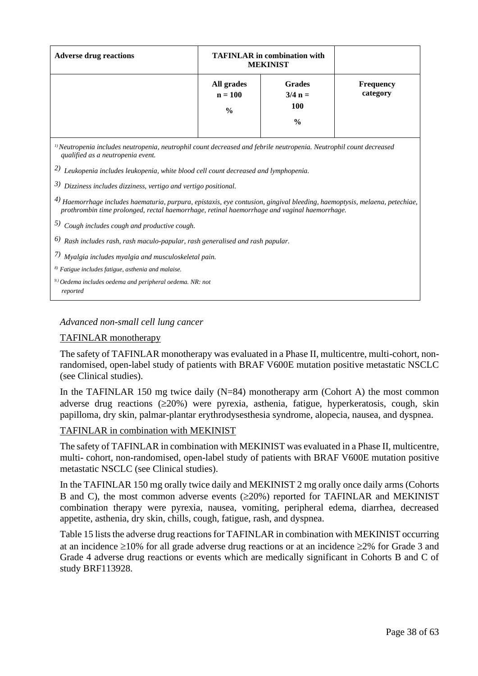| <b>Adverse drug reactions</b> | <b>TAFINLAR</b> in combination with<br><b>MEKINIST</b> |                                                           |                              |
|-------------------------------|--------------------------------------------------------|-----------------------------------------------------------|------------------------------|
|                               | All grades<br>$n = 100$<br>$\frac{0}{0}$               | <b>Grades</b><br>$3/4 n =$<br><b>100</b><br>$\frac{0}{0}$ | <b>Frequency</b><br>category |

*1) Neutropenia includes neutropenia, neutrophil count decreased and febrile neutropenia. Neutrophil count decreased qualified as a neutropenia event.*

*2) Leukopenia includes leukopenia, white blood cell count decreased and lymphopenia.*

*3) Dizziness includes dizziness, vertigo and vertigo positional.*

*4) Haemorrhage includes haematuria, purpura, epistaxis, eye contusion, gingival bleeding, haemoptysis, melaena, petechiae, prothrombin time prolonged, rectal haemorrhage, retinal haemorrhage and vaginal haemorrhage.*

*5) Cough includes cough and productive cough.*

*6) Rash includes rash, rash maculo-papular, rash generalised and rash papular.*

*7) Myalgia includes myalgia and musculoskeletal pain.*

*8) Fatigue includes fatigue, asthenia and malaise.*

*9.) Oedema includes oedema and peripheral oedema. NR: not reported*

#### *Advanced non-small cell lung cancer*

#### TAFINLAR monotherapy

The safety of TAFINLAR monotherapy was evaluated in a Phase II, multicentre, multi-cohort, nonrandomised, open-label study of patients with BRAF V600E mutation positive metastatic NSCLC (see Clinical studies).

In the TAFINLAR 150 mg twice daily  $(N=84)$  monotherapy arm (Cohort A) the most common adverse drug reactions  $(\geq 20\%)$  were pyrexia, asthenia, fatigue, hyperkeratosis, cough, skin papilloma, dry skin, palmar-plantar erythrodysesthesia syndrome, alopecia, nausea, and dyspnea.

#### TAFINLAR in combination with MEKINIST

The safety of TAFINLAR in combination with MEKINIST was evaluated in a Phase II, multicentre, multi- cohort, non-randomised, open-label study of patients with BRAF V600E mutation positive metastatic NSCLC (see Clinical studies).

In the TAFINLAR 150 mg orally twice daily and MEKINIST 2 mg orally once daily arms (Cohorts B and C), the most common adverse events  $(\geq 20\%)$  reported for TAFINLAR and MEKINIST combination therapy were pyrexia, nausea, vomiting, peripheral edema, diarrhea, decreased appetite, asthenia, dry skin, chills, cough, fatigue, rash, and dyspnea.

Table 15 lists the adverse drug reactions for TAFINLAR in combination with MEKINIST occurring at an incidence  $\geq 10\%$  for all grade adverse drug reactions or at an incidence  $\geq 2\%$  for Grade 3 and Grade 4 adverse drug reactions or events which are medically significant in Cohorts B and C of study BRF113928.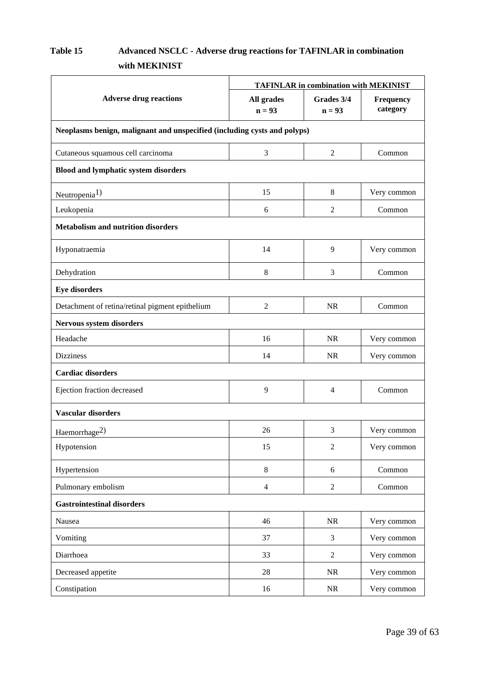# **Table 15 Advanced NSCLC - Adverse drug reactions for TAFINLAR in combination with MEKINIST**

|                                                                          | <b>TAFINLAR in combination with MEKINIST</b> |                        |                              |  |  |
|--------------------------------------------------------------------------|----------------------------------------------|------------------------|------------------------------|--|--|
| <b>Adverse drug reactions</b>                                            | All grades<br>$n = 93$                       | Grades 3/4<br>$n = 93$ | <b>Frequency</b><br>category |  |  |
| Neoplasms benign, malignant and unspecified (including cysts and polyps) |                                              |                        |                              |  |  |
| Cutaneous squamous cell carcinoma                                        | 3                                            | $\mathbf{2}$           | Common                       |  |  |
| <b>Blood and lymphatic system disorders</b>                              |                                              |                        |                              |  |  |
| Neutropenia <sup>1)</sup>                                                | 15                                           | 8                      | Very common                  |  |  |
| Leukopenia                                                               | $6\,$                                        | 2                      | Common                       |  |  |
| <b>Metabolism and nutrition disorders</b>                                |                                              |                        |                              |  |  |
| Hyponatraemia                                                            | 14                                           | 9                      | Very common                  |  |  |
| Dehydration                                                              | 8                                            | 3                      | Common                       |  |  |
| <b>Eye disorders</b>                                                     |                                              |                        |                              |  |  |
| Detachment of retina/retinal pigment epithelium                          | $\overline{c}$                               | <b>NR</b>              | Common                       |  |  |
| Nervous system disorders                                                 |                                              |                        |                              |  |  |
| Headache                                                                 | 16                                           | NR                     | Very common                  |  |  |
| <b>Dizziness</b>                                                         | 14                                           | <b>NR</b>              | Very common                  |  |  |
| <b>Cardiac disorders</b>                                                 |                                              |                        |                              |  |  |
| Ejection fraction decreased                                              | 9                                            | 4                      | Common                       |  |  |
| Vascular disorders                                                       |                                              |                        |                              |  |  |
| Haemorrhage <sup>2)</sup>                                                | 26                                           | 3                      | Very common                  |  |  |
| Hypotension                                                              | 15                                           | $\overline{2}$         | Very common                  |  |  |
| Hypertension                                                             | $\,8\,$                                      | 6                      | Common                       |  |  |
| Pulmonary embolism                                                       | $\overline{4}$                               | $\overline{2}$         | Common                       |  |  |
| <b>Gastrointestinal disorders</b>                                        |                                              |                        |                              |  |  |
| Nausea                                                                   | 46                                           | $\rm NR$               | Very common                  |  |  |
| Vomiting                                                                 | 37                                           | 3                      | Very common                  |  |  |
| Diarrhoea                                                                | 33                                           | $\overline{2}$         | Very common                  |  |  |
| Decreased appetite                                                       | 28                                           | NR                     | Very common                  |  |  |
| Constipation                                                             | 16                                           | NR                     | Very common                  |  |  |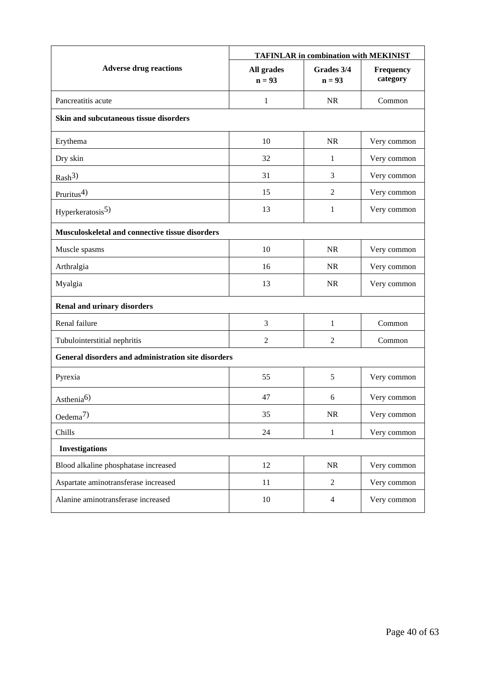|                                                     | <b>TAFINLAR in combination with MEKINIST</b> |                        |                       |  |  |  |
|-----------------------------------------------------|----------------------------------------------|------------------------|-----------------------|--|--|--|
| <b>Adverse drug reactions</b>                       | All grades<br>$n = 93$                       | Grades 3/4<br>$n = 93$ | Frequency<br>category |  |  |  |
| Pancreatitis acute                                  | 1                                            | <b>NR</b>              | Common                |  |  |  |
| Skin and subcutaneous tissue disorders              |                                              |                        |                       |  |  |  |
| Erythema                                            | 10                                           | <b>NR</b>              | Very common           |  |  |  |
| Dry skin                                            | 32                                           | 1                      | Very common           |  |  |  |
| Rash <sup>3</sup>                                   | 31                                           | 3                      | Very common           |  |  |  |
| Pruritus $4$ )                                      | 15                                           | $\overline{2}$         | Very common           |  |  |  |
| Hyperkeratosis <sup>5)</sup>                        | 13                                           | 1                      | Very common           |  |  |  |
| Musculoskeletal and connective tissue disorders     |                                              |                        |                       |  |  |  |
| Muscle spasms                                       | 10                                           | <b>NR</b>              | Very common           |  |  |  |
| Arthralgia                                          | 16                                           | <b>NR</b>              | Very common           |  |  |  |
| Myalgia                                             | 13                                           | <b>NR</b>              | Very common           |  |  |  |
| <b>Renal and urinary disorders</b>                  |                                              |                        |                       |  |  |  |
| Renal failure                                       | 3                                            | $\mathbf{1}$           | Common                |  |  |  |
| Tubulointerstitial nephritis                        | $\overline{2}$                               | $\overline{2}$         | Common                |  |  |  |
| General disorders and administration site disorders |                                              |                        |                       |  |  |  |
| Pyrexia                                             | 55                                           | 5                      | Very common           |  |  |  |
| Asthenia <sup>6)</sup>                              | 47                                           | 6                      | Very common           |  |  |  |
| Oedema <sup>7)</sup>                                | 35                                           | $\rm NR$               | Very common           |  |  |  |
| Chills                                              | 24                                           | $\mathbf{1}$           | Very common           |  |  |  |
| <b>Investigations</b>                               |                                              |                        |                       |  |  |  |
| Blood alkaline phosphatase increased                | 12                                           | NR                     | Very common           |  |  |  |
| Aspartate aminotransferase increased                | 11                                           | $\overline{2}$         | Very common           |  |  |  |
| Alanine aminotransferase increased                  | 10                                           | $\overline{4}$         | Very common           |  |  |  |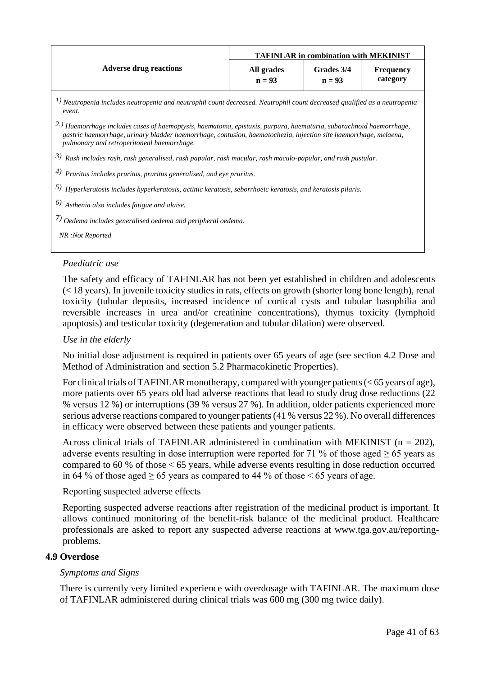|                                                                                                                                                                                                                                                                                                  | <b>TAFINLAR in combination with MEKINIST</b> |                        |                              |  |  |  |  |
|--------------------------------------------------------------------------------------------------------------------------------------------------------------------------------------------------------------------------------------------------------------------------------------------------|----------------------------------------------|------------------------|------------------------------|--|--|--|--|
| <b>Adverse drug reactions</b>                                                                                                                                                                                                                                                                    | All grades<br>$n = 93$                       | Grades 3/4<br>$n = 93$ | <b>Frequency</b><br>category |  |  |  |  |
| 1) Neutropenia includes neutropenia and neutrophil count decreased. Neutrophil count decreased qualified as a neutropenia<br>event.                                                                                                                                                              |                                              |                        |                              |  |  |  |  |
| <sup>2.)</sup> Haemorrhage includes cases of haemoptysis, haematoma, epistaxis, purpura, haematuria, subarachnoid haemorrhage,<br>gastric haemorrhage, urinary bladder haemorrhage, contusion, haematochezia, injection site haemorrhage, melaena,<br>pulmonary and retroperitoneal haemorrhage. |                                              |                        |                              |  |  |  |  |
| $3)$ Rash includes rash, rash generalised, rash papular, rash macular, rash maculo-papular, and rash pustular.                                                                                                                                                                                   |                                              |                        |                              |  |  |  |  |
| $\binom{4}{7}$ Pruritus includes pruritus, pruritus generalised, and eye pruritus.                                                                                                                                                                                                               |                                              |                        |                              |  |  |  |  |
| 5) Hyperkeratosis includes hyperkeratosis, actinic keratosis, seborrhoeic keratosis, and keratosis pilaris.                                                                                                                                                                                      |                                              |                        |                              |  |  |  |  |
| $\delta$ ) Asthenia also includes fatigue and alaise.                                                                                                                                                                                                                                            |                                              |                        |                              |  |  |  |  |
| $\overline{A}$ ) Oedema includes generalised oedema and peripheral oedema.                                                                                                                                                                                                                       |                                              |                        |                              |  |  |  |  |
| NR: Not Reported                                                                                                                                                                                                                                                                                 |                                              |                        |                              |  |  |  |  |
|                                                                                                                                                                                                                                                                                                  |                                              |                        |                              |  |  |  |  |

## *Paediatric use*

The safety and efficacy of TAFINLAR has not been yet established in children and adolescents (< 18 years). In juvenile toxicity studies in rats, effects on growth (shorter long bone length), renal toxicity (tubular deposits, increased incidence of cortical cysts and tubular basophilia and reversible increases in urea and/or creatinine concentrations), thymus toxicity (lymphoid apoptosis) and testicular toxicity (degeneration and tubular dilation) were observed.

## *Use in the elderly*

No initial dose adjustment is required in patients over 65 years of age (see section 4.2 Dose and Method of Administration and section 5.2 Pharmacokinetic Properties).

For clinical trials of TAFINLAR monotherapy, compared with younger patients (< 65 years of age), more patients over 65 years old had adverse reactions that lead to study drug dose reductions (22 % versus 12 %) or interruptions (39 % versus 27 %). In addition, older patients experienced more serious adverse reactions compared to younger patients(41 % versus 22 %). No overall differences in efficacy were observed between these patients and younger patients.

Across clinical trials of TAFINLAR administered in combination with MEKINIST ( $n = 202$ ), adverse events resulting in dose interruption were reported for 71 % of those aged ≥ 65 years as compared to 60 % of those < 65 years, while adverse events resulting in dose reduction occurred in 64 % of those aged  $\geq$  65 years as compared to 44 % of those  $\leq$  65 years of age.

## Reporting suspected adverse effects

Reporting suspected adverse reactions after registration of the medicinal product is important. It allows continued monitoring of the benefit-risk balance of the medicinal product. Healthcare professionals are asked to report any suspected adverse reactions at [www.tga.gov.au/reporting](http://www.tga.gov.au/reporting-problems)[problems.](http://www.tga.gov.au/reporting-problems)

## **4.9 Overdose**

## *Symptoms and Signs*

There is currently very limited experience with overdosage with TAFINLAR. The maximum dose of TAFINLAR administered during clinical trials was 600 mg (300 mg twice daily).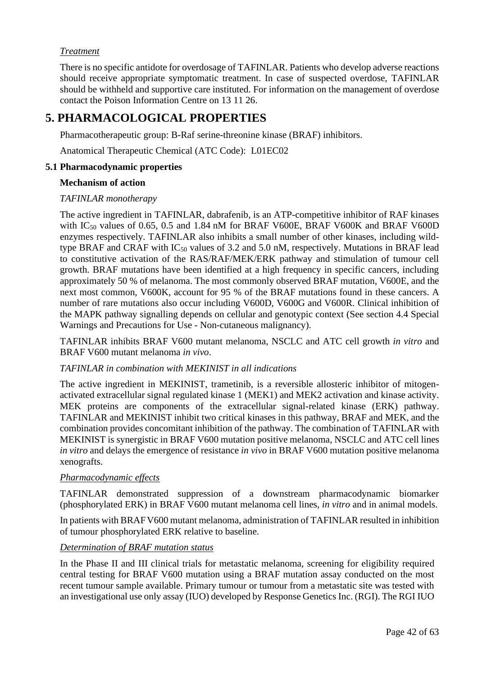## *Treatment*

There is no specific antidote for overdosage of TAFINLAR. Patients who develop adverse reactions should receive appropriate symptomatic treatment. In case of suspected overdose, TAFINLAR should be withheld and supportive care instituted. For information on the management of overdose contact the Poison Information Centre on 13 11 26.

# **5. PHARMACOLOGICAL PROPERTIES**

Pharmacotherapeutic group: B-Raf serine-threonine kinase (BRAF) inhibitors.

Anatomical Therapeutic Chemical (ATC Code): L01EC02

## **5.1 Pharmacodynamic properties**

## **Mechanism of action**

## *TAFINLAR monotherapy*

The active ingredient in TAFINLAR, dabrafenib, is an ATP-competitive inhibitor of RAF kinases with  $IC_{50}$  values of 0.65, 0.5 and 1.84 nM for BRAF V600E, BRAF V600K and BRAF V600D enzymes respectively. TAFINLAR also inhibits a small number of other kinases, including wildtype BRAF and CRAF with  $IC_{50}$  values of 3.2 and 5.0 nM, respectively. Mutations in BRAF lead to constitutive activation of the RAS/RAF/MEK/ERK pathway and stimulation of tumour cell growth. BRAF mutations have been identified at a high frequency in specific cancers, including approximately 50 % of melanoma. The most commonly observed BRAF mutation, V600E, and the next most common, V600K, account for 95 % of the BRAF mutations found in these cancers. A number of rare mutations also occur including V600D, V600G and V600R. Clinical inhibition of the MAPK pathway signalling depends on cellular and genotypic context (See section 4.4 Special Warnings and Precautions for Use - Non-cutaneous malignancy).

TAFINLAR inhibits BRAF V600 mutant melanoma, NSCLC and ATC cell growth *in vitro* and BRAF V600 mutant melanoma *in vivo*.

## *TAFINLAR in combination with MEKINIST in all indications*

The active ingredient in MEKINIST, trametinib, is a reversible allosteric inhibitor of mitogenactivated extracellular signal regulated kinase 1 (MEK1) and MEK2 activation and kinase activity. MEK proteins are components of the extracellular signal-related kinase (ERK) pathway. TAFINLAR and MEKINIST inhibit two critical kinases in this pathway, BRAF and MEK, and the combination provides concomitant inhibition of the pathway. The combination of TAFINLAR with MEKINIST is synergistic in BRAF V600 mutation positive melanoma, NSCLC and ATC cell lines *in vitro* and delays the emergence of resistance *in vivo* in BRAF V600 mutation positive melanoma xenografts.

## *Pharmacodynamic effects*

TAFINLAR demonstrated suppression of a downstream pharmacodynamic biomarker (phosphorylated ERK) in BRAF V600 mutant melanoma cell lines, *in vitro* and in animal models.

In patients with BRAFV600 mutant melanoma, administration of TAFINLAR resulted in inhibition of tumour phosphorylated ERK relative to baseline.

## *Determination of BRAF mutation status*

In the Phase II and III clinical trials for metastatic melanoma, screening for eligibility required central testing for BRAF V600 mutation using a BRAF mutation assay conducted on the most recent tumour sample available. Primary tumour or tumour from a metastatic site was tested with an investigational use only assay (IUO) developed by Response Genetics Inc. (RGI). The RGI IUO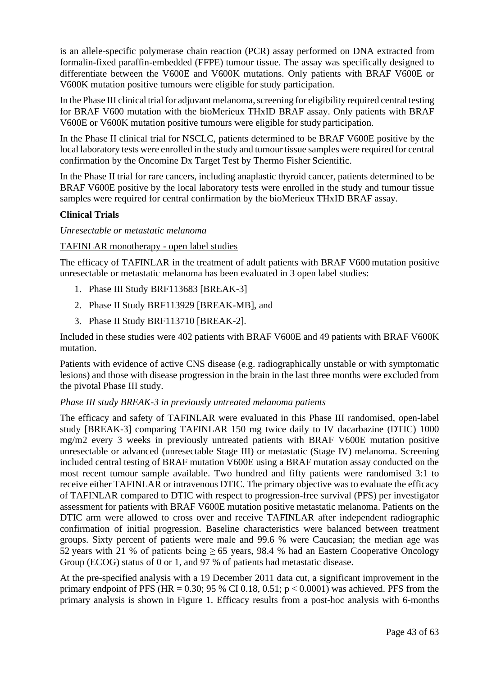is an allele-specific polymerase chain reaction (PCR) assay performed on DNA extracted from formalin-fixed paraffin-embedded (FFPE) tumour tissue. The assay was specifically designed to differentiate between the V600E and V600K mutations. Only patients with BRAF V600E or V600K mutation positive tumours were eligible for study participation.

In the Phase III clinical trial for adjuvant melanoma, screening for eligibility required central testing for BRAF V600 mutation with the bioMerieux THxID BRAF assay. Only patients with BRAF V600E or V600K mutation positive tumours were eligible for study participation.

In the Phase II clinical trial for NSCLC, patients determined to be BRAF V600E positive by the local laboratory tests were enrolled in the study and tumour tissue samples were required for central confirmation by the Oncomine Dx Target Test by Thermo Fisher Scientific.

In the Phase II trial for rare cancers, including anaplastic thyroid cancer, patients determined to be BRAF V600E positive by the local laboratory tests were enrolled in the study and tumour tissue samples were required for central confirmation by the bioMerieux THxID BRAF assay.

## **Clinical Trials**

*Unresectable or metastatic melanoma*

## TAFINLAR monotherapy - open label studies

The efficacy of TAFINLAR in the treatment of adult patients with BRAF V600 mutation positive unresectable or metastatic melanoma has been evaluated in 3 open label studies:

- 1. Phase III Study BRF113683 [BREAK-3]
- 2. Phase II Study BRF113929 [BREAK-MB], and
- 3. Phase II Study BRF113710 [BREAK-2].

Included in these studies were 402 patients with BRAF V600E and 49 patients with BRAF V600K mutation.

Patients with evidence of active CNS disease (e.g. radiographically unstable or with symptomatic lesions) and those with disease progression in the brain in the last three months were excluded from the pivotal Phase III study.

## *Phase III study BREAK-3 in previously untreated melanoma patients*

The efficacy and safety of TAFINLAR were evaluated in this Phase III randomised, open-label study [BREAK-3] comparing TAFINLAR 150 mg twice daily to IV dacarbazine (DTIC) 1000 mg/m2 every 3 weeks in previously untreated patients with BRAF V600E mutation positive unresectable or advanced (unresectable Stage III) or metastatic (Stage IV) melanoma. Screening included central testing of BRAF mutation V600E using a BRAF mutation assay conducted on the most recent tumour sample available. Two hundred and fifty patients were randomised 3:1 to receive either TAFINLAR or intravenous DTIC. The primary objective was to evaluate the efficacy of TAFINLAR compared to DTIC with respect to progression-free survival (PFS) per investigator assessment for patients with BRAF V600E mutation positive metastatic melanoma. Patients on the DTIC arm were allowed to cross over and receive TAFINLAR after independent radiographic confirmation of initial progression. Baseline characteristics were balanced between treatment groups. Sixty percent of patients were male and 99.6 % were Caucasian; the median age was 52 years with 21 % of patients being  $\geq$  65 years, 98.4 % had an Eastern Cooperative Oncology Group (ECOG) status of 0 or 1, and 97 % of patients had metastatic disease.

At the pre-specified analysis with a 19 December 2011 data cut, a significant improvement in the primary endpoint of PFS (HR =  $0.30$ ; 95 % CI 0.18, 0.51; p <  $0.0001$ ) was achieved. PFS from the primary analysis is shown in Figure 1. Efficacy results from a post-hoc analysis with 6-months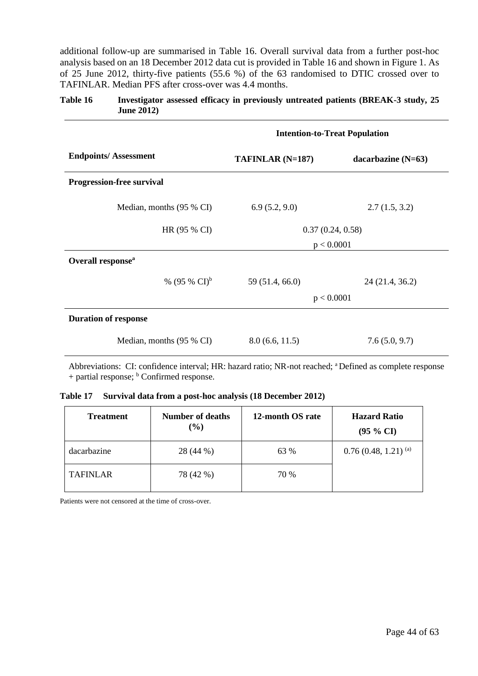additional follow-up are summarised in Table 16. Overall survival data from a further post-hoc analysis based on an 18 December 2012 data cut is provided in Table 16 and shown in Figure 1. As of 25 June 2012, thirty-five patients (55.6 %) of the 63 randomised to DTIC crossed over to TAFINLAR. Median PFS after cross-over was 4.4 months.

## **Table 16 Investigator assessed efficacy in previously untreated patients (BREAK-3 study, 25 June 2012)**

|                                  | <b>Intention-to-Treat Population</b> |                      |  |  |
|----------------------------------|--------------------------------------|----------------------|--|--|
| <b>Endpoints/Assessment</b>      | $TAFINLAR(N=187)$                    | dacarbazine $(N=63)$ |  |  |
| <b>Progression-free survival</b> |                                      |                      |  |  |
| Median, months (95 % CI)         | 6.9(5.2, 9.0)                        | 2.7(1.5, 3.2)        |  |  |
| HR (95 % CI)                     | 0.37(0.24, 0.58)                     |                      |  |  |
|                                  | p < 0.0001                           |                      |  |  |
| Overall response <sup>a</sup>    |                                      |                      |  |  |
| % (95 % $CI$ ) <sup>b</sup>      | 59 (51.4, 66.0)                      | 24 (21.4, 36.2)      |  |  |
|                                  | p < 0.0001                           |                      |  |  |
| <b>Duration of response</b>      |                                      |                      |  |  |
| Median, months (95 % CI)         | 8.0(6.6, 11.5)                       | 7.6(5.0, 9.7)        |  |  |

Abbreviations: CI: confidence interval; HR: hazard ratio; NR-not reached; <sup>a</sup> Defined as complete response  $+$  partial response;  $<sup>b</sup>$  Confirmed response.</sup>

**Table 17 Survival data from a post-hoc analysis (18 December 2012)**

| <b>Treatment</b> | <b>Number of deaths</b><br>$(\%)$ | 12-month OS rate | <b>Hazard Ratio</b><br>$(95 \% CI)$ |
|------------------|-----------------------------------|------------------|-------------------------------------|
| dacarbazine      | 28 (44 %)                         | 63 %             | $0.76(0.48, 1.21)^{(a)}$            |
| <b>TAFINLAR</b>  | 78 (42 %)                         | 70 %             |                                     |

Patients were not censored at the time of cross-over.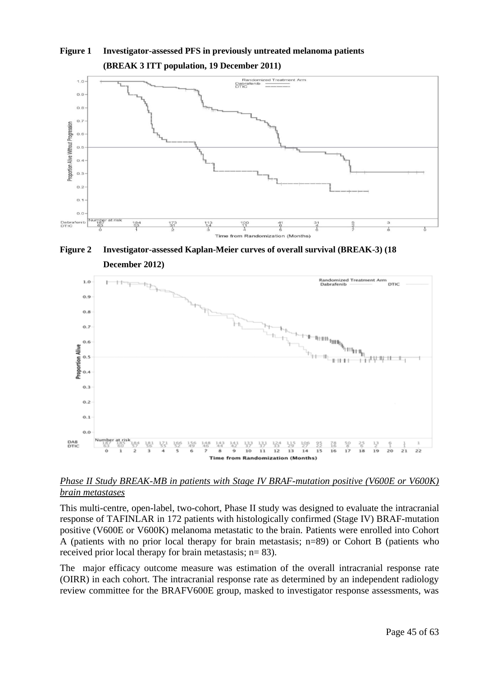

**Figure 1 Investigator-assessed PFS in previously untreated melanoma patients (BREAK 3 ITT population, 19 December 2011)**

**Figure 2 Investigator-assessed Kaplan-Meier curves of overall survival (BREAK-3) (18 December 2012)**



## *Phase II Study BREAK-MB in patients with Stage IV BRAF-mutation positive (V600E or V600K) brain metastases*

This multi-centre, open-label, two-cohort, Phase II study was designed to evaluate the intracranial response of TAFINLAR in 172 patients with histologically confirmed (Stage IV) BRAF-mutation positive (V600E or V600K) melanoma metastatic to the brain. Patients were enrolled into Cohort A (patients with no prior local therapy for brain metastasis; n=89) or Cohort B (patients who received prior local therapy for brain metastasis; n= 83).

The major efficacy outcome measure was estimation of the overall intracranial response rate (OIRR) in each cohort. The intracranial response rate as determined by an independent radiology review committee for the BRAFV600E group, masked to investigator response assessments, was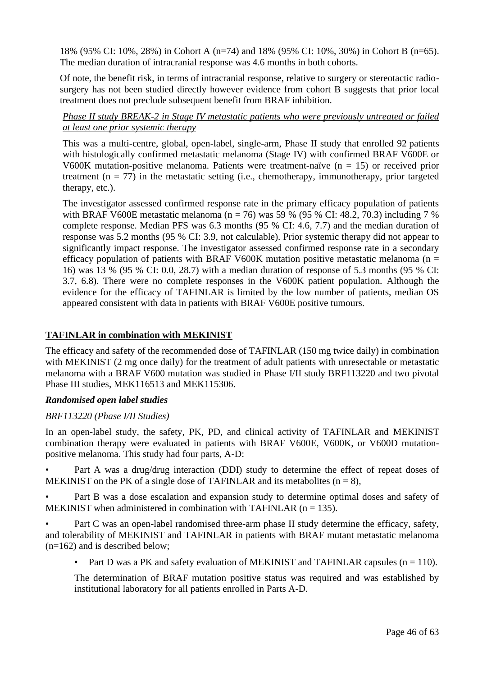18% (95% CI: 10%, 28%) in Cohort A (n=74) and 18% (95% CI: 10%, 30%) in Cohort B (n=65). The median duration of intracranial response was 4.6 months in both cohorts.

Of note, the benefit risk, in terms of intracranial response, relative to surgery or stereotactic radiosurgery has not been studied directly however evidence from cohort B suggests that prior local treatment does not preclude subsequent benefit from BRAF inhibition.

## *Phase II study BREAK-2 in Stage IV metastatic patients who were previously untreated or failed at least one prior systemic therapy*

This was a multi-centre, global, open-label, single-arm, Phase II study that enrolled 92 patients with histologically confirmed metastatic melanoma (Stage IV) with confirmed BRAF V600E or V600K mutation-positive melanoma. Patients were treatment-naïve  $(n = 15)$  or received prior treatment ( $n = 77$ ) in the metastatic setting (i.e., chemotherapy, immunotherapy, prior targeted therapy, etc.).

The investigator assessed confirmed response rate in the primary efficacy population of patients with BRAF V600E metastatic melanoma ( $n = 76$ ) was 59 % (95 % CI: 48.2, 70.3) including 7 % complete response. Median PFS was 6.3 months (95 % CI: 4.6, 7.7) and the median duration of response was 5.2 months (95 % CI: 3.9, not calculable). Prior systemic therapy did not appear to significantly impact response. The investigator assessed confirmed response rate in a secondary efficacy population of patients with BRAF V600K mutation positive metastatic melanoma ( $n =$ 16) was 13 % (95 % CI: 0.0, 28.7) with a median duration of response of 5.3 months (95 % CI: 3.7, 6.8). There were no complete responses in the V600K patient population. Although the evidence for the efficacy of TAFINLAR is limited by the low number of patients, median OS appeared consistent with data in patients with BRAF V600E positive tumours.

## **TAFINLAR in combination with MEKINIST**

The efficacy and safety of the recommended dose of TAFINLAR (150 mg twice daily) in combination with MEKINIST (2 mg once daily) for the treatment of adult patients with unresectable or metastatic melanoma with a BRAF V600 mutation was studied in Phase I/II study BRF113220 and two pivotal Phase III studies, MEK116513 and MEK115306.

## *Randomised open label studies*

## *BRF113220 (Phase I/II Studies)*

In an open-label study, the safety, PK, PD, and clinical activity of TAFINLAR and MEKINIST combination therapy were evaluated in patients with BRAF V600E, V600K, or V600D mutationpositive melanoma. This study had four parts, A-D:

• Part A was a drug/drug interaction (DDI) study to determine the effect of repeat doses of MEKINIST on the PK of a single dose of TAFINLAR and its metabolites  $(n = 8)$ ,

• Part B was a dose escalation and expansion study to determine optimal doses and safety of MEKINIST when administered in combination with TAFINLAR  $(n = 135)$ .

Part C was an open-label randomised three-arm phase II study determine the efficacy, safety, and tolerability of MEKINIST and TAFINLAR in patients with BRAF mutant metastatic melanoma (n=162) and is described below;

Part D was a PK and safety evaluation of MEKINIST and TAFINLAR capsules  $(n = 110)$ .

The determination of BRAF mutation positive status was required and was established by institutional laboratory for all patients enrolled in Parts A-D.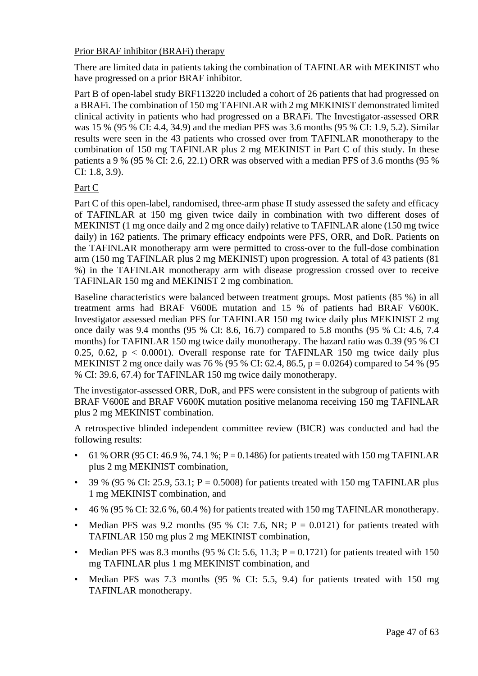## Prior BRAF inhibitor (BRAFi) therapy

There are limited data in patients taking the combination of TAFINLAR with MEKINIST who have progressed on a prior BRAF inhibitor.

Part B of open-label study BRF113220 included a cohort of 26 patients that had progressed on a BRAFi. The combination of 150 mg TAFINLAR with 2 mg MEKINIST demonstrated limited clinical activity in patients who had progressed on a BRAFi. The Investigator-assessed ORR was 15 % (95 % CI: 4.4, 34.9) and the median PFS was 3.6 months (95 % CI: 1.9, 5.2). Similar results were seen in the 43 patients who crossed over from TAFINLAR monotherapy to the combination of 150 mg TAFINLAR plus 2 mg MEKINIST in Part C of this study. In these patients a 9 % (95 % CI: 2.6, 22.1) ORR was observed with a median PFS of 3.6 months (95 % CI: 1.8, 3.9).

## Part C

Part C of this open-label, randomised, three-arm phase II study assessed the safety and efficacy of TAFINLAR at 150 mg given twice daily in combination with two different doses of MEKINIST (1 mg once daily and 2 mg once daily) relative to TAFINLAR alone (150 mg twice daily) in 162 patients. The primary efficacy endpoints were PFS, ORR, and DoR. Patients on the TAFINLAR monotherapy arm were permitted to cross-over to the full-dose combination arm (150 mg TAFINLAR plus 2 mg MEKINIST) upon progression. A total of 43 patients (81 %) in the TAFINLAR monotherapy arm with disease progression crossed over to receive TAFINLAR 150 mg and MEKINIST 2 mg combination.

Baseline characteristics were balanced between treatment groups. Most patients (85 %) in all treatment arms had BRAF V600E mutation and 15 % of patients had BRAF V600K. Investigator assessed median PFS for TAFINLAR 150 mg twice daily plus MEKINIST 2 mg once daily was 9.4 months (95 % CI: 8.6, 16.7) compared to 5.8 months (95 % CI: 4.6, 7.4 months) for TAFINLAR 150 mg twice daily monotherapy. The hazard ratio was 0.39 (95 % CI 0.25, 0.62,  $p < 0.0001$ ). Overall response rate for TAFINLAR 150 mg twice daily plus MEKINIST 2 mg once daily was 76 % (95 % CI: 62.4, 86.5, p = 0.0264) compared to 54 % (95 % CI: 39.6, 67.4) for TAFINLAR 150 mg twice daily monotherapy.

The investigator-assessed ORR, DoR, and PFS were consistent in the subgroup of patients with BRAF V600E and BRAF V600K mutation positive melanoma receiving 150 mg TAFINLAR plus 2 mg MEKINIST combination.

A retrospective blinded independent committee review (BICR) was conducted and had the following results:

- 61 % ORR (95 CI: 46.9 %, 74.1 %; P = 0.1486) for patients treated with 150 mg TAFINLAR plus 2 mg MEKINIST combination,
- 39 % (95 % CI: 25.9, 53.1;  $P = 0.5008$ ) for patients treated with 150 mg TAFINLAR plus 1 mg MEKINIST combination, and
- 46 % (95 % CI: 32.6 %, 60.4 %) for patients treated with 150 mg TAFINLAR monotherapy.
- Median PFS was 9.2 months (95 % CI: 7.6, NR;  $P = 0.0121$ ) for patients treated with TAFINLAR 150 mg plus 2 mg MEKINIST combination,
- Median PFS was 8.3 months (95 % CI: 5.6, 11.3;  $P = 0.1721$ ) for patients treated with 150 mg TAFINLAR plus 1 mg MEKINIST combination, and
- Median PFS was 7.3 months (95 % CI: 5.5, 9.4) for patients treated with 150 mg TAFINLAR monotherapy.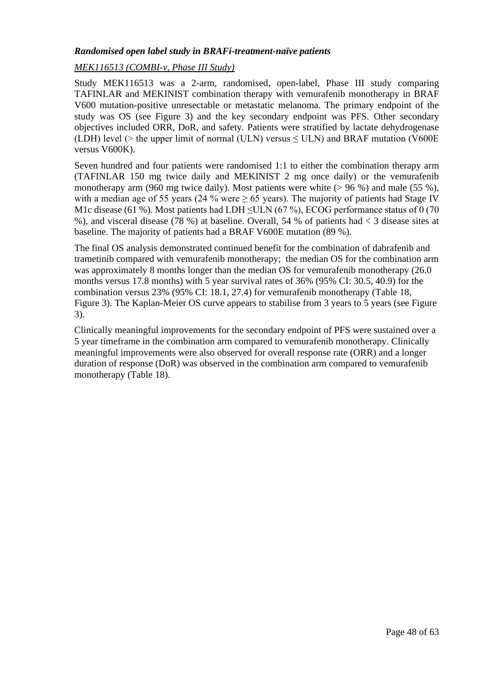## *Randomised open label study in BRAFi-treatment-naïve patients*

## *MEK116513 (COMBI-v, Phase III Study)*

Study MEK116513 was a 2-arm, randomised, open-label, Phase III study comparing TAFINLAR and MEKINIST combination therapy with vemurafenib monotherapy in BRAF V600 mutation-positive unresectable or metastatic melanoma. The primary endpoint of the study was OS (see Figure 3) and the key secondary endpoint was PFS. Other secondary objectives included ORR, DoR, and safety. Patients were stratified by lactate dehydrogenase (LDH) level ( $>$  the upper limit of normal (ULN) versus  $\leq$  ULN) and BRAF mutation (V600E) versus V600K).

Seven hundred and four patients were randomised 1:1 to either the combination therapy arm (TAFINLAR 150 mg twice daily and MEKINIST 2 mg once daily) or the vemurafenib monotherapy arm (960 mg twice daily). Most patients were white (> 96 %) and male (55 %), with a median age of 55 years (24 % were  $\geq$  65 years). The majority of patients had Stage IV M1c disease (61 %). Most patients had LDH  $\leq$ ULN (67 %), ECOG performance status of 0 (70 %), and visceral disease (78 %) at baseline. Overall, 54 % of patients had < 3 disease sites at baseline. The majority of patients had a BRAF V600E mutation (89 %).

The final OS analysis demonstrated continued benefit for the combination of dabrafenib and trametinib compared with vemurafenib monotherapy; the median OS for the combination arm was approximately 8 months longer than the median OS for vemurafenib monotherapy (26.0 months versus 17.8 months) with 5 year survival rates of 36% (95% CI: 30.5, 40.9) for the combination versus 23% (95% CI: 18.1, 27.4) for vemurafenib monotherapy (Table 18, Figure 3). The Kaplan-Meier OS curve appears to stabilise from 3 years to 5 years (see Figure 3).

Clinically meaningful improvements for the secondary endpoint of PFS were sustained over a 5 year timeframe in the combination arm compared to vemurafenib monotherapy. Clinically meaningful improvements were also observed for overall response rate (ORR) and a longer duration of response (DoR) was observed in the combination arm compared to vemurafenib monotherapy (Table 18).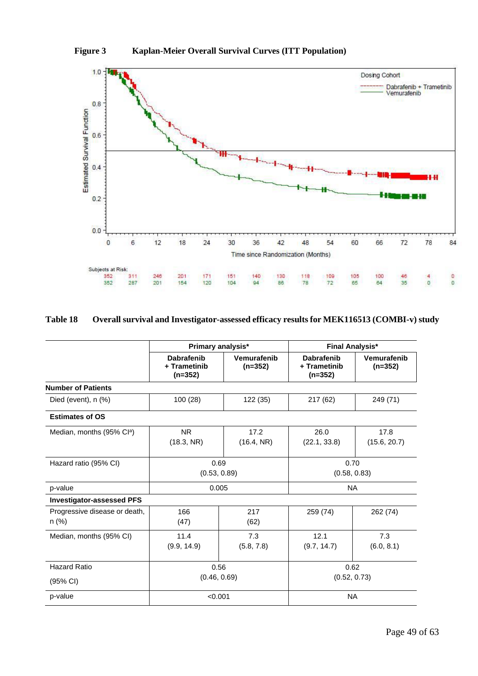



## **Table 18 Overall survival and Investigator-assessed efficacy results for MEK116513 (COMBI-v) study**

|                                          | Primary analysis*                              |                          | <b>Final Analysis*</b>                         |                          |  |
|------------------------------------------|------------------------------------------------|--------------------------|------------------------------------------------|--------------------------|--|
|                                          | <b>Dabrafenib</b><br>+ Trametinib<br>$(n=352)$ | Vemurafenib<br>$(n=352)$ | <b>Dabrafenib</b><br>+ Trametinib<br>$(n=352)$ | Vemurafenib<br>$(n=352)$ |  |
| <b>Number of Patients</b>                |                                                |                          |                                                |                          |  |
| Died (event), $n$ $(\%)$                 | 100 (28)                                       | 122 (35)                 | 217 (62)                                       | 249 (71)                 |  |
| <b>Estimates of OS</b>                   |                                                |                          |                                                |                          |  |
| Median, months (95% Cl <sup>a</sup> )    | <b>NR</b><br>(18.3, NR)                        | 17.2<br>(16.4, NR)       | 26.0<br>(22.1, 33.8)                           | 17.8<br>(15.6, 20.7)     |  |
| Hazard ratio (95% CI)                    | 0.69<br>(0.53, 0.89)                           |                          | 0.70<br>(0.58, 0.83)                           |                          |  |
| p-value                                  | 0.005                                          |                          | <b>NA</b>                                      |                          |  |
| <b>Investigator-assessed PFS</b>         |                                                |                          |                                                |                          |  |
| Progressive disease or death,<br>$n$ (%) | 166<br>(47)                                    | 217<br>(62)              | 259 (74)                                       | 262 (74)                 |  |
| Median, months (95% CI)                  | 11.4<br>(9.9, 14.9)                            | 7.3<br>(5.8, 7.8)        | 12.1<br>(9.7, 14.7)                            | 7.3<br>(6.0, 8.1)        |  |
| <b>Hazard Ratio</b>                      | 0.56                                           |                          | 0.62                                           |                          |  |
| (95% CI)                                 | (0.46, 0.69)                                   |                          |                                                | (0.52, 0.73)             |  |
| p-value                                  |                                                | < 0.001                  |                                                | <b>NA</b>                |  |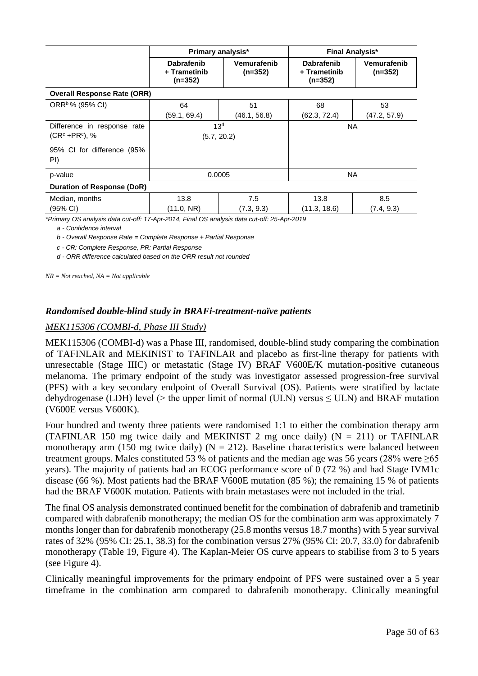|                                      | Primary analysis*                              |                          | <b>Final Analysis*</b>                         |                          |  |
|--------------------------------------|------------------------------------------------|--------------------------|------------------------------------------------|--------------------------|--|
|                                      | <b>Dabrafenib</b><br>+ Trametinib<br>$(n=352)$ | Vemurafenib<br>$(n=352)$ | <b>Dabrafenib</b><br>+ Trametinib<br>$(n=352)$ | Vemurafenib<br>$(n=352)$ |  |
| <b>Overall Response Rate (ORR)</b>   |                                                |                          |                                                |                          |  |
| ORR <sup>b</sup> % (95% CI)          | 64                                             | 51                       | 68                                             | 53                       |  |
|                                      | (59.1, 69.4)                                   | (46.1, 56.8)             | (62.3, 72.4)                                   | (47.2, 57.9)             |  |
| Difference in response rate          |                                                | 13 <sup>d</sup>          |                                                | <b>NA</b>                |  |
| $(CRc + PRc)$ , %                    | (5.7, 20.2)                                    |                          |                                                |                          |  |
| 95% CI for difference<br>(95%<br>PI) |                                                |                          |                                                |                          |  |
| p-value                              | 0.0005                                         |                          | <b>NA</b>                                      |                          |  |
| Duration of Response (DoR)           |                                                |                          |                                                |                          |  |
| Median, months                       | 13.8                                           | 7.5                      | 13.8                                           | 8.5                      |  |
| (95% CI)                             | (11.0, NR)                                     | (7.3, 9.3)               | (11.3, 18.6)                                   | (7.4, 9.3)               |  |

*\*Primary OS analysis data cut-off: 17-Apr-2014, Final OS analysis data cut-off: 25-Apr-2019*

*a - Confidence interval*

*b - Overall Response Rate = Complete Response + Partial Response*

*c - CR: Complete Response, PR: Partial Response*

*d - ORR difference calculated based on the ORR result not rounded*

*NR = Not reached, NA = Not applicable*

#### *Randomised double-blind study in BRAFi-treatment-naïve patients*

#### *MEK115306 (COMBI-d, Phase III Study)*

MEK115306 (COMBI-d) was a Phase III, randomised, double-blind study comparing the combination of TAFINLAR and MEKINIST to TAFINLAR and placebo as first-line therapy for patients with unresectable (Stage IIIC) or metastatic (Stage IV) BRAF V600E/K mutation-positive cutaneous melanoma. The primary endpoint of the study was investigator assessed progression-free survival (PFS) with a key secondary endpoint of Overall Survival (OS). Patients were stratified by lactate dehydrogenase (LDH) level ( $>$  the upper limit of normal (ULN) versus  $\leq$  ULN) and BRAF mutation (V600E versus V600K).

Four hundred and twenty three patients were randomised 1:1 to either the combination therapy arm (TAFINLAR 150 mg twice daily and MEKINIST 2 mg once daily) ( $N = 211$ ) or TAFINLAR monotherapy arm (150 mg twice daily) ( $N = 212$ ). Baseline characteristics were balanced between treatment groups. Males constituted 53 % of patients and the median age was 56 years (28% were  $\geq 65$ ) years). The majority of patients had an ECOG performance score of 0 (72 %) and had Stage IVM1c disease (66 %). Most patients had the BRAF V600E mutation (85 %); the remaining 15 % of patients had the BRAF V600K mutation. Patients with brain metastases were not included in the trial.

The final OS analysis demonstrated continued benefit for the combination of dabrafenib and trametinib compared with dabrafenib monotherapy; the median OS for the combination arm was approximately 7 months longer than for dabrafenib monotherapy (25.8 months versus 18.7 months) with 5 year survival rates of 32% (95% CI: 25.1, 38.3) for the combination versus 27% (95% CI: 20.7, 33.0) for dabrafenib monotherapy (Table 19, Figure 4). The Kaplan-Meier OS curve appears to stabilise from 3 to 5 years (see Figure 4).

Clinically meaningful improvements for the primary endpoint of PFS were sustained over a 5 year timeframe in the combination arm compared to dabrafenib monotherapy. Clinically meaningful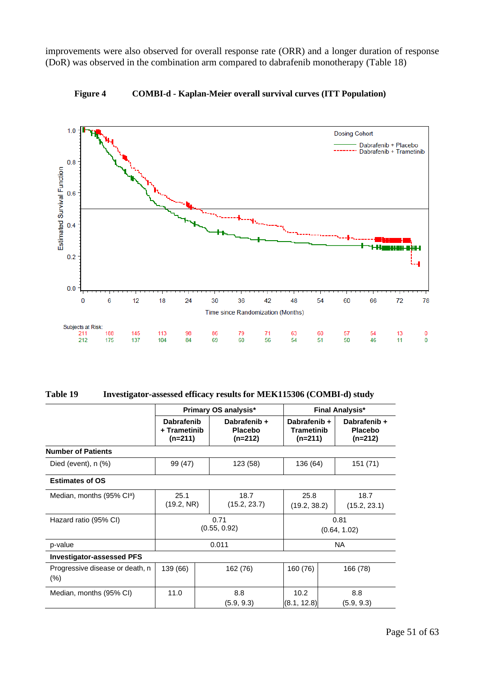improvements were also observed for overall response rate (ORR) and a longer duration of response (DoR) was observed in the combination arm compared to dabrafenib monotherapy (Table 18)



**Figure 4 COMBI-d - Kaplan-Meier overall survival curves (ITT Population)**

| Table 19 | Investigator-assessed efficacy results for MEK115306 (COMBI-d) study |  |  |  |
|----------|----------------------------------------------------------------------|--|--|--|
|----------|----------------------------------------------------------------------|--|--|--|

|                                           |                                                | Primary OS analysis*                        |                                                | <b>Final Analysis*</b>                      |  |  |
|-------------------------------------------|------------------------------------------------|---------------------------------------------|------------------------------------------------|---------------------------------------------|--|--|
|                                           | <b>Dabrafenib</b><br>+ Trametinib<br>$(n=211)$ | Dabrafenib +<br><b>Placebo</b><br>$(n=212)$ | Dabrafenib +<br><b>Trametinib</b><br>$(n=211)$ | Dabrafenib +<br><b>Placebo</b><br>$(n=212)$ |  |  |
| <b>Number of Patients</b>                 |                                                |                                             |                                                |                                             |  |  |
| Died (event), $n$ $%$ )                   | 99 (47)                                        | 123 (58)                                    | 136 (64)                                       | 151 (71)                                    |  |  |
| <b>Estimates of OS</b>                    |                                                |                                             |                                                |                                             |  |  |
| Median, months (95% Cl <sup>a</sup> )     | 25.1<br>(19.2, NR)                             | 18.7<br>(15.2, 23.7)                        | 25.8<br>(19.2, 38.2)                           | 18.7<br>(15.2, 23.1)                        |  |  |
| Hazard ratio (95% CI)                     | 0.71<br>(0.55, 0.92)                           |                                             | 0.81<br>(0.64, 1.02)                           |                                             |  |  |
| p-value                                   |                                                | 0.011                                       |                                                | <b>NA</b>                                   |  |  |
| <b>Investigator-assessed PFS</b>          |                                                |                                             |                                                |                                             |  |  |
| Progressive disease or death, n<br>$(\%)$ | 139 (66)                                       | 162 (76)                                    | 160 (76)                                       | 166 (78)                                    |  |  |
| Median, months (95% CI)                   | 11.0                                           | 8.8<br>(5.9, 9.3)                           | 10.2<br>(8.1, 12.8)                            | 8.8<br>(5.9, 9.3)                           |  |  |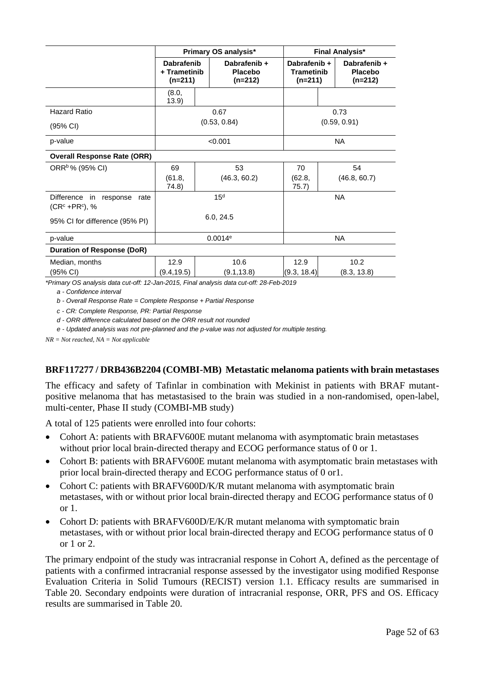|                                                        |                                                |                 | Primary OS analysis*                        |                                                | <b>Final Analysis*</b>                      |
|--------------------------------------------------------|------------------------------------------------|-----------------|---------------------------------------------|------------------------------------------------|---------------------------------------------|
|                                                        | <b>Dabrafenib</b><br>+ Trametinib<br>$(n=211)$ |                 | Dabrafenib +<br><b>Placebo</b><br>$(n=212)$ | Dabrafenib +<br><b>Trametinib</b><br>$(n=211)$ | Dabrafenib +<br><b>Placebo</b><br>$(n=212)$ |
|                                                        | (8.0,<br>13.9)                                 |                 |                                             |                                                |                                             |
| <b>Hazard Ratio</b>                                    |                                                |                 | 0.67                                        |                                                | 0.73                                        |
| (95% CI)                                               |                                                |                 | (0.53, 0.84)                                |                                                | (0.59, 0.91)                                |
| p-value                                                | < 0.001                                        |                 |                                             | <b>NA</b>                                      |                                             |
| <b>Overall Response Rate (ORR)</b>                     |                                                |                 |                                             |                                                |                                             |
| ORR <sup>b</sup> % (95% CI)                            | 69                                             |                 | 53                                          | 70                                             | 54                                          |
|                                                        | (61.8,<br>74.8)                                |                 | (46.3, 60.2)                                | (62.8,<br>75.7)                                | (46.8, 60.7)                                |
| Difference in<br>response<br>rate<br>$(CRc + PRc)$ , % |                                                | 15 <sup>d</sup> |                                             |                                                | <b>NA</b>                                   |
| 95% CI for difference (95% PI)                         | 6.0, 24.5                                      |                 |                                             |                                                |                                             |
| p-value                                                | $0.0014$ <sup>e</sup>                          |                 |                                             | <b>NA</b>                                      |                                             |
| <b>Duration of Response (DoR)</b>                      |                                                |                 |                                             |                                                |                                             |
| Median, months                                         | 12.9                                           |                 | 10.6                                        | 12.9                                           | 10.2                                        |
| (95% CI)                                               | (9.4, 19.5)                                    |                 | (9.1, 13.8)                                 | (9.3, 18.4)                                    | (8.3, 13.8)                                 |

*\*Primary OS analysis data cut-off: 12-Jan-2015, Final analysis data cut-off: 28-Feb-2019*

*a - Confidence interval*

*b - Overall Response Rate = Complete Response + Partial Response*

*c - CR: Complete Response, PR: Partial Response*

*d - ORR difference calculated based on the ORR result not rounded*

*e - Updated analysis was not pre-planned and the p-value was not adjusted for multiple testing.*

*NR = Not reached, NA = Not applicable*

#### **BRF117277 / DRB436B2204 (COMBI-MB) Metastatic melanoma patients with brain metastases**

The efficacy and safety of Tafinlar in combination with Mekinist in patients with BRAF mutantpositive melanoma that has metastasised to the brain was studied in a non-randomised, open-label, multi-center, Phase II study (COMBI-MB study)

A total of 125 patients were enrolled into four cohorts:

- Cohort A: patients with BRAFV600E mutant melanoma with asymptomatic brain metastases without prior local brain-directed therapy and ECOG performance status of 0 or 1.
- Cohort B: patients with BRAFV600E mutant melanoma with asymptomatic brain metastases with prior local brain-directed therapy and ECOG performance status of 0 or1.
- Cohort C: patients with BRAFV600D/K/R mutant melanoma with asymptomatic brain metastases, with or without prior local brain-directed therapy and ECOG performance status of 0  $or 1$
- Cohort D: patients with BRAFV600D/E/K/R mutant melanoma with symptomatic brain metastases, with or without prior local brain-directed therapy and ECOG performance status of 0 or 1 or 2.

The primary endpoint of the study was intracranial response in Cohort A, defined as the percentage of patients with a confirmed intracranial response assessed by the investigator using modified Response Evaluation Criteria in Solid Tumours (RECIST) version 1.1. Efficacy results are summarised in Table 20. Secondary endpoints were duration of intracranial response, ORR, PFS and OS. Efficacy results are summarised in Table 20.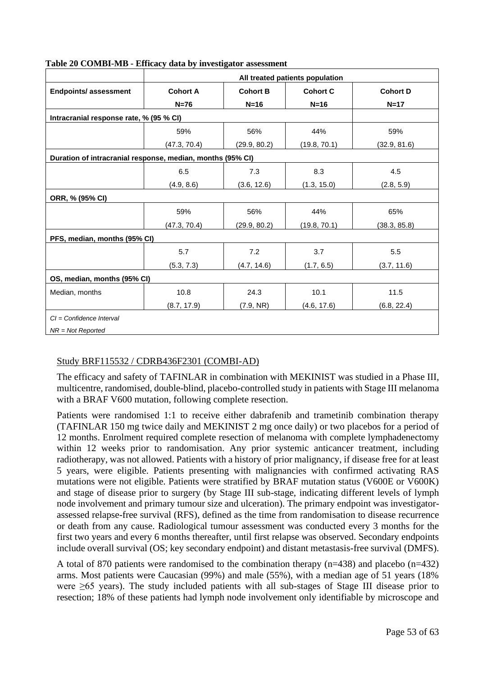|                                                            | All treated patients population |                 |                 |                 |  |
|------------------------------------------------------------|---------------------------------|-----------------|-----------------|-----------------|--|
| <b>Endpoints/assessment</b>                                | <b>Cohort A</b>                 | <b>Cohort B</b> | <b>Cohort C</b> | <b>Cohort D</b> |  |
|                                                            | $N=76$                          | $N=16$          | $N=16$          | $N=17$          |  |
| Intracranial response rate, % (95 % CI)                    |                                 |                 |                 |                 |  |
|                                                            | 59%                             | 56%             | 44%             | 59%             |  |
|                                                            | (47.3, 70.4)                    | (29.9, 80.2)    | (19.8, 70.1)    | (32.9, 81.6)    |  |
| Duration of intracranial response, median, months (95% CI) |                                 |                 |                 |                 |  |
|                                                            | 6.5                             | 7.3             | 8.3             | 4.5             |  |
|                                                            | (4.9, 8.6)                      | (3.6, 12.6)     | (1.3, 15.0)     | (2.8, 5.9)      |  |
| ORR, % (95% CI)                                            |                                 |                 |                 |                 |  |
|                                                            | 59%                             | 56%             | 44%             | 65%             |  |
|                                                            | (47.3, 70.4)                    | (29.9, 80.2)    | (19.8, 70.1)    | (38.3, 85.8)    |  |
| PFS, median, months (95% CI)                               |                                 |                 |                 |                 |  |
|                                                            | 5.7                             | 7.2             | 3.7             | 5.5             |  |
|                                                            | (5.3, 7.3)                      | (4.7, 14.6)     | (1.7, 6.5)      | (3.7, 11.6)     |  |
| OS, median, months (95% CI)                                |                                 |                 |                 |                 |  |
| Median, months                                             | 10.8                            | 24.3            | 10.1            | 11.5            |  |
|                                                            | (8.7, 17.9)                     | (7.9, NR)       | (4.6, 17.6)     | (6.8, 22.4)     |  |
| $Cl =$ Confidence Interval                                 |                                 |                 |                 |                 |  |
| $NR = Not Reported$                                        |                                 |                 |                 |                 |  |

## **Table 20 COMBI-MB - Efficacy data by investigator assessment**

## Study BRF115532 / CDRB436F2301 (COMBI-AD)

The efficacy and safety of TAFINLAR in combination with MEKINIST was studied in a Phase III, multicentre, randomised, double-blind, placebo-controlled study in patients with Stage III melanoma with a BRAF V600 mutation, following complete resection.

Patients were randomised 1:1 to receive either dabrafenib and trametinib combination therapy (TAFINLAR 150 mg twice daily and MEKINIST 2 mg once daily) or two placebos for a period of 12 months. Enrolment required complete resection of melanoma with complete lymphadenectomy within 12 weeks prior to randomisation. Any prior systemic anticancer treatment, including radiotherapy, was not allowed. Patients with a history of prior malignancy, if disease free for at least 5 years, were eligible. Patients presenting with malignancies with confirmed activating RAS mutations were not eligible. Patients were stratified by BRAF mutation status (V600E or V600K) and stage of disease prior to surgery (by Stage III sub-stage, indicating different levels of lymph node involvement and primary tumour size and ulceration). The primary endpoint was investigatorassessed relapse-free survival (RFS), defined as the time from randomisation to disease recurrence or death from any cause. Radiological tumour assessment was conducted every 3 months for the first two years and every 6 months thereafter, until first relapse was observed. Secondary endpoints include overall survival (OS; key secondary endpoint) and distant metastasis-free survival (DMFS).

A total of 870 patients were randomised to the combination therapy (n=438) and placebo (n=432) arms. Most patients were Caucasian (99%) and male (55%), with a median age of 51 years (18% were ≥65 years). The study included patients with all sub-stages of Stage III disease prior to resection; 18% of these patients had lymph node involvement only identifiable by microscope and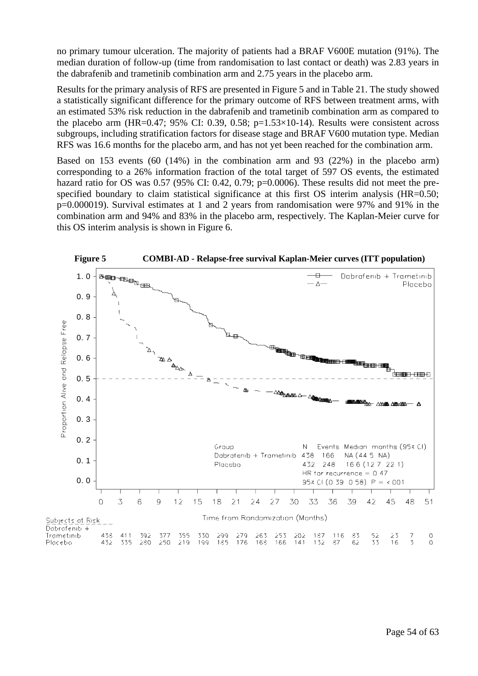no primary tumour ulceration. The majority of patients had a BRAF V600E mutation (91%). The median duration of follow-up (time from randomisation to last contact or death) was 2.83 years in the dabrafenib and trametinib combination arm and 2.75 years in the placebo arm.

Results for the primary analysis of RFS are presented in Figure 5 and in Table 21. The study showed a statistically significant difference for the primary outcome of RFS between treatment arms, with an estimated 53% risk reduction in the dabrafenib and trametinib combination arm as compared to the placebo arm (HR=0.47; 95% CI: 0.39, 0.58; p=1.53 $\times$ 10-14). Results were consistent across subgroups, including stratification factors for disease stage and BRAF V600 mutation type. Median RFS was 16.6 months for the placebo arm, and has not yet been reached for the combination arm.

Based on 153 events (60 (14%) in the combination arm and 93 (22%) in the placebo arm) corresponding to a 26% information fraction of the total target of 597 OS events, the estimated hazard ratio for OS was 0.57 (95% CI: 0.42, 0.79; p=0.0006). These results did not meet the prespecified boundary to claim statistical significance at this first OS interim analysis (HR=0.50; p=0.000019). Survival estimates at 1 and 2 years from randomisation were 97% and 91% in the combination arm and 94% and 83% in the placebo arm, respectively. The Kaplan-Meier curve for this OS interim analysis is shown in Figure 6.

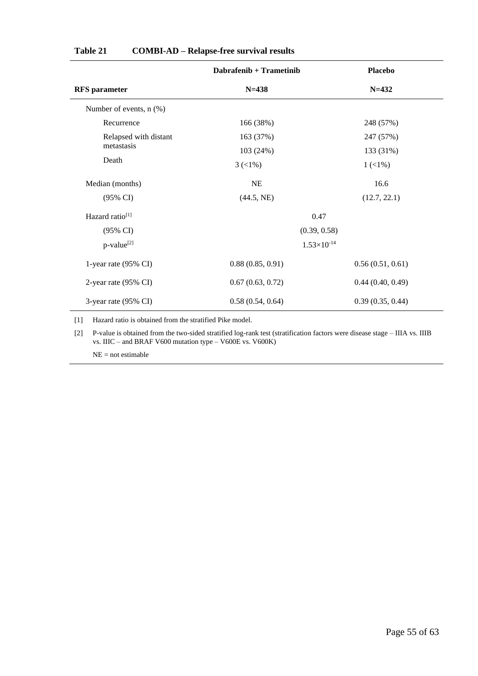|                              | Dabrafenib + Trametinib        | <b>Placebo</b>   |
|------------------------------|--------------------------------|------------------|
| <b>RFS</b> parameter         | $N = 438$                      | $N = 432$        |
| Number of events, $n$ $(\%)$ |                                |                  |
| Recurrence                   | 166 (38%)                      | 248 (57%)        |
| Relapsed with distant        | 163 (37%)                      | 247 (57%)        |
| metastasis                   | 103 (24%)                      | 133 (31%)        |
| Death                        | $3 \left( \frac{1}{6} \right)$ | $1(1\%)$         |
| Median (months)              | NE                             | 16.6             |
| (95% CI)                     | (44.5, NE)                     | (12.7, 22.1)     |
| Hazard ratio <sup>[1]</sup>  | 0.47                           |                  |
| $(95\% \text{ CI})$          | (0.39, 0.58)                   |                  |
| p-value <sup>[2]</sup>       | $1.53\times10^{-14}$           |                  |
| 1-year rate (95% CI)         | 0.88(0.85, 0.91)               | 0.56(0.51, 0.61) |
| 2-year rate (95% CI)         | 0.67(0.63, 0.72)               | 0.44(0.40, 0.49) |
| 3-year rate (95% CI)         | 0.58(0.54, 0.64)               | 0.39(0.35, 0.44) |

#### **Table 21 COMBI-AD – Relapse-free survival results**

[1] Hazard ratio is obtained from the stratified Pike model.

[2] P-value is obtained from the two-sided stratified log-rank test (stratification factors were disease stage – IIIA vs. IIIB vs. IIIC – and BRAF V600 mutation type – V600E vs. V600K)

NE = not estimable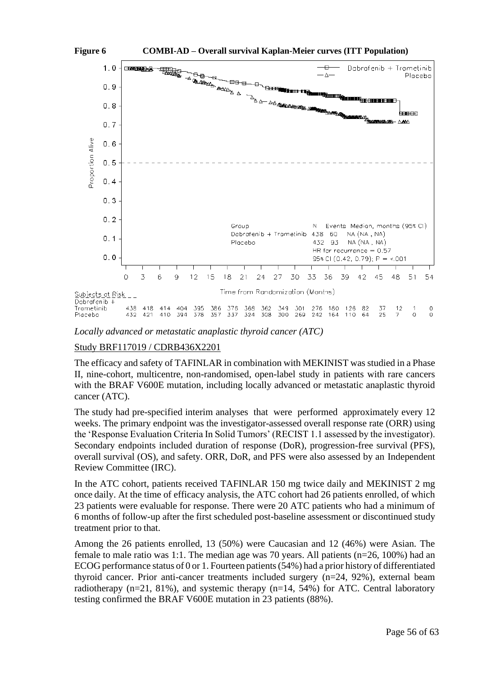



*Locally advanced or metastatic anaplastic thyroid cancer (ATC)*

## Study BRF117019 / CDRB436X2201

The efficacy and safety of TAFINLAR in combination with MEKINIST was studied in a Phase II, nine-cohort, multicentre, non-randomised, open-label study in patients with rare cancers with the BRAF V600E mutation, including locally advanced or metastatic anaplastic thyroid cancer (ATC).

The study had pre-specified interim analyses that were performed approximately every 12 weeks. The primary endpoint was the investigator-assessed overall response rate (ORR) using the 'Response Evaluation Criteria In Solid Tumors' (RECIST 1.1 assessed by the investigator). Secondary endpoints included duration of response (DoR), progression-free survival (PFS), overall survival (OS), and safety. ORR, DoR, and PFS were also assessed by an Independent Review Committee (IRC).

In the ATC cohort, patients received TAFINLAR 150 mg twice daily and MEKINIST 2 mg once daily. At the time of efficacy analysis, the ATC cohort had 26 patients enrolled, of which 23 patients were evaluable for response. There were 20 ATC patients who had a minimum of 6 months of follow-up after the first scheduled post-baseline assessment or discontinued study treatment prior to that.

Among the 26 patients enrolled, 13 (50%) were Caucasian and 12 (46%) were Asian. The female to male ratio was 1:1. The median age was 70 years. All patients (n=26, 100%) had an ECOG performance status of 0 or 1. Fourteen patients(54%) had a prior history of differentiated thyroid cancer. Prior anti-cancer treatments included surgery (n=24, 92%), external beam radiotherapy  $(n=21, 81\%)$ , and systemic therapy  $(n=14, 54\%)$  for ATC. Central laboratory testing confirmed the BRAF V600E mutation in 23 patients (88%).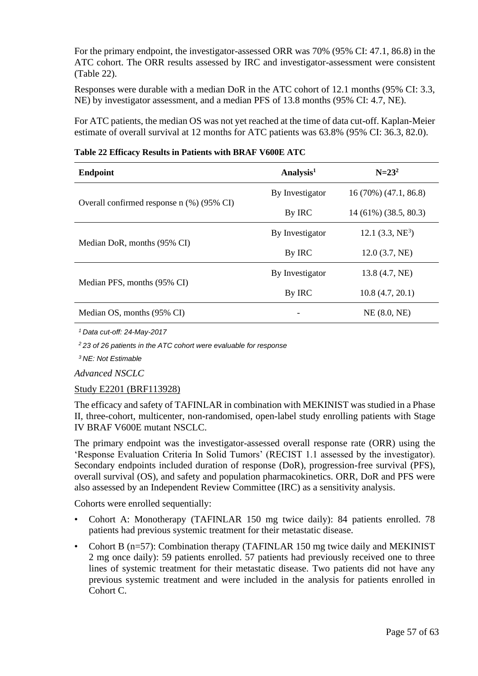For the primary endpoint, the investigator-assessed ORR was 70% (95% CI: 47.1, 86.8) in the ATC cohort. The ORR results assessed by IRC and investigator-assessment were consistent (Table 22).

Responses were durable with a median DoR in the ATC cohort of 12.1 months (95% CI: 3.3, NE) by investigator assessment, and a median PFS of 13.8 months (95% CI: 4.7, NE).

For ATC patients, the median OS was not yet reached at the time of data cut-off. Kaplan-Meier estimate of overall survival at 12 months for ATC patients was 63.8% (95% CI: 36.3, 82.0).

| <b>Endpoint</b>                             | Analysis <sup>1</sup> | $N = 23^2$              |
|---------------------------------------------|-----------------------|-------------------------|
|                                             | By Investigator       | $16(70\%) (47.1, 86.8)$ |
| Overall confirmed response $n$ (%) (95% CI) | By IRC                | $14(61\%)(38.5, 80.3)$  |
|                                             | By Investigator       | 12.1 $(3.3, NE^3)$      |
| Median DoR, months (95% CI)                 | By IRC                | 12.0(3.7, NE)           |
|                                             | By Investigator       | 13.8 (4.7, NE)          |
| Median PFS, months (95% CI)                 | By IRC                | 10.8(4.7, 20.1)         |
| Median OS, months (95% CI)                  |                       | NE(8.0, NE)             |

|  | Table 22 Efficacy Results in Patients with BRAF V600E ATC |  |  |  |
|--|-----------------------------------------------------------|--|--|--|
|  |                                                           |  |  |  |

*<sup>1</sup>Data cut-off: 24-May-2017*

*<sup>2</sup>23 of 26 patients in the ATC cohort were evaluable for response*

*<sup>3</sup>NE: Not Estimable*

*Advanced NSCLC*

## Study E2201 (BRF113928)

The efficacy and safety of TAFINLAR in combination with MEKINIST was studied in a Phase II, three-cohort, multicenter, non-randomised, open-label study enrolling patients with Stage IV BRAF V600E mutant NSCLC.

The primary endpoint was the investigator-assessed overall response rate (ORR) using the 'Response Evaluation Criteria In Solid Tumors' (RECIST 1.1 assessed by the investigator). Secondary endpoints included duration of response (DoR), progression-free survival (PFS), overall survival (OS), and safety and population pharmacokinetics. ORR, DoR and PFS were also assessed by an Independent Review Committee (IRC) as a sensitivity analysis.

Cohorts were enrolled sequentially:

- Cohort A: Monotherapy (TAFINLAR 150 mg twice daily): 84 patients enrolled. 78 patients had previous systemic treatment for their metastatic disease.
- Cohort B (n=57): Combination therapy (TAFINLAR 150 mg twice daily and MEKINIST 2 mg once daily): 59 patients enrolled. 57 patients had previously received one to three lines of systemic treatment for their metastatic disease. Two patients did not have any previous systemic treatment and were included in the analysis for patients enrolled in Cohort C.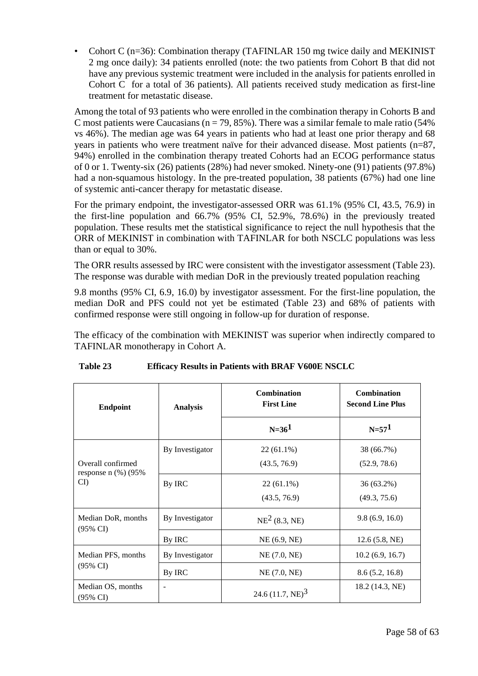• Cohort C (n=36): Combination therapy (TAFINLAR 150 mg twice daily and MEKINIST 2 mg once daily): 34 patients enrolled (note: the two patients from Cohort B that did not have any previous systemic treatment were included in the analysis for patients enrolled in Cohort C for a total of 36 patients). All patients received study medication as first-line treatment for metastatic disease.

Among the total of 93 patients who were enrolled in the combination therapy in Cohorts B and C most patients were Caucasians ( $n = 79, 85\%$ ). There was a similar female to male ratio (54%) vs 46%). The median age was 64 years in patients who had at least one prior therapy and 68 years in patients who were treatment naïve for their advanced disease. Most patients (n=87, 94%) enrolled in the combination therapy treated Cohorts had an ECOG performance status of 0 or 1. Twenty-six (26) patients (28%) had never smoked. Ninety-one (91) patients (97.8%) had a non-squamous histology. In the pre-treated population, 38 patients (67%) had one line of systemic anti-cancer therapy for metastatic disease.

For the primary endpoint, the investigator-assessed ORR was 61.1% (95% CI, 43.5, 76.9) in the first-line population and 66.7% (95% CI, 52.9%, 78.6%) in the previously treated population. These results met the statistical significance to reject the null hypothesis that the ORR of MEKINIST in combination with TAFINLAR for both NSCLC populations was less than or equal to 30%.

The ORR results assessed by IRC were consistent with the investigator assessment (Table 23). The response was durable with median DoR in the previously treated population reaching

9.8 months (95% CI, 6.9, 16.0) by investigator assessment. For the first-line population, the median DoR and PFS could not yet be estimated (Table 23) and 68% of patients with confirmed response were still ongoing in follow-up for duration of response.

The efficacy of the combination with MEKINIST was superior when indirectly compared to TAFINLAR monotherapy in Cohort A.

| <b>Endpoint</b>                           | <b>Analysis</b>          | <b>Combination</b><br><b>First Line</b> | <b>Combination</b><br><b>Second Line Plus</b> |
|-------------------------------------------|--------------------------|-----------------------------------------|-----------------------------------------------|
|                                           |                          | $N = 361$                               | $N = 571$                                     |
| Overall confirmed                         | By Investigator          | $22(61.1\%)$<br>(43.5, 76.9)            | 38 (66.7%)<br>(52.9, 78.6)                    |
| response n $(\%)$ (95%)<br>CI)            | By IRC                   | $22(61.1\%)$<br>(43.5, 76.9)            | 36 (63.2%)<br>(49.3, 75.6)                    |
| Median DoR, months<br>$(95\% \text{ CI})$ | By Investigator          | $NE2$ (8.3, NE)                         | 9.8(6.9, 16.0)                                |
|                                           | By IRC                   | NE(6.9, NE)                             | 12.6(5.8, NE)                                 |
| Median PFS, months                        | By Investigator          | NE (7.0, NE)                            | 10.2(6.9, 16.7)                               |
| $(95\% \text{ CI})$                       | By IRC                   | NE(7.0, NE)                             | 8.6(5.2, 16.8)                                |
| Median OS, months<br>$(95\% \text{ CI})$  | $\overline{\phantom{a}}$ | 24.6 $(11.7, NE)^3$                     | 18.2 (14.3, NE)                               |

## **Table 23 Efficacy Results in Patients with BRAF V600E NSCLC**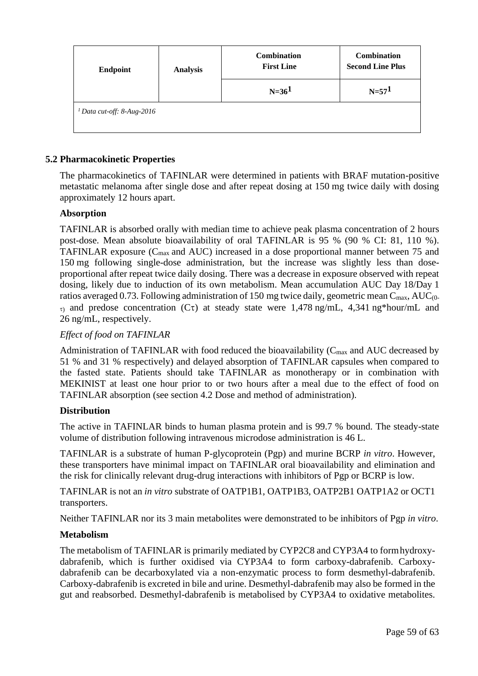| <b>Endpoint</b>                       | <b>Analysis</b> | <b>Combination</b><br><b>First Line</b> | Combination<br><b>Second Line Plus</b> |
|---------------------------------------|-----------------|-----------------------------------------|----------------------------------------|
|                                       |                 | $N=361$                                 | $N = 571$                              |
| <sup>1</sup> Data cut-off: 8-Aug-2016 |                 |                                         |                                        |

## **5.2 Pharmacokinetic Properties**

The pharmacokinetics of TAFINLAR were determined in patients with BRAF mutation-positive metastatic melanoma after single dose and after repeat dosing at 150 mg twice daily with dosing approximately 12 hours apart.

## **Absorption**

TAFINLAR is absorbed orally with median time to achieve peak plasma concentration of 2 hours post-dose. Mean absolute bioavailability of oral TAFINLAR is 95 % (90 % CI: 81, 110 %). TAFINLAR exposure  $(C_{\text{max}}$  and AUC) increased in a dose proportional manner between 75 and 150 mg following single-dose administration, but the increase was slightly less than doseproportional after repeat twice daily dosing. There was a decrease in exposure observed with repeat dosing, likely due to induction of its own metabolism. Mean accumulation AUC Day 18/Day 1 ratios averaged 0.73. Following administration of 150 mg twice daily, geometric mean  $C_{\text{max}}$ , AUC<sub>(0-</sub>  $\tau$ ) and predose concentration (C $\tau$ ) at steady state were 1,478 ng/mL, 4,341 ng\*hour/mL and 26 ng/mL, respectively.

## *Effect of food on TAFINLAR*

Administration of TAFINLAR with food reduced the bioavailability ( $C_{\text{max}}$  and AUC decreased by 51 % and 31 % respectively) and delayed absorption of TAFINLAR capsules when compared to the fasted state. Patients should take TAFINLAR as monotherapy or in combination with MEKINIST at least one hour prior to or two hours after a meal due to the effect of food on TAFINLAR absorption (see section 4.2 Dose and method of administration).

## **Distribution**

The active in TAFINLAR binds to human plasma protein and is 99.7 % bound. The steady-state volume of distribution following intravenous microdose administration is 46 L.

TAFINLAR is a substrate of human P-glycoprotein (Pgp) and murine BCRP *in vitro*. However, these transporters have minimal impact on TAFINLAR oral bioavailability and elimination and the risk for clinically relevant drug-drug interactions with inhibitors of Pgp or BCRP is low.

TAFINLAR is not an *in vitro* substrate of OATP1B1, OATP1B3, OATP2B1 OATP1A2 or OCT1 transporters.

Neither TAFINLAR nor its 3 main metabolites were demonstrated to be inhibitors of Pgp *in vitro*.

## **Metabolism**

The metabolism of TAFINLAR is primarily mediated by CYP2C8 and CYP3A4 to formhydroxydabrafenib, which is further oxidised via CYP3A4 to form carboxy-dabrafenib. Carboxydabrafenib can be decarboxylated via a non-enzymatic process to form desmethyl-dabrafenib. Carboxy-dabrafenib is excreted in bile and urine. Desmethyl-dabrafenib may also be formed in the gut and reabsorbed. Desmethyl-dabrafenib is metabolised by CYP3A4 to oxidative metabolites.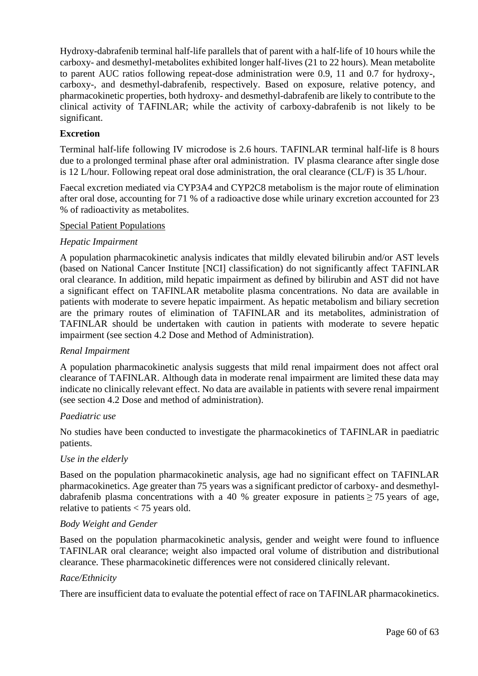Hydroxy-dabrafenib terminal half-life parallels that of parent with a half-life of 10 hours while the carboxy- and desmethyl-metabolites exhibited longer half-lives (21 to 22 hours). Mean metabolite to parent AUC ratios following repeat-dose administration were 0.9, 11 and 0.7 for hydroxy-, carboxy-, and desmethyl-dabrafenib, respectively. Based on exposure, relative potency, and pharmacokinetic properties, both hydroxy- and desmethyl-dabrafenib are likely to contribute to the clinical activity of TAFINLAR; while the activity of carboxy-dabrafenib is not likely to be significant.

## **Excretion**

Terminal half-life following IV microdose is 2.6 hours. TAFINLAR terminal half-life is 8 hours due to a prolonged terminal phase after oral administration. IV plasma clearance after single dose is 12 L/hour. Following repeat oral dose administration, the oral clearance (CL/F) is 35 L/hour.

Faecal excretion mediated via CYP3A4 and CYP2C8 metabolism is the major route of elimination after oral dose, accounting for 71 % of a radioactive dose while urinary excretion accounted for 23 % of radioactivity as metabolites.

#### Special Patient Populations

## *Hepatic Impairment*

A population pharmacokinetic analysis indicates that mildly elevated bilirubin and/or AST levels (based on National Cancer Institute [NCI] classification) do not significantly affect TAFINLAR oral clearance. In addition, mild hepatic impairment as defined by bilirubin and AST did not have a significant effect on TAFINLAR metabolite plasma concentrations. No data are available in patients with moderate to severe hepatic impairment. As hepatic metabolism and biliary secretion are the primary routes of elimination of TAFINLAR and its metabolites, administration of TAFINLAR should be undertaken with caution in patients with moderate to severe hepatic impairment (see section 4.2 Dose and Method of Administration)*.*

## *Renal Impairment*

A population pharmacokinetic analysis suggests that mild renal impairment does not affect oral clearance of TAFINLAR. Although data in moderate renal impairment are limited these data may indicate no clinically relevant effect. No data are available in patients with severe renal impairment (see section 4.2 Dose and method of administration).

#### *Paediatric use*

No studies have been conducted to investigate the pharmacokinetics of TAFINLAR in paediatric patients.

#### *Use in the elderly*

Based on the population pharmacokinetic analysis, age had no significant effect on TAFINLAR pharmacokinetics. Age greater than 75 years was a significant predictor of carboxy- and desmethyldabrafenib plasma concentrations with a 40 % greater exposure in patients  $> 75$  years of age, relative to patients < 75 years old.

## *Body Weight and Gender*

Based on the population pharmacokinetic analysis, gender and weight were found to influence TAFINLAR oral clearance; weight also impacted oral volume of distribution and distributional clearance. These pharmacokinetic differences were not considered clinically relevant.

## *Race/Ethnicity*

There are insufficient data to evaluate the potential effect of race on TAFINLAR pharmacokinetics.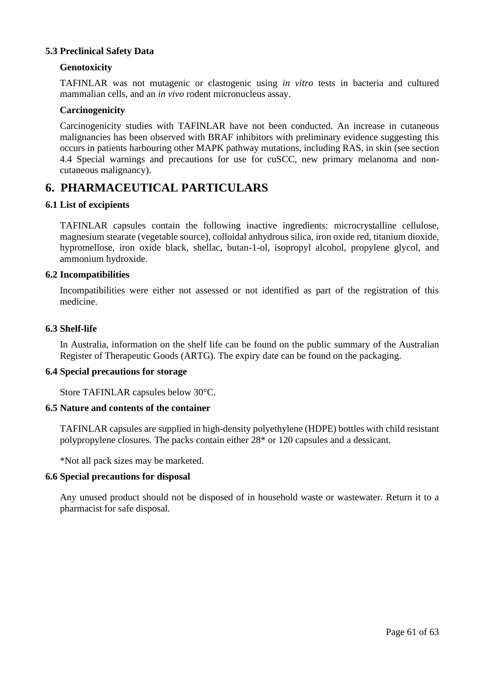## **5.3 Preclinical Safety Data**

## **Genotoxicity**

TAFINLAR was not mutagenic or clastogenic using *in vitro* tests in bacteria and cultured mammalian cells, and an *in vivo* rodent micronucleus assay.

## **Carcinogenicity**

Carcinogenicity studies with TAFINLAR have not been conducted. An increase in cutaneous malignancies has been observed with BRAF inhibitors with preliminary evidence suggesting this occurs in patients harbouring other MAPK pathway mutations, including RAS, in skin (see section 4.4 Special warnings and precautions for use for cuSCC, new primary melanoma and noncutaneous malignancy).

## **6. PHARMACEUTICAL PARTICULARS**

## **6.1 List of excipients**

TAFINLAR capsules contain the following inactive ingredients: microcrystalline cellulose, magnesium stearate (vegetable source), colloidal anhydrous silica, iron oxide red, titanium dioxide, hypromellose, iron oxide black, shellac, butan-1-ol, isopropyl alcohol, propylene glycol, and ammonium hydroxide.

#### **6.2 Incompatibilities**

Incompatibilities were either not assessed or not identified as part of the registration of this medicine.

#### **6.3 Shelf-life**

In Australia, information on the shelf life can be found on the public summary of the Australian Register of Therapeutic Goods (ARTG). The expiry date can be found on the packaging.

#### **6.4 Special precautions for storage**

Store TAFINLAR capsules below 30°C.

## **6.5 Nature and contents of the container**

TAFINLAR capsules are supplied in high-density polyethylene (HDPE) bottles with child resistant polypropylene closures. The packs contain either 28\* or 120 capsules and a dessicant.

\*Not all pack sizes may be marketed.

#### **6.6 Special precautions for disposal**

Any unused product should not be disposed of in household waste or wastewater. Return it to a pharmacist for safe disposal.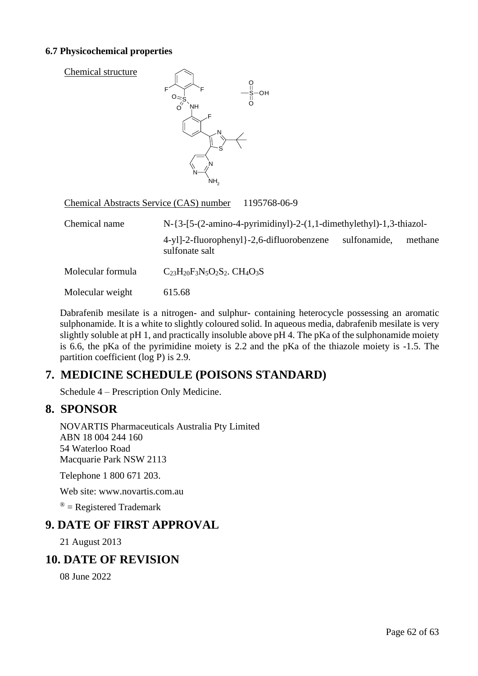## **6.7 Physicochemical properties**

| Chemical structure                      | F<br>F<br><b>NH</b><br>⊏<br>S<br>N<br>N<br>NH <sub>2</sub> | S-OH         |
|-----------------------------------------|------------------------------------------------------------|--------------|
| Chemical Abstracts Service (CAS) number |                                                            | 1195768-06-9 |

| Chemical name     | $N-\{3-[5-(2-amin-4-pyrimidiny])-2-(1,1-dimethylethyl)-1,3-thiazol-$ |              |         |  |
|-------------------|----------------------------------------------------------------------|--------------|---------|--|
|                   | $4-y1$ ]-2-fluorophenyl}-2,6-difluorobenzene<br>sulfonate salt       | sulfonamide, | methane |  |
| Molecular formula | $C_{23}H_{20}F_3N_5O_2S_2$ . CH <sub>4</sub> O <sub>3</sub> S        |              |         |  |
| Molecular weight  | 615.68                                                               |              |         |  |

Dabrafenib mesilate is a nitrogen- and sulphur- containing heterocycle possessing an aromatic sulphonamide. It is a white to slightly coloured solid. In aqueous media, dabrafenib mesilate is very slightly soluble at pH 1, and practically insoluble above pH 4. The pKa of the sulphonamide moiety is 6.6, the pKa of the pyrimidine moiety is 2.2 and the pKa of the thiazole moiety is -1.5. The partition coefficient (log P) is 2.9.

# **7. MEDICINE SCHEDULE (POISONS STANDARD)**

Schedule 4 – Prescription Only Medicine.

## **8. SPONSOR**

NOVARTIS Pharmaceuticals Australia Pty Limited ABN 18 004 244 160 54 Waterloo Road Macquarie Park NSW 2113

Telephone 1 800 671 203.

Web site: www.novartis.com.au

 $\mathcal{R}$  = Registered Trademark

# **9. DATE OF FIRST APPROVAL**

21 August 2013

# **10. DATE OF REVISION**

08 June 2022